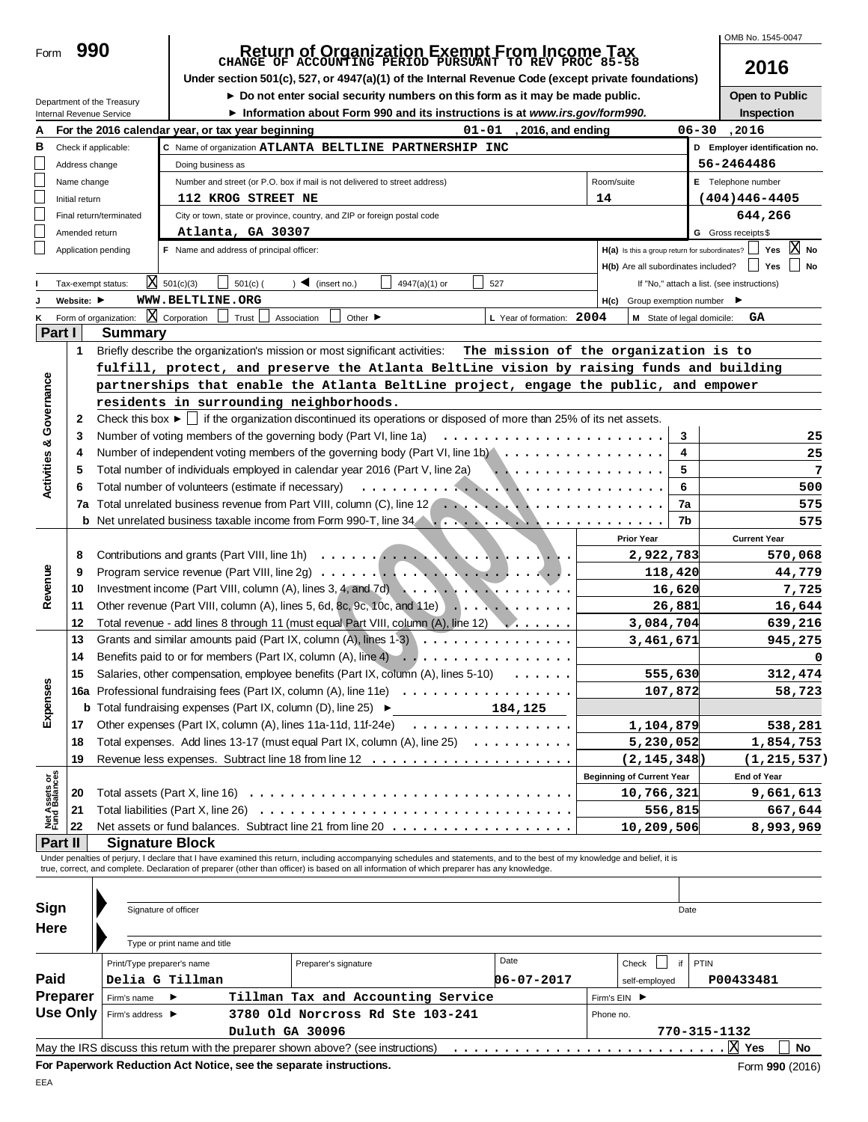| 990 |
|-----|
|     |

# **Return of Organization Exempt From Income Tax CHANGE OF ACCOUNTING PERIOD PURSUANT TO REV PROC 85-58**

Under section 501(c), 527, or 4947(a)(1) of the Internal Revenue Code (except private foundations)

**2016**

OMB No. 1545-0047

|                                    |                 | Department of the Treasury |                                                    |            | ► Do not enter social security numbers on this form as it may be made public.                                                                                                                                                            |               |           |                                       |                                                     |               |                            | Open to Public                             |            |
|------------------------------------|-----------------|----------------------------|----------------------------------------------------|------------|------------------------------------------------------------------------------------------------------------------------------------------------------------------------------------------------------------------------------------------|---------------|-----------|---------------------------------------|-----------------------------------------------------|---------------|----------------------------|--------------------------------------------|------------|
|                                    |                 | Internal Revenue Service   |                                                    |            | Information about Form 990 and its instructions is at www.irs.gov/form990.                                                                                                                                                               |               |           |                                       |                                                     |               |                            | Inspection                                 |            |
| А                                  |                 |                            | For the 2016 calendar year, or tax year beginning  |            |                                                                                                                                                                                                                                          |               | $01 - 01$ | , 2016, and ending                    |                                                     |               |                            | 06-30.2016                                 |            |
| в                                  |                 | Check if applicable:       |                                                    |            | C Name of organization ATLANTA BELTLINE PARTNERSHIP INC                                                                                                                                                                                  |               |           |                                       |                                                     |               |                            | D Employer identification no.              |            |
|                                    | Address change  |                            | Doing business as                                  |            |                                                                                                                                                                                                                                          |               |           |                                       |                                                     |               |                            | 56-2464486                                 |            |
|                                    | Name change     |                            |                                                    |            | Number and street (or P.O. box if mail is not delivered to street address)                                                                                                                                                               |               |           |                                       | Room/suite                                          |               |                            | E Telephone number                         |            |
|                                    | Initial return  |                            | 112 KROG STREET NE                                 |            |                                                                                                                                                                                                                                          |               |           |                                       | 14                                                  |               |                            | $(404)446 - 4405$                          |            |
|                                    |                 | Final return/terminated    |                                                    |            | City or town, state or province, country, and ZIP or foreign postal code                                                                                                                                                                 |               |           |                                       |                                                     |               |                            | 644,266                                    |            |
|                                    | Amended return  |                            | Atlanta, GA 30307                                  |            |                                                                                                                                                                                                                                          |               |           |                                       |                                                     |               |                            | G Gross receipts \$                        |            |
|                                    |                 | Application pending        | F Name and address of principal officer:           |            |                                                                                                                                                                                                                                          |               |           |                                       | H(a) Is this a group return for subordinates?       |               |                            |                                            | Yes $X$ No |
|                                    |                 |                            |                                                    |            |                                                                                                                                                                                                                                          |               |           |                                       | H(b) Are all subordinates included?                 |               |                            | Yes                                        | No         |
|                                    |                 | Tax-exempt status:         | $X = 501(c)(3)$                                    | $501(c)$ ( | $\sum$ (insert no.)                                                                                                                                                                                                                      | 4947(a)(1) or | 527       |                                       |                                                     |               |                            | If "No," attach a list. (see instructions) |            |
|                                    | Website: ▶      |                            | WWW.BELTLINE.ORG                                   |            |                                                                                                                                                                                                                                          |               |           |                                       | $H(c)$ Group exemption number $\blacktriangleright$ |               |                            |                                            |            |
|                                    |                 | Form of organization:      | $X$ Corporation                                    | Trust      | Other $\blacktriangleright$<br>Association                                                                                                                                                                                               |               |           | L Year of formation: 2004             |                                                     |               | M State of legal domicile: | GA                                         |            |
| Part I                             |                 | <b>Summary</b>             |                                                    |            |                                                                                                                                                                                                                                          |               |           |                                       |                                                     |               |                            |                                            |            |
|                                    | 1               |                            |                                                    |            | Briefly describe the organization's mission or most significant activities:                                                                                                                                                              |               |           | The mission of the organization is to |                                                     |               |                            |                                            |            |
|                                    |                 |                            |                                                    |            | fulfill, protect, and preserve the Atlanta BeltLine vision by raising funds and building                                                                                                                                                 |               |           |                                       |                                                     |               |                            |                                            |            |
| <b>Activities &amp; Governance</b> |                 |                            |                                                    |            | partnerships that enable the Atlanta BeltLine project, engage the public, and empower                                                                                                                                                    |               |           |                                       |                                                     |               |                            |                                            |            |
|                                    |                 |                            |                                                    |            | residents in surrounding neighborhoods.                                                                                                                                                                                                  |               |           |                                       |                                                     |               |                            |                                            |            |
|                                    | 2               |                            |                                                    |            | Check this box $\blacktriangleright$   if the organization discontinued its operations or disposed of more than 25% of its net assets.                                                                                                   |               |           |                                       |                                                     |               |                            |                                            |            |
|                                    | 3               |                            |                                                    |            | Number of voting members of the governing body (Part VI, line 1a)                                                                                                                                                                        |               |           |                                       |                                                     |               | 3                          |                                            | 25         |
|                                    | 4               |                            |                                                    |            | Number of independent voting members of the governing body (Part VI, line 1b) $\ldots \ldots \ldots \ldots \ldots$                                                                                                                       |               |           |                                       |                                                     |               | 4                          |                                            | 25         |
|                                    | 5               |                            |                                                    |            | Total number of individuals employed in calendar year 2016 (Part V, line 2a)                                                                                                                                                             |               |           | .                                     |                                                     |               | 5                          |                                            |            |
|                                    | 6               |                            | Total number of volunteers (estimate if necessary) |            |                                                                                                                                                                                                                                          |               |           |                                       |                                                     |               | 6                          |                                            | 500        |
|                                    |                 |                            |                                                    |            |                                                                                                                                                                                                                                          |               |           |                                       |                                                     |               | 7a                         |                                            | 575        |
|                                    |                 |                            |                                                    |            | <b>b</b> Net unrelated business taxable income from Form 990-T, line 34 <b>Constraints</b> and a constant of the state of the state of the state of the state of the state of the state of the state of the state of the state of the st |               |           |                                       |                                                     |               | 7b                         |                                            | 575        |
|                                    |                 |                            |                                                    |            |                                                                                                                                                                                                                                          |               |           |                                       | <b>Prior Year</b>                                   |               |                            | <b>Current Year</b>                        |            |
|                                    | 8               |                            |                                                    |            |                                                                                                                                                                                                                                          |               |           |                                       |                                                     | 2,922,783     |                            |                                            | 570,068    |
|                                    | 9               |                            |                                                    |            |                                                                                                                                                                                                                                          |               |           |                                       |                                                     | 118,420       |                            |                                            | 44,779     |
| Revenue                            | 10              |                            |                                                    |            | Investment income (Part VIII, column (A), lines 3, 4, and 7d) $\ldots$ , $\ldots$ , $\ldots$ , $\ldots$ , $\ldots$                                                                                                                       |               |           |                                       |                                                     | 16,620        |                            |                                            | 7,725      |
|                                    | 11              |                            |                                                    |            | Other revenue (Part VIII, column (A), lines 5, 6d, 8c, 9c, 10c, and 11e) $\ldots$ , $\ldots$                                                                                                                                             |               |           |                                       |                                                     | 26,881        |                            |                                            | 16,644     |
|                                    | 12              |                            |                                                    |            | Total revenue - add lines 8 through 11 (must equal Part VIII, column (A), line 12)                                                                                                                                                       |               |           |                                       |                                                     | 3,084,704     |                            |                                            | 639,216    |
|                                    | 13              |                            |                                                    |            | Grants and similar amounts paid (Part IX, column $(A)$ , lines 1-3)                                                                                                                                                                      |               |           |                                       |                                                     | 3,461,671     |                            |                                            | 945,275    |
|                                    | 14              |                            |                                                    |            | Benefits paid to or for members (Part IX, column (A), line 4) $\ldots$                                                                                                                                                                   |               |           |                                       |                                                     |               |                            |                                            |            |
|                                    | 15              |                            |                                                    |            | Salaries, other compensation, employee benefits (Part IX, column $(A)$ , lines 5-10) $\ldots \ldots$                                                                                                                                     |               |           |                                       |                                                     | 555,630       |                            |                                            | 312,474    |
|                                    |                 |                            |                                                    |            | 16a Professional fundraising fees (Part IX, column (A), line 11e)                                                                                                                                                                        |               |           |                                       |                                                     | 107,872       |                            |                                            | 58,723     |
| Expenses                           |                 |                            |                                                    |            | <b>b</b> Total fundraising expenses (Part IX, column (D), line 25) $\blacktriangleright$                                                                                                                                                 |               |           | 184,125                               |                                                     |               |                            |                                            |            |
|                                    | 17              |                            |                                                    |            | Other expenses (Part IX, column (A), lines 11a-11d, 11f-24e)                                                                                                                                                                             | .             |           |                                       |                                                     | 1,104,879     |                            | 538,281                                    |            |
|                                    | 18              |                            |                                                    |            | Total expenses. Add lines 13-17 (must equal Part IX, column (A), line 25)                                                                                                                                                                |               |           |                                       |                                                     | 5,230,052     |                            | 1,854,753                                  |            |
|                                    | 19              |                            |                                                    |            |                                                                                                                                                                                                                                          |               |           |                                       |                                                     | (2, 145, 348) |                            | (1, 215, 537)                              |            |
|                                    |                 |                            |                                                    |            |                                                                                                                                                                                                                                          |               |           |                                       | <b>Beginning of Current Year</b>                    |               |                            | <b>End of Year</b>                         |            |
| Net Assets or<br>Fund Balances     | 20              |                            |                                                    |            | Total assets (Part X, line 16) $\ldots \ldots \ldots \ldots \ldots \ldots \ldots \ldots \ldots \ldots \ldots \ldots$                                                                                                                     |               |           |                                       |                                                     | 10,766,321    |                            | 9,661,613                                  |            |
|                                    | 21              |                            |                                                    |            |                                                                                                                                                                                                                                          |               |           |                                       |                                                     | 556,815       |                            |                                            | 667,644    |
|                                    | 22              |                            |                                                    |            |                                                                                                                                                                                                                                          |               |           |                                       |                                                     | 10,209,506    |                            | 8,993,969                                  |            |
| Part II                            |                 | <b>Signature Block</b>     |                                                    |            |                                                                                                                                                                                                                                          |               |           |                                       |                                                     |               |                            |                                            |            |
|                                    |                 |                            |                                                    |            | Under penalties of perjury, I declare that I have examined this return, including accompanying schedules and statements, and to the best of my knowledge and belief, it is                                                               |               |           |                                       |                                                     |               |                            |                                            |            |
|                                    |                 |                            |                                                    |            | true, correct, and complete. Declaration of preparer (other than officer) is based on all information of which preparer has any knowledge.                                                                                               |               |           |                                       |                                                     |               |                            |                                            |            |
|                                    |                 |                            |                                                    |            |                                                                                                                                                                                                                                          |               |           |                                       |                                                     |               |                            |                                            |            |
| Sign                               |                 | Signature of officer       |                                                    |            |                                                                                                                                                                                                                                          |               |           |                                       |                                                     |               | Date                       |                                            |            |
| Here                               |                 |                            |                                                    |            |                                                                                                                                                                                                                                          |               |           |                                       |                                                     |               |                            |                                            |            |
|                                    |                 |                            | Type or print name and title                       |            |                                                                                                                                                                                                                                          |               |           |                                       |                                                     |               |                            |                                            |            |
|                                    |                 | Print/Type preparer's name |                                                    |            | Preparer's signature                                                                                                                                                                                                                     |               |           | Date                                  | Check                                               |               | PTIN<br>if                 |                                            |            |
| Paid                               |                 |                            | Delia G Tillman                                    |            |                                                                                                                                                                                                                                          |               |           | 06-07-2017                            |                                                     | self-employed |                            | P00433481                                  |            |
|                                    | Preparer        | Firm's name                | ▸                                                  |            | Tillman Tax and Accounting Service                                                                                                                                                                                                       |               |           |                                       | Firm's EIN ▶                                        |               |                            |                                            |            |
|                                    | <b>Use Only</b> | Firm's address ▶           |                                                    |            | 3780 Old Norcross Rd Ste 103-241                                                                                                                                                                                                         |               |           |                                       | Phone no.                                           |               |                            |                                            |            |
|                                    |                 |                            |                                                    |            | Duluth GA 30096                                                                                                                                                                                                                          |               |           |                                       |                                                     |               |                            | 770-315-1132                               |            |
|                                    |                 |                            |                                                    |            |                                                                                                                                                                                                                                          |               |           |                                       |                                                     |               |                            |                                            | No         |
|                                    |                 |                            |                                                    |            | May the IRS discuss this retum with the preparer shown above? (see instructions)                                                                                                                                                         |               |           |                                       |                                                     |               |                            |                                            |            |
|                                    |                 |                            |                                                    |            | For Paperwork Reduction Act Notice, see the separate instructions.                                                                                                                                                                       |               |           |                                       |                                                     |               |                            | Form 990 (2016)                            |            |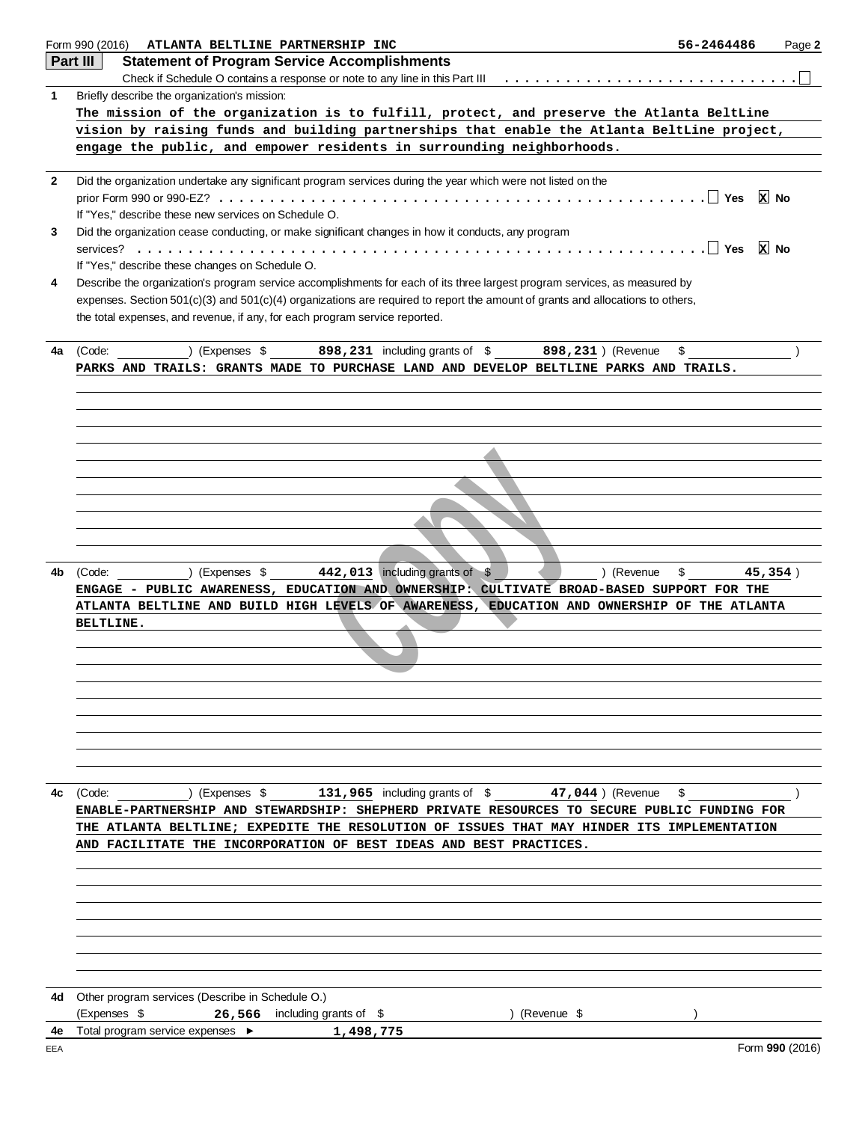|           | Form 990 (2016) ATLANTA BELTLINE PARTNERSHIP INC<br>56-2464486<br>Page 2                                                                                                               |
|-----------|----------------------------------------------------------------------------------------------------------------------------------------------------------------------------------------|
|           | Part III<br><b>Statement of Program Service Accomplishments</b>                                                                                                                        |
|           |                                                                                                                                                                                        |
| 1         | Briefly describe the organization's mission:                                                                                                                                           |
|           | The mission of the organization is to fulfill, protect, and preserve the Atlanta BeltLine                                                                                              |
|           | vision by raising funds and building partnerships that enable the Atlanta BeltLine project,                                                                                            |
|           | engage the public, and empower residents in surrounding neighborhoods.                                                                                                                 |
| 2         | Did the organization undertake any significant program services during the year which were not listed on the                                                                           |
|           | $x$ No                                                                                                                                                                                 |
|           | If "Yes," describe these new services on Schedule O.                                                                                                                                   |
| 3         | Did the organization cease conducting, or make significant changes in how it conducts, any program                                                                                     |
|           |                                                                                                                                                                                        |
|           | If "Yes," describe these changes on Schedule O.                                                                                                                                        |
| 4         | Describe the organization's program service accomplishments for each of its three largest program services, as measured by                                                             |
|           | expenses. Section 501(c)(3) and 501(c)(4) organizations are required to report the amount of grants and allocations to others,                                                         |
|           | the total expenses, and revenue, if any, for each program service reported.                                                                                                            |
|           |                                                                                                                                                                                        |
| 4a        | ) (Expenses \$898, 231 including grants of \$898, 231 ) (Revenue<br>(Code:<br>\$<br>PARKS AND TRAILS: GRANTS MADE TO PURCHASE LAND AND DEVELOP BELTLINE PARKS AND TRAILS.              |
|           |                                                                                                                                                                                        |
|           |                                                                                                                                                                                        |
|           |                                                                                                                                                                                        |
|           |                                                                                                                                                                                        |
|           |                                                                                                                                                                                        |
|           |                                                                                                                                                                                        |
|           |                                                                                                                                                                                        |
|           |                                                                                                                                                                                        |
|           |                                                                                                                                                                                        |
|           |                                                                                                                                                                                        |
|           |                                                                                                                                                                                        |
| 4b        | ) (Expenses $$$ 442, 013 including grants of $$$<br>) (Revenue<br>\$<br>45,354)<br>(Code:<br>ENGAGE - PUBLIC AWARENESS, EDUCATION AND OWNERSHIP: CULTIVATE BROAD-BASED SUPPORT FOR THE |
|           | ATLANTA BELTLINE AND BUILD HIGH LEVELS OF AWARENESS, EDUCATION AND OWNERSHIP OF THE ATLANTA                                                                                            |
|           | BELTLINE.                                                                                                                                                                              |
|           |                                                                                                                                                                                        |
|           |                                                                                                                                                                                        |
|           |                                                                                                                                                                                        |
|           |                                                                                                                                                                                        |
|           |                                                                                                                                                                                        |
|           |                                                                                                                                                                                        |
|           |                                                                                                                                                                                        |
|           |                                                                                                                                                                                        |
| 4c        | (Code: ) (Expenses \$131, 965 including grants of \$47, 044 ) (Revenue<br>\$                                                                                                           |
|           | ENABLE-PARTNERSHIP AND STEWARDSHIP: SHEPHERD PRIVATE RESOURCES TO SECURE PUBLIC FUNDING FOR                                                                                            |
|           | THE ATLANTA BELTLINE; EXPEDITE THE RESOLUTION OF ISSUES THAT MAY HINDER ITS IMPLEMENTATION                                                                                             |
|           | AND FACILITATE THE INCORPORATION OF BEST IDEAS AND BEST PRACTICES.                                                                                                                     |
|           |                                                                                                                                                                                        |
|           |                                                                                                                                                                                        |
|           |                                                                                                                                                                                        |
|           |                                                                                                                                                                                        |
|           |                                                                                                                                                                                        |
|           |                                                                                                                                                                                        |
|           |                                                                                                                                                                                        |
|           |                                                                                                                                                                                        |
| 4d        | Other program services (Describe in Schedule O.)                                                                                                                                       |
|           | (Expenses \$<br>26,566 including grants of \$<br>) (Revenue \$                                                                                                                         |
| 4e<br>EEA | Total program service expenses ▶<br>1,498,775<br>Form 990 (2016)                                                                                                                       |
|           |                                                                                                                                                                                        |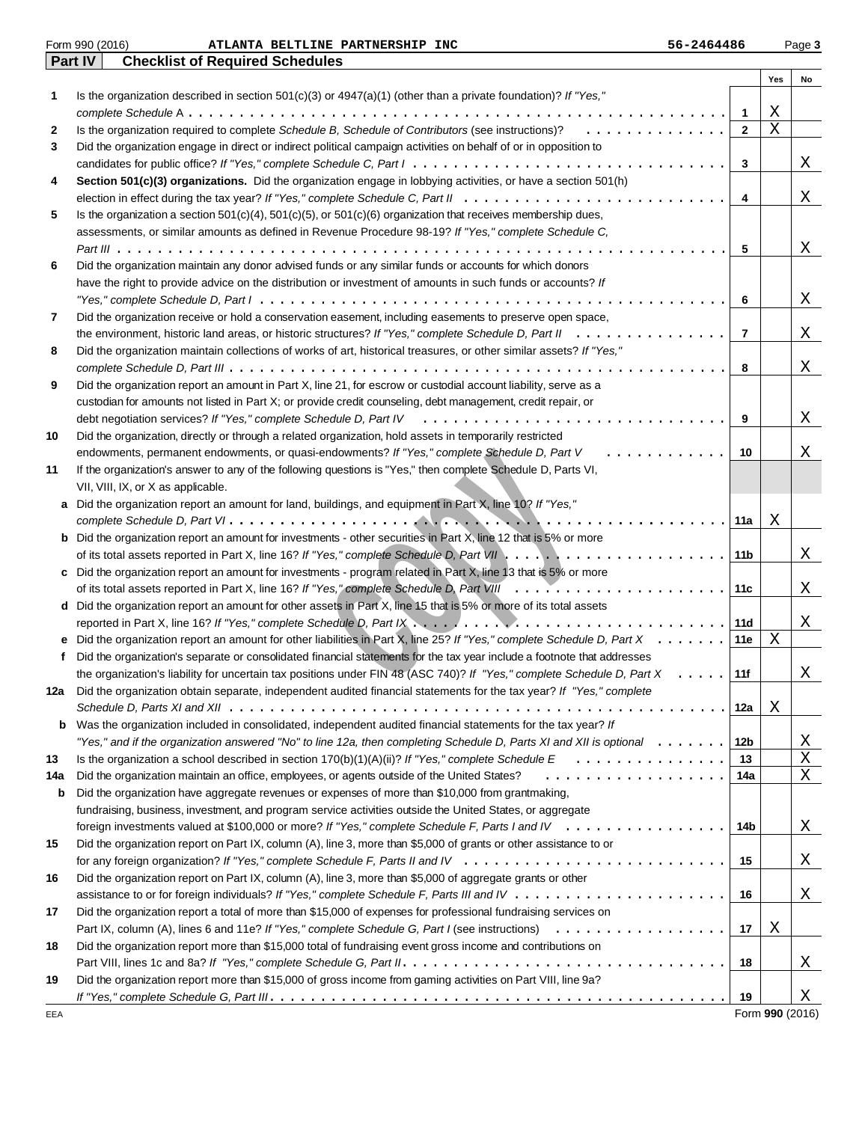|              | <b>Checklist of Required Schedules</b><br>Part IV                                                                                                                                                                                                         |                |                 |        |
|--------------|-----------------------------------------------------------------------------------------------------------------------------------------------------------------------------------------------------------------------------------------------------------|----------------|-----------------|--------|
|              |                                                                                                                                                                                                                                                           |                | Yes             | No     |
| 1            | Is the organization described in section $501(c)(3)$ or $4947(a)(1)$ (other than a private foundation)? If "Yes,"                                                                                                                                         |                |                 |        |
|              |                                                                                                                                                                                                                                                           | 1              | Χ               |        |
| $\mathbf{2}$ | Is the organization required to complete Schedule B, Schedule of Contributors (see instructions)? $\ldots \ldots \ldots \ldots$                                                                                                                           | $\mathbf{2}$   | X               |        |
| 3            | Did the organization engage in direct or indirect political campaign activities on behalf of or in opposition to                                                                                                                                          |                |                 |        |
|              |                                                                                                                                                                                                                                                           | 3              |                 | Χ      |
| 4            | Section 501(c)(3) organizations. Did the organization engage in lobbying activities, or have a section 501(h)                                                                                                                                             |                |                 |        |
|              |                                                                                                                                                                                                                                                           | 4              |                 | Χ      |
| 5            | Is the organization a section $501(c)(4)$ , $501(c)(5)$ , or $501(c)(6)$ organization that receives membership dues,                                                                                                                                      |                |                 |        |
|              | assessments, or similar amounts as defined in Revenue Procedure 98-19? If "Yes," complete Schedule C,                                                                                                                                                     |                |                 |        |
|              |                                                                                                                                                                                                                                                           | 5              |                 | Χ      |
| 6            | Did the organization maintain any donor advised funds or any similar funds or accounts for which donors                                                                                                                                                   |                |                 |        |
|              | have the right to provide advice on the distribution or investment of amounts in such funds or accounts? If                                                                                                                                               |                |                 |        |
|              |                                                                                                                                                                                                                                                           | 6              |                 | Χ      |
| 7            | Did the organization receive or hold a conservation easement, including easements to preserve open space,                                                                                                                                                 |                |                 |        |
|              | the environment, historic land areas, or historic structures? If "Yes," complete Schedule D, Part II                                                                                                                                                      | $\overline{7}$ |                 | Χ      |
| 8            | Did the organization maintain collections of works of art, historical treasures, or other similar assets? If "Yes,"                                                                                                                                       |                |                 |        |
|              |                                                                                                                                                                                                                                                           | 8              |                 | Χ      |
| 9            | Did the organization report an amount in Part X, line 21, for escrow or custodial account liability, serve as a                                                                                                                                           |                |                 |        |
|              | custodian for amounts not listed in Part X; or provide credit counseling, debt management, credit repair, or                                                                                                                                              |                |                 |        |
|              |                                                                                                                                                                                                                                                           | 9              |                 | Χ      |
| 10           | Did the organization, directly or through a related organization, hold assets in temporarily restricted                                                                                                                                                   |                |                 |        |
|              | endowments, permanent endowments, or quasi-endowments? If "Yes," complete Schedule D, Part V                                                                                                                                                              | 10             |                 | X      |
| 11           | If the organization's answer to any of the following questions is "Yes," then complete Schedule D, Parts VI,                                                                                                                                              |                |                 |        |
|              | VII, VIII, IX, or X as applicable.                                                                                                                                                                                                                        |                |                 |        |
| a            | Did the organization report an amount for land, buildings, and equipment in Part X, line 10? If "Yes,"                                                                                                                                                    |                |                 |        |
|              |                                                                                                                                                                                                                                                           | 11a            | Χ               |        |
| b            | Did the organization report an amount for investments - other securities in Part X, line 12 that is 5% or more                                                                                                                                            |                |                 |        |
|              |                                                                                                                                                                                                                                                           | 11b            |                 | Χ      |
| c            | Did the organization report an amount for investments - program related in Part X, line 13 that is 5% or more                                                                                                                                             |                |                 |        |
|              |                                                                                                                                                                                                                                                           | 11c            |                 | Χ      |
| d            | Did the organization report an amount for other assets in Part X, line 15 that is 5% or more of its total assets                                                                                                                                          |                |                 |        |
|              |                                                                                                                                                                                                                                                           | 11d            |                 | Χ      |
|              | Did the organization report an amount for other liabilities in Part X, line 25? If "Yes," complete Schedule D, Part X                                                                                                                                     | 11e            | Χ               |        |
|              | Did the organization's separate or consolidated financial statements for the tax year include a footnote that addresses                                                                                                                                   |                |                 |        |
|              | the organization's liability for uncertain tax positions under FIN 48 (ASC 740)? If "Yes," complete Schedule D, Part X<br>$\cdots$<br>Did the organization obtain separate, independent audited financial statements for the tax year? If "Yes," complete | 11f            |                 | Χ      |
| 12a          |                                                                                                                                                                                                                                                           |                |                 |        |
|              | Was the organization included in consolidated, independent audited financial statements for the tax year? If                                                                                                                                              | 12a            | Χ               |        |
| b            | "Yes," and if the organization answered "No" to line 12a, then completing Schedule D, Parts XI and XII is optional                                                                                                                                        | 12b            |                 |        |
| 13           | Is the organization a school described in section $170(b)(1)(A)(ii)$ ? If "Yes," complete Schedule E<br>.                                                                                                                                                 | 13             |                 | Χ<br>Χ |
| 14a          | Did the organization maintain an office, employees, or agents outside of the United States?<br>.                                                                                                                                                          | 14a            |                 | X      |
| b            | Did the organization have aggregate revenues or expenses of more than \$10,000 from grantmaking,                                                                                                                                                          |                |                 |        |
|              | fundraising, business, investment, and program service activities outside the United States, or aggregate                                                                                                                                                 |                |                 |        |
|              | foreign investments valued at \$100,000 or more? If "Yes," complete Schedule F, Parts I and IV                                                                                                                                                            | 14b            |                 | Χ      |
| 15           | Did the organization report on Part IX, column (A), line 3, more than \$5,000 of grants or other assistance to or                                                                                                                                         |                |                 |        |
|              |                                                                                                                                                                                                                                                           | 15             |                 | Χ      |
| 16           | Did the organization report on Part IX, column (A), line 3, more than \$5,000 of aggregate grants or other                                                                                                                                                |                |                 |        |
|              |                                                                                                                                                                                                                                                           | 16             |                 | Χ      |
| 17           | Did the organization report a total of more than \$15,000 of expenses for professional fundraising services on                                                                                                                                            |                |                 |        |
|              |                                                                                                                                                                                                                                                           | 17             | Χ               |        |
| 18           | Did the organization report more than \$15,000 total of fundraising event gross income and contributions on                                                                                                                                               |                |                 |        |
|              |                                                                                                                                                                                                                                                           | 18             |                 | Χ      |
| 19           | Did the organization report more than \$15,000 of gross income from gaming activities on Part VIII, line 9a?                                                                                                                                              |                |                 |        |
|              |                                                                                                                                                                                                                                                           | 19             |                 | Χ      |
| EEA          |                                                                                                                                                                                                                                                           |                | Form 990 (2016) |        |

# Form 990 (2016) Page **3 ATLANTA BELTLINE PARTNERSHIP INC 56-2464486**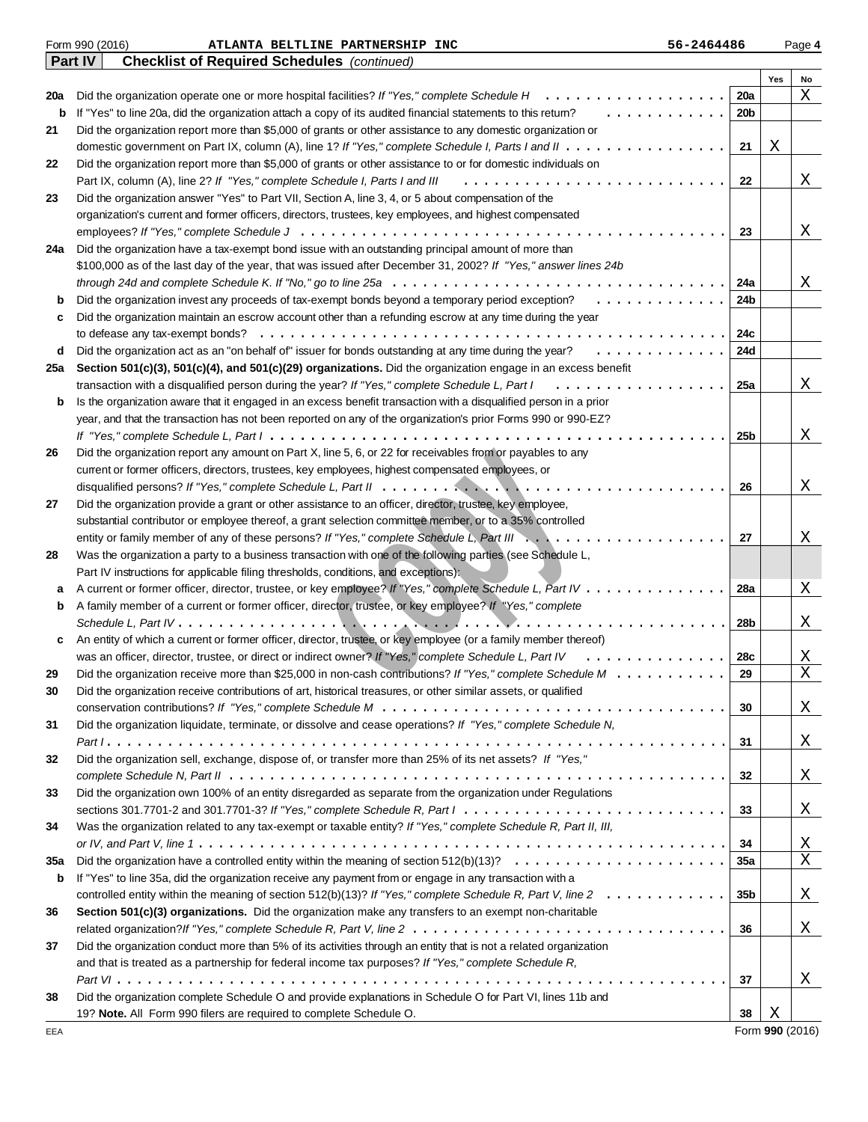|     | Part IV<br><b>Checklist of Required Schedules</b> (continued)                                                                                                                                                                       |                 |     |    |
|-----|-------------------------------------------------------------------------------------------------------------------------------------------------------------------------------------------------------------------------------------|-----------------|-----|----|
|     |                                                                                                                                                                                                                                     |                 | Yes | No |
| 20a | Did the organization operate one or more hospital facilities? If "Yes," complete Schedule H<br>.                                                                                                                                    | 20a             |     | Χ  |
| b   | If "Yes" to line 20a, did the organization attach a copy of its audited financial statements to this retum?<br>.                                                                                                                    | 20 <sub>b</sub> |     |    |
| 21  | Did the organization report more than \$5,000 of grants or other assistance to any domestic organization or                                                                                                                         |                 |     |    |
|     |                                                                                                                                                                                                                                     | 21              | Χ   |    |
| 22  | Did the organization report more than \$5,000 of grants or other assistance to or for domestic individuals on                                                                                                                       |                 |     |    |
|     | Part IX, column (A), line 2? If "Yes," complete Schedule I, Parts I and III                                                                                                                                                         | 22              |     | Χ  |
| 23  | Did the organization answer "Yes" to Part VII, Section A, line 3, 4, or 5 about compensation of the                                                                                                                                 |                 |     |    |
|     | organization's current and former officers, directors, trustees, key employees, and highest compensated                                                                                                                             |                 |     |    |
|     |                                                                                                                                                                                                                                     | 23              |     | Χ  |
| 24a | Did the organization have a tax-exempt bond issue with an outstanding principal amount of more than                                                                                                                                 |                 |     |    |
|     | \$100,000 as of the last day of the year, that was issued after December 31, 2002? If "Yes," answer lines 24b                                                                                                                       |                 |     |    |
|     | through 24d and complete Schedule K. If "No," go to line 25a $\ldots \ldots \ldots \ldots \ldots \ldots \ldots \ldots \ldots \ldots \ldots \ldots$                                                                                  | 24a             |     | Χ  |
| b   | Did the organization invest any proceeds of tax-exempt bonds beyond a temporary period exception?                                                                                                                                   | 24b             |     |    |
| с   | Did the organization maintain an escrow account other than a refunding escrow at any time during the year                                                                                                                           |                 |     |    |
|     |                                                                                                                                                                                                                                     | 24c             |     |    |
| d   | Did the organization act as an "on behalf of" issuer for bonds outstanding at any time during the year?                                                                                                                             | 24d             |     |    |
| 25a | Section 501(c)(3), 501(c)(4), and 501(c)(29) organizations. Did the organization engage in an excess benefit                                                                                                                        |                 |     |    |
|     | transaction with a disqualified person during the year? If "Yes," complete Schedule L, Part I<br>.                                                                                                                                  | 25a             |     | Χ  |
|     | Is the organization aware that it engaged in an excess benefit transaction with a disqualified person in a prior                                                                                                                    |                 |     |    |
| b   | year, and that the transaction has not been reported on any of the organization's prior Forms 990 or 990-EZ?                                                                                                                        |                 |     |    |
|     |                                                                                                                                                                                                                                     | 25 <sub>b</sub> |     | Χ  |
|     | If "Yes," complete Schedule L, Part $l\ldots\ldots\ldots\ldots\ldots\ldots\ldots\ldots\ldots\ldots\ldots\ldots\ldots$<br>Did the organization report any amount on Part X, line 5, 6, or 22 for receivables from or payables to any |                 |     |    |
| 26  |                                                                                                                                                                                                                                     |                 |     |    |
|     | current or former officers, directors, trustees, key employees, highest compensated employees, or                                                                                                                                   |                 |     |    |
|     |                                                                                                                                                                                                                                     | 26              |     | Χ  |
| 27  | Did the organization provide a grant or other assistance to an officer, director, trustee, key employee,                                                                                                                            |                 |     |    |
|     | substantial contributor or employee thereof, a grant selection committee member, or to a 35% controlled                                                                                                                             |                 |     |    |
|     |                                                                                                                                                                                                                                     | 27              |     | Χ  |
| 28  | Was the organization a party to a business transaction with one of the following parties (see Schedule L,                                                                                                                           |                 |     |    |
|     | Part IV instructions for applicable filing thresholds, conditions, and exceptions):                                                                                                                                                 |                 |     |    |
| а   | A current or former officer, director, trustee, or key employee? If "Yes," complete Schedule L, Part IV                                                                                                                             | 28a             |     | Χ  |
| b   | A family member of a current or former officer, director, trustee, or key employee? If "Yes," complete                                                                                                                              |                 |     |    |
|     | Schedule L, Part IV $\ldots \ldots \ldots \ldots \ldots \ldots \ldots \ldots \ldots \ldots \ldots$                                                                                                                                  | 28b             |     | Χ  |
| c   | An entity of which a current or former officer, director, trustee, or key employee (or a family member thereof)                                                                                                                     |                 |     |    |
|     | was an officer, director, trustee, or direct or indirect owner? If "Yes," complete Schedule L, Part IV                                                                                                                              | 28c             |     | Χ  |
| 29  | Did the organization receive more than \$25,000 in non-cash contributions? If "Yes," complete Schedule M                                                                                                                            | 29              |     | X  |
| 30  | Did the organization receive contributions of art, historical treasures, or other similar assets, or qualified                                                                                                                      |                 |     |    |
|     |                                                                                                                                                                                                                                     | 30              |     | Χ  |
| 31  | Did the organization liquidate, terminate, or dissolve and cease operations? If "Yes," complete Schedule N,                                                                                                                         |                 |     |    |
|     |                                                                                                                                                                                                                                     | 31              |     | Χ  |
| 32  | Did the organization sell, exchange, dispose of, or transfer more than 25% of its net assets? If "Yes,"                                                                                                                             |                 |     |    |
|     |                                                                                                                                                                                                                                     | 32              |     | Χ  |
| 33  | Did the organization own 100% of an entity disregarded as separate from the organization under Regulations                                                                                                                          |                 |     |    |
|     | sections 301.7701-2 and 301.7701-3? If "Yes," complete Schedule R, Part $1, \ldots, \ldots, \ldots, \ldots, \ldots, \ldots, \ldots, \ldots, \ldots$                                                                                 | 33              |     | Χ  |
| 34  | Was the organization related to any tax-exempt or taxable entity? If "Yes," complete Schedule R, Part II, III,                                                                                                                      |                 |     |    |
|     |                                                                                                                                                                                                                                     | 34              |     | Χ  |
| 35a | Did the organization have a controlled entity within the meaning of section $512(b)(13)? \ldots \ldots \ldots \ldots \ldots \ldots \ldots$                                                                                          | 35a             |     | X  |
| b   | If "Yes" to line 35a, did the organization receive any payment from or engage in any transaction with a                                                                                                                             |                 |     |    |
|     | controlled entity within the meaning of section 512(b)(13)? If "Yes," complete Schedule R, Part V, line $2 \ldots \ldots \ldots \ldots$                                                                                             | 35 <sub>b</sub> |     | Χ  |
| 36  | Section 501(c)(3) organizations. Did the organization make any transfers to an exempt non-charitable                                                                                                                                |                 |     |    |
|     |                                                                                                                                                                                                                                     | 36              |     | Χ  |
| 37  | Did the organization conduct more than 5% of its activities through an entity that is not a related organization                                                                                                                    |                 |     |    |
|     | and that is treated as a partnership for federal income tax purposes? If "Yes," complete Schedule R,                                                                                                                                |                 |     |    |
|     |                                                                                                                                                                                                                                     | 37              |     | Χ  |
| 38  | Did the organization complete Schedule O and provide explanations in Schedule O for Part VI, lines 11b and                                                                                                                          |                 |     |    |
|     | 19? Note. All Form 990 filers are required to complete Schedule O.                                                                                                                                                                  | 38              | Χ   |    |

Form 990 (2016) Page **4 ATLANTA BELTLINE PARTNERSHIP INC 56-2464486**

|  |  | Form 990 (2016) |
|--|--|-----------------|
|--|--|-----------------|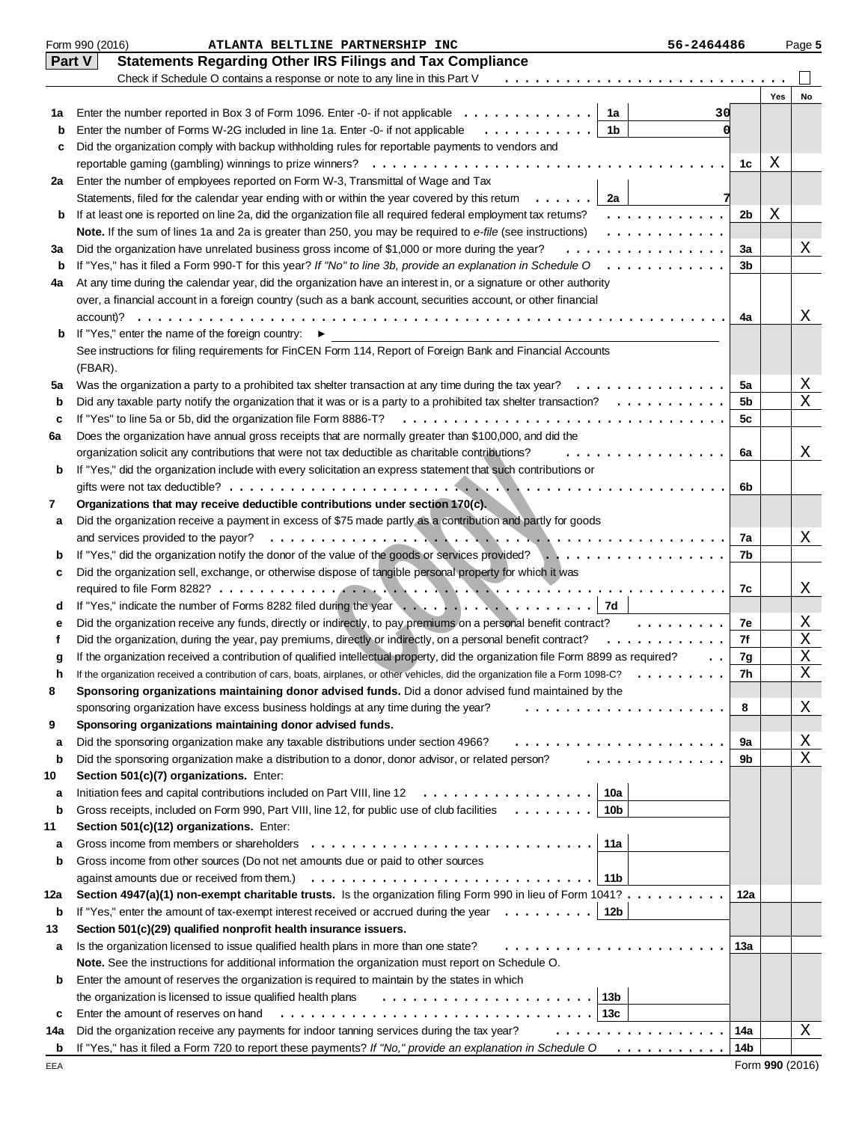|     | Form 990 (2016)<br>56-2464486<br>ATLANTA BELTLINE PARTNERSHIP INC                                                                                        |     |     | Page 5 |
|-----|----------------------------------------------------------------------------------------------------------------------------------------------------------|-----|-----|--------|
|     | <b>Statements Regarding Other IRS Filings and Tax Compliance</b><br><b>Part V</b>                                                                        |     |     |        |
|     | Check if Schedule O contains a response or note to any line in this Part V                                                                               |     |     |        |
|     |                                                                                                                                                          |     | Yes | No     |
| 1a  | Enter the number reported in Box 3 of Form 1096. Enter -0- if not applicable $\dots \dots \dots \dots$<br>1a<br>30                                       |     |     |        |
| b   | Enter the number of Forms W-2G included in line 1a. Enter -0- if not applicable<br>1b<br>.                                                               |     |     |        |
| c   | Did the organization comply with backup withholding rules for reportable payments to vendors and                                                         |     |     |        |
|     |                                                                                                                                                          | 1c  | Χ   |        |
| 2a  | Enter the number of employees reported on Form W-3, Transmittal of Wage and Tax                                                                          |     |     |        |
|     | Statements, filed for the calendar year ending with or within the year covered by this retum<br>2a                                                       |     |     |        |
| b   | If at least one is reported on line 2a, did the organization file all required federal employment tax returns?<br>.                                      | 2b  | Χ   |        |
|     | Note. If the sum of lines 1a and 2a is greater than 250, you may be required to e-file (see instructions)<br>.                                           |     |     |        |
| За  | Did the organization have unrelated business gross income of \$1,000 or more during the year?<br>.                                                       | За  |     | Χ      |
| b   | If "Yes," has it filed a Form 990-T for this year? If "No" to line 3b, provide an explanation in Schedule $0$ ,                                          | 3b  |     |        |
| 4a  | At any time during the calendar year, did the organization have an interest in, or a signature or other authority                                        |     |     |        |
|     | over, a financial account in a foreign country (such as a bank account, securities account, or other financial                                           | 4a  |     |        |
| b   | account)?<br>If "Yes," enter the name of the foreign country: ▶                                                                                          |     |     | Χ      |
|     | See instructions for filing requirements for FinCEN Form 114, Report of Foreign Bank and Financial Accounts                                              |     |     |        |
|     | (FBAR).                                                                                                                                                  |     |     |        |
| 5a  | Was the organization a party to a prohibited tax shelter transaction at any time during the tax year?<br>.                                               | 5a  |     | Χ      |
| b   | Did any taxable party notify the organization that it was or is a party to a prohibited tax shelter transaction? $\ldots \ldots \ldots$                  | 5b  |     | X      |
| c   | If "Yes" to line 5a or 5b, did the organization file Form 8886-T?                                                                                        | 5с  |     |        |
| 6a  | Does the organization have annual gross receipts that are normally greater than \$100,000, and did the                                                   |     |     |        |
|     | organization solicit any contributions that were not tax deductible as charitable contributions?<br>.                                                    | 6a  |     | Χ      |
| b   | If "Yes," did the organization include with every solicitation an express statement that such contributions or                                           |     |     |        |
|     |                                                                                                                                                          | 6b  |     |        |
| 7   | Organizations that may receive deductible contributions under section 170(c).                                                                            |     |     |        |
| а   | Did the organization receive a payment in excess of \$75 made partly as a contribution and partly for goods                                              |     |     |        |
|     | and services provided to the payor?                                                                                                                      | 7a  |     | Χ      |
| b   | If "Yes," did the organization notify the donor of the value of the goods or services provided?                                                          | 7b  |     |        |
| c   | Did the organization sell, exchange, or otherwise dispose of tangible personal property for which it was                                                 |     |     |        |
|     |                                                                                                                                                          | 7c  |     | Χ      |
| d   |                                                                                                                                                          |     |     |        |
| е   | Did the organization receive any funds, directly or indirectly, to pay premiums on a personal benefit contract?                                          | 7e  |     | Χ      |
| f   | Did the organization, during the year, pay premiums, directly or indirectly, on a personal benefit contract?<br>.                                        | 7f  |     | Χ      |
| g   | If the organization received a contribution of qualified intellectual property, did the organization file Form 8899 as required?                         | 7g  |     | X      |
|     | If the organization received a contribution of cars, boats, airplanes, or other vehicles, did the organization file a Form 1098-C?                       | 7h  |     | X      |
| 8   | Sponsoring organizations maintaining donor advised funds. Did a donor advised fund maintained by the                                                     |     |     |        |
|     | sponsoring organization have excess business holdings at any time during the year?<br>.                                                                  | 8   |     | Χ      |
| 9   | Sponsoring organizations maintaining donor advised funds.                                                                                                |     |     |        |
| а   | Did the sponsoring organization make any taxable distributions under section 4966?                                                                       | 9a  |     | Χ      |
| b   | a a drama a la ciudad de<br>Did the sponsoring organization make a distribution to a donor, donor advisor, or related person?                            | 9b  |     | X      |
| 10  | Section 501(c)(7) organizations. Enter:                                                                                                                  |     |     |        |
| а   | Initiation fees and capital contributions included on Part VIII, line 12<br>10a                                                                          |     |     |        |
| b   | Gross receipts, included on Form 990, Part VIII, line 12, for public use of club facilities<br>10 <sub>b</sub>                                           |     |     |        |
| 11  | Section 501(c)(12) organizations. Enter:                                                                                                                 |     |     |        |
| а   | Gross income from members or shareholders<br>11a                                                                                                         |     |     |        |
| b   | Gross income from other sources (Do not net amounts due or paid to other sources                                                                         |     |     |        |
|     | against amounts due or received from them.)<br>11b                                                                                                       |     |     |        |
| 12a | Section 4947(a)(1) non-exempt charitable trusts. Is the organization filing Form 990 in lieu of Form 1041?<br>12 <sub>b</sub>                            | 12a |     |        |
| b   | If "Yes," enter the amount of tax-exempt interest received or accrued during the year $\dots \dots \dots$                                                |     |     |        |
| 13  | Section 501(c)(29) qualified nonprofit health insurance issuers.<br>Is the organization licensed to issue qualified health plans in more than one state? | 13а |     |        |
| а   | Note. See the instructions for additional information the organization must report on Schedule O.                                                        |     |     |        |
| b   | Enter the amount of reserves the organization is required to maintain by the states in which                                                             |     |     |        |
|     | 13 <sub>b</sub><br>the organization is licensed to issue qualified health plans                                                                          |     |     |        |
| c   | Enter the amount of reserves on hand<br>13с                                                                                                              |     |     |        |
| 14a | Did the organization receive any payments for indoor tanning services during the tax year?<br>.                                                          | 14a |     | Χ      |
| b   | If "Yes," has it filed a Form 720 to report these payments? If "No," provide an explanation in Schedule $0$ ,                                            | 14b |     |        |
|     |                                                                                                                                                          |     |     |        |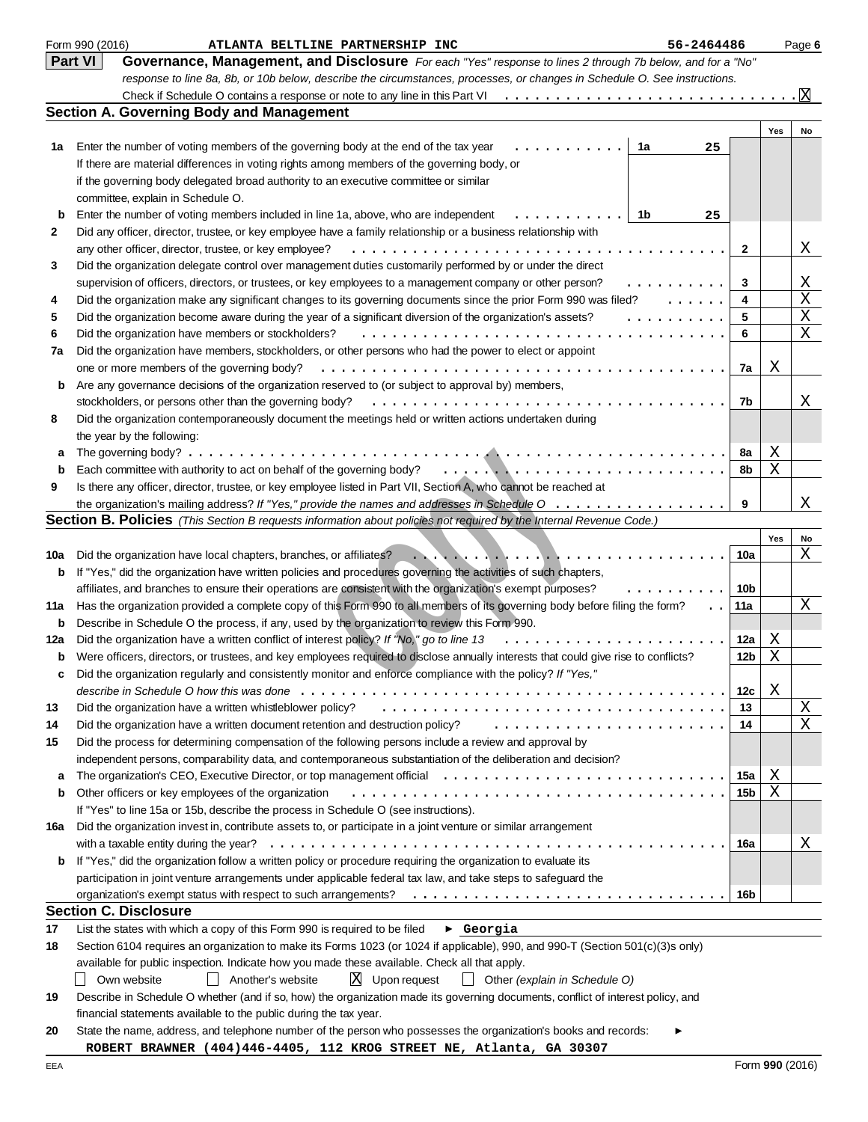|              | Form 990 (2016)<br>ATLANTA BELTLINE PARTNERSHIP INC<br>56-2464486                                                                                                                                                                                                                                                                                                                                                                                                                                                                                           |              |     | Page 6 |
|--------------|-------------------------------------------------------------------------------------------------------------------------------------------------------------------------------------------------------------------------------------------------------------------------------------------------------------------------------------------------------------------------------------------------------------------------------------------------------------------------------------------------------------------------------------------------------------|--------------|-----|--------|
|              | <b>Part VI</b><br>Governance, Management, and Disclosure For each "Yes" response to lines 2 through 7b below, and for a "No"                                                                                                                                                                                                                                                                                                                                                                                                                                |              |     |        |
|              | response to line 8a, 8b, or 10b below, describe the circumstances, processes, or changes in Schedule O. See instructions.                                                                                                                                                                                                                                                                                                                                                                                                                                   |              |     |        |
|              |                                                                                                                                                                                                                                                                                                                                                                                                                                                                                                                                                             |              |     | X      |
|              | <b>Section A. Governing Body and Management</b>                                                                                                                                                                                                                                                                                                                                                                                                                                                                                                             |              |     |        |
|              |                                                                                                                                                                                                                                                                                                                                                                                                                                                                                                                                                             |              | Yes | No     |
| 1a           | Enter the number of voting members of the governing body at the end of the tax year<br>1a<br>25                                                                                                                                                                                                                                                                                                                                                                                                                                                             |              |     |        |
|              | If there are material differences in voting rights among members of the governing body, or                                                                                                                                                                                                                                                                                                                                                                                                                                                                  |              |     |        |
|              | if the governing body delegated broad authority to an executive committee or similar                                                                                                                                                                                                                                                                                                                                                                                                                                                                        |              |     |        |
|              | committee, explain in Schedule O.                                                                                                                                                                                                                                                                                                                                                                                                                                                                                                                           |              |     |        |
| b            | 1b<br>Enter the number of voting members included in line 1a, above, who are independent<br>25                                                                                                                                                                                                                                                                                                                                                                                                                                                              |              |     |        |
| $\mathbf{2}$ | Did any officer, director, trustee, or key employee have a family relationship or a business relationship with                                                                                                                                                                                                                                                                                                                                                                                                                                              | $\mathbf{2}$ |     | Χ      |
| 3            | any other officer, director, trustee, or key employee?<br>Did the organization delegate control over management duties customarily performed by or under the direct                                                                                                                                                                                                                                                                                                                                                                                         |              |     |        |
|              | supervision of officers, directors, or trustees, or key employees to a management company or other person?<br>.                                                                                                                                                                                                                                                                                                                                                                                                                                             | 3            |     | Χ      |
| 4            | Did the organization make any significant changes to its governing documents since the prior Form 990 was filed?<br>$\mathbf{1}$                                                                                                                                                                                                                                                                                                                                                                                                                            | 4            |     | X      |
| 5            | Did the organization become aware during the year of a significant diversion of the organization's assets?<br>.                                                                                                                                                                                                                                                                                                                                                                                                                                             | 5            |     | Χ      |
| 6            | Did the organization have members or stockholders?<br>$\sim$                                                                                                                                                                                                                                                                                                                                                                                                                                                                                                | 6            |     | X      |
| 7a           | Did the organization have members, stockholders, or other persons who had the power to elect or appoint                                                                                                                                                                                                                                                                                                                                                                                                                                                     |              |     |        |
|              | one or more members of the governing body?<br>.                                                                                                                                                                                                                                                                                                                                                                                                                                                                                                             | 7a           | Χ   |        |
| b            | Are any governance decisions of the organization reserved to (or subject to approval by) members,                                                                                                                                                                                                                                                                                                                                                                                                                                                           |              |     |        |
|              | stockholders, or persons other than the governing body?<br>.                                                                                                                                                                                                                                                                                                                                                                                                                                                                                                | 7b           |     | Χ      |
| 8            | Did the organization contemporaneously document the meetings held or written actions undertaken during                                                                                                                                                                                                                                                                                                                                                                                                                                                      |              |     |        |
|              | the year by the following:                                                                                                                                                                                                                                                                                                                                                                                                                                                                                                                                  |              |     |        |
| a            | The governing body? $\ldots$                                                                                                                                                                                                                                                                                                                                                                                                                                                                                                                                | 8a           | Χ   |        |
| b            | Each committee with authority to act on behalf of the governing body?                                                                                                                                                                                                                                                                                                                                                                                                                                                                                       | 8b           | Χ   |        |
| 9            | Is there any officer, director, trustee, or key employee listed in Part VII, Section A, who cannot be reached at                                                                                                                                                                                                                                                                                                                                                                                                                                            |              |     |        |
|              |                                                                                                                                                                                                                                                                                                                                                                                                                                                                                                                                                             | 9            |     | Χ      |
|              | Section B. Policies (This Section B requests information about policies not required by the Internal Revenue Code.)                                                                                                                                                                                                                                                                                                                                                                                                                                         |              |     |        |
|              |                                                                                                                                                                                                                                                                                                                                                                                                                                                                                                                                                             |              | Yes | No     |
| 10a          | Did the organization have local chapters, branches, or affiliates?<br>$\mathbf{1} \cdot \mathbf{1} \cdot \mathbf{1} \cdot \mathbf{1} \cdot \mathbf{1} \cdot \mathbf{1} \cdot \mathbf{1} \cdot \mathbf{1} \cdot \mathbf{1} \cdot \mathbf{1} \cdot \mathbf{1} \cdot \mathbf{1} \cdot \mathbf{1} \cdot \mathbf{1} \cdot \mathbf{1} \cdot \mathbf{1} \cdot \mathbf{1} \cdot \mathbf{1} \cdot \mathbf{1} \cdot \mathbf{1} \cdot \mathbf{1} \cdot \mathbf{1} \cdot \mathbf{1} \cdot \mathbf{1} \cdot \mathbf{1} \cdot \mathbf{1} \cdot \mathbf{1} \cdot \mathbf{$ | 10a          |     | Χ      |
| b            | If "Yes," did the organization have written policies and procedures governing the activities of such chapters,                                                                                                                                                                                                                                                                                                                                                                                                                                              |              |     |        |
|              | affiliates, and branches to ensure their operations are consistent with the organization's exempt purposes?                                                                                                                                                                                                                                                                                                                                                                                                                                                 | 10b          |     |        |
| 11a          | Has the organization provided a complete copy of this Form 990 to all members of its governing body before filing the form?                                                                                                                                                                                                                                                                                                                                                                                                                                 | 11a          |     | Χ      |
| b            | Describe in Schedule O the process, if any, used by the organization to review this Form 990.                                                                                                                                                                                                                                                                                                                                                                                                                                                               |              |     |        |
| 12a          | Did the organization have a written conflict of interest policy? If "No," go to line 13                                                                                                                                                                                                                                                                                                                                                                                                                                                                     | 12a          | Χ   |        |
| b            | Were officers, directors, or trustees, and key employees required to disclose annually interests that could give rise to conflicts?<br>Did the organization regularly and consistently monitor and enforce compliance with the policy? If "Yes,"                                                                                                                                                                                                                                                                                                            | 12b          | X   |        |
|              |                                                                                                                                                                                                                                                                                                                                                                                                                                                                                                                                                             |              | Χ   |        |
| 13           | Did the organization have a written whistleblower policy?                                                                                                                                                                                                                                                                                                                                                                                                                                                                                                   | 12c<br>13    |     | Χ      |
| 14           | Did the organization have a written document retention and destruction policy?                                                                                                                                                                                                                                                                                                                                                                                                                                                                              | 14           |     | Χ      |
| 15           | Did the process for determining compensation of the following persons include a review and approval by                                                                                                                                                                                                                                                                                                                                                                                                                                                      |              |     |        |
|              | independent persons, comparability data, and contemporaneous substantiation of the deliberation and decision?                                                                                                                                                                                                                                                                                                                                                                                                                                               |              |     |        |
| a            |                                                                                                                                                                                                                                                                                                                                                                                                                                                                                                                                                             | 15a          | Χ   |        |
| b            | Other officers or key employees of the organization                                                                                                                                                                                                                                                                                                                                                                                                                                                                                                         | 15b          | X   |        |
|              | If "Yes" to line 15a or 15b, describe the process in Schedule O (see instructions).                                                                                                                                                                                                                                                                                                                                                                                                                                                                         |              |     |        |
| 16a          | Did the organization invest in, contribute assets to, or participate in a joint venture or similar arrangement                                                                                                                                                                                                                                                                                                                                                                                                                                              |              |     |        |
|              | with a taxable entity during the year?                                                                                                                                                                                                                                                                                                                                                                                                                                                                                                                      | 16a          |     | Χ      |
| b            | If "Yes," did the organization follow a written policy or procedure requiring the organization to evaluate its                                                                                                                                                                                                                                                                                                                                                                                                                                              |              |     |        |
|              | participation in joint venture arrangements under applicable federal tax law, and take steps to safeguard the                                                                                                                                                                                                                                                                                                                                                                                                                                               |              |     |        |
|              | organization's exempt status with respect to such arrangements?                                                                                                                                                                                                                                                                                                                                                                                                                                                                                             | 16b          |     |        |
|              | <b>Section C. Disclosure</b>                                                                                                                                                                                                                                                                                                                                                                                                                                                                                                                                |              |     |        |
| 17           | List the states with which a copy of this Form 990 is required to be filed<br>$\blacktriangleright$ Georgia                                                                                                                                                                                                                                                                                                                                                                                                                                                 |              |     |        |
| 18           | Section 6104 requires an organization to make its Forms 1023 (or 1024 if applicable), 990, and 990-T (Section 501(c)(3)s only)                                                                                                                                                                                                                                                                                                                                                                                                                              |              |     |        |
|              | available for public inspection. Indicate how you made these available. Check all that apply.                                                                                                                                                                                                                                                                                                                                                                                                                                                               |              |     |        |
|              | $X$ Upon request<br>Own website<br>Another's website<br>$\Box$ Other (explain in Schedule O)                                                                                                                                                                                                                                                                                                                                                                                                                                                                |              |     |        |
| 19           | Describe in Schedule O whether (and if so, how) the organization made its governing documents, conflict of interest policy, and                                                                                                                                                                                                                                                                                                                                                                                                                             |              |     |        |
|              | financial statements available to the public during the tax year.                                                                                                                                                                                                                                                                                                                                                                                                                                                                                           |              |     |        |
| 20           | State the name, address, and telephone number of the person who possesses the organization's books and records:                                                                                                                                                                                                                                                                                                                                                                                                                                             |              |     |        |
|              | ROBERT BRAWNER (404)446-4405, 112 KROG STREET NE, Atlanta, GA 30307                                                                                                                                                                                                                                                                                                                                                                                                                                                                                         |              |     |        |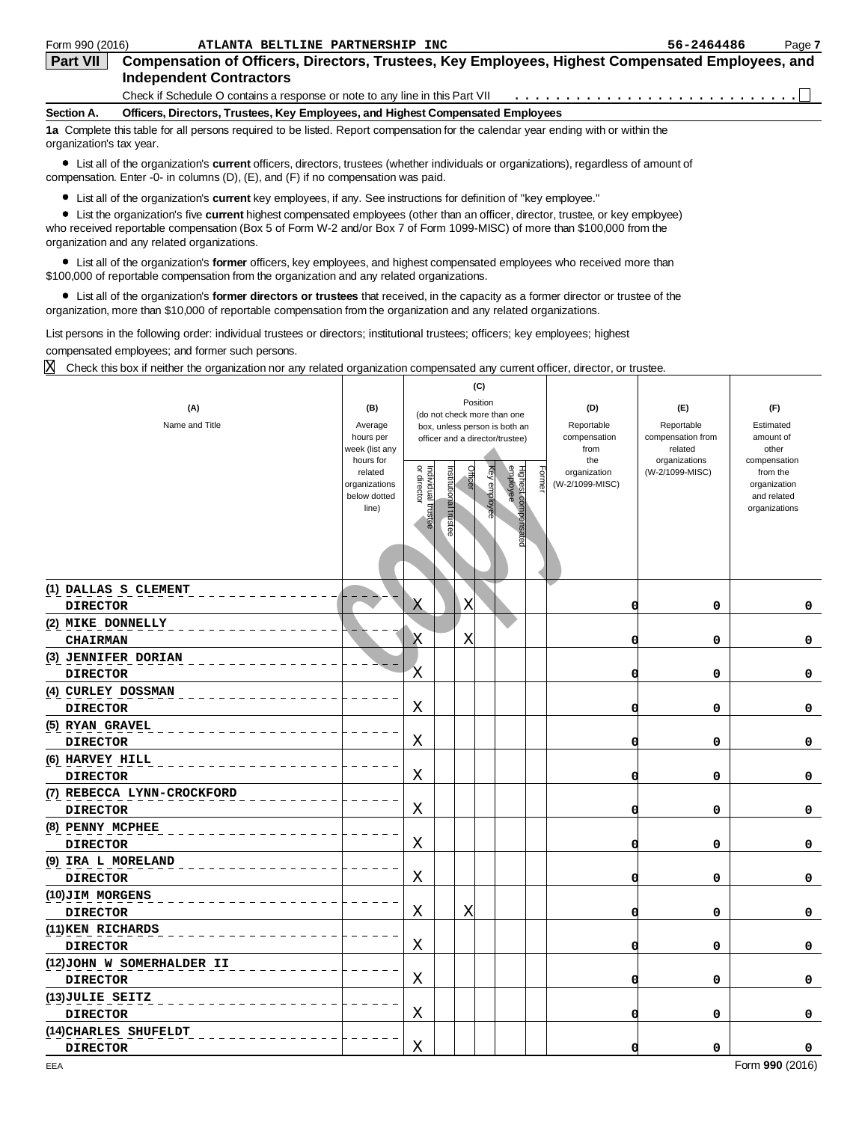| Form 990 (2016)          | ATLANTA BELTLINE PARTNERSHIP INC                                                                                                   | 56-2464486 | Page 7 |
|--------------------------|------------------------------------------------------------------------------------------------------------------------------------|------------|--------|
| <b>Part VII</b>          | Compensation of Officers, Directors, Trustees, Key Employees, Highest Compensated Employees, and<br><b>Independent Contractors</b> |            |        |
|                          | Check if Schedule O contains a response or note to any line in this Part VII                                                       |            |        |
| Section A.               | Officers, Directors, Trustees, Key Employees, and Highest Compensated Employees                                                    |            |        |
| organization's tax year. | 1a Complete this table for all persons required to be listed. Report compensation for the calendar year ending with or within the  |            |        |

| Form 990 (2016)                        | ATLANTA BELTLINE PARTNERSHIP INC                                                                                                                                                                                                                                                                           |                             |                                   |                      |         |                                                 |       |                                 | 56-2464486                   | Page 7                   |
|----------------------------------------|------------------------------------------------------------------------------------------------------------------------------------------------------------------------------------------------------------------------------------------------------------------------------------------------------------|-----------------------------|-----------------------------------|----------------------|---------|-------------------------------------------------|-------|---------------------------------|------------------------------|--------------------------|
| Part VII                               | Compensation of Officers, Directors, Trustees, Key Employees, Highest Compensated Employees, and<br><b>Independent Contractors</b>                                                                                                                                                                         |                             |                                   |                      |         |                                                 |       |                                 |                              |                          |
|                                        | Check if Schedule O contains a response or note to any line in this Part VII                                                                                                                                                                                                                               |                             |                                   |                      |         |                                                 |       |                                 |                              |                          |
| Section A.                             | Officers, Directors, Trustees, Key Employees, and Highest Compensated Employees                                                                                                                                                                                                                            |                             |                                   |                      |         |                                                 |       |                                 |                              |                          |
| organization's tax year.               | 1a Complete this table for all persons required to be listed. Report compensation for the calendar year ending with or within the                                                                                                                                                                          |                             |                                   |                      |         |                                                 |       |                                 |                              |                          |
|                                        | • List all of the organization's <b>current</b> officers, directors, trustees (whether individuals or organizations), regardless of amount of<br>compensation. Enter -0- in columns $(D)$ , $(E)$ , and $(F)$ if no compensation was paid.                                                                 |                             |                                   |                      |         |                                                 |       |                                 |                              |                          |
|                                        | • List all of the organization's <b>current</b> key employees, if any. See instructions for definition of "key employee."                                                                                                                                                                                  |                             |                                   |                      |         |                                                 |       |                                 |                              |                          |
|                                        | • List the organization's five current highest compensated employees (other than an officer, director, trustee, or key employee)<br>who received reportable compensation (Box 5 of Form W-2 and/or Box 7 of Form 1099-MISC) of more than \$100,000 from the<br>organization and any related organizations. |                             |                                   |                      |         |                                                 |       |                                 |                              |                          |
|                                        | • List all of the organization's former officers, key employees, and highest compensated employees who received more than<br>\$100,000 of reportable compensation from the organization and any related organizations.                                                                                     |                             |                                   |                      |         |                                                 |       |                                 |                              |                          |
|                                        | • List all of the organization's former directors or trustees that received, in the capacity as a former director or trustee of the<br>organization, more than \$10,000 of reportable compensation from the organization and any related organizations.                                                    |                             |                                   |                      |         |                                                 |       |                                 |                              |                          |
|                                        | List persons in the following order: individual trustees or directors; institutional trustees; officers; key employees; highest                                                                                                                                                                            |                             |                                   |                      |         |                                                 |       |                                 |                              |                          |
|                                        | compensated employees; and former such persons.                                                                                                                                                                                                                                                            |                             |                                   |                      |         |                                                 |       |                                 |                              |                          |
| X                                      | Check this box if neither the organization nor any related organization compensated any current officer, director, or trustee.                                                                                                                                                                             |                             |                                   |                      |         |                                                 |       |                                 |                              |                          |
|                                        |                                                                                                                                                                                                                                                                                                            |                             |                                   |                      |         | (C)                                             |       |                                 |                              |                          |
|                                        | (A)                                                                                                                                                                                                                                                                                                        | (B)                         |                                   |                      |         | Position<br>(do not check more than one         |       | (D)                             | (E)                          | (F)                      |
|                                        | Name and Title                                                                                                                                                                                                                                                                                             | Average                     |                                   |                      |         | box, unless person is both an                   |       | Reportable                      | Reportable                   | Estimated                |
|                                        |                                                                                                                                                                                                                                                                                                            | hours per<br>week (list any |                                   |                      |         | officer and a director/trustee)                 |       | compensation<br>from            | compensation from<br>related | amount of<br>other       |
|                                        |                                                                                                                                                                                                                                                                                                            | hours for                   |                                   |                      |         |                                                 |       | the                             | organizations                | compensation             |
|                                        |                                                                                                                                                                                                                                                                                                            | related<br>organizations    | Individual trustee<br>or director | nstitutional trustee | Officer | Highest compensated<br>employee<br>Key employee | =orme | organization<br>(W-2/1099-MISC) | (W-2/1099-MISC)              | from the<br>organization |
|                                        |                                                                                                                                                                                                                                                                                                            | below dotted                |                                   |                      |         |                                                 |       |                                 |                              | and related              |
|                                        |                                                                                                                                                                                                                                                                                                            | line)                       |                                   |                      |         |                                                 |       |                                 |                              | organizations            |
|                                        |                                                                                                                                                                                                                                                                                                            |                             |                                   |                      |         |                                                 |       |                                 |                              |                          |
|                                        |                                                                                                                                                                                                                                                                                                            |                             |                                   |                      |         |                                                 |       |                                 |                              |                          |
|                                        |                                                                                                                                                                                                                                                                                                            |                             |                                   |                      |         |                                                 |       |                                 |                              |                          |
|                                        | (1) DALLAS S CLEMENT                                                                                                                                                                                                                                                                                       |                             |                                   |                      |         |                                                 |       |                                 |                              |                          |
| <b>DIRECTOR</b>                        |                                                                                                                                                                                                                                                                                                            |                             | Χ                                 |                      | Χ       |                                                 |       | 0                               | 0                            | 0                        |
| (2) MIKE DONNELLY                      |                                                                                                                                                                                                                                                                                                            |                             |                                   |                      |         |                                                 |       |                                 |                              |                          |
| <b>CHAIRMAN</b>                        |                                                                                                                                                                                                                                                                                                            |                             | Χ                                 |                      | Χ       |                                                 |       | Ω                               | 0                            | 0                        |
| (3) JENNIFER DORIAN<br><b>DIRECTOR</b> |                                                                                                                                                                                                                                                                                                            |                             | X                                 |                      |         |                                                 |       |                                 | 0                            | 0                        |
| (4) CURLEY DOSSMAN                     |                                                                                                                                                                                                                                                                                                            |                             |                                   |                      |         |                                                 |       |                                 |                              |                          |
| <b>DIRECTOR</b>                        |                                                                                                                                                                                                                                                                                                            |                             | Χ                                 |                      |         |                                                 |       |                                 | 0                            | 0                        |
| (5) RYAN GRAVEL                        |                                                                                                                                                                                                                                                                                                            |                             |                                   |                      |         |                                                 |       |                                 |                              |                          |
| <b>DIRECTOR</b>                        |                                                                                                                                                                                                                                                                                                            |                             | Χ                                 |                      |         |                                                 |       |                                 | 0                            | 0                        |
| (6) HARVEY HILL<br><b>DIRECTOR</b>     |                                                                                                                                                                                                                                                                                                            |                             | Χ                                 |                      |         |                                                 |       |                                 | 0                            | 0                        |
|                                        | (7) REBECCA LYNN-CROCKFORD                                                                                                                                                                                                                                                                                 |                             |                                   |                      |         |                                                 |       |                                 |                              |                          |
| <b>DIRECTOR</b>                        |                                                                                                                                                                                                                                                                                                            |                             | Χ                                 |                      |         |                                                 |       |                                 | 0                            | 0                        |
| (8) PENNY MCPHEE                       |                                                                                                                                                                                                                                                                                                            |                             |                                   |                      |         |                                                 |       |                                 |                              |                          |
| <b>DIRECTOR</b>                        |                                                                                                                                                                                                                                                                                                            |                             | Χ                                 |                      |         |                                                 |       |                                 | 0                            | 0                        |
| (9) IRA L MORELAND                     |                                                                                                                                                                                                                                                                                                            |                             |                                   |                      |         |                                                 |       |                                 |                              |                          |
| <b>DIRECTOR</b>                        |                                                                                                                                                                                                                                                                                                            |                             | Χ                                 |                      |         |                                                 |       |                                 | 0                            | 0                        |
| (10)JIM MORGENS                        |                                                                                                                                                                                                                                                                                                            |                             |                                   |                      |         |                                                 |       |                                 |                              |                          |
| <b>DIRECTOR</b>                        |                                                                                                                                                                                                                                                                                                            |                             | Χ                                 |                      | х       |                                                 |       |                                 | 0                            | 0                        |
| (11) KEN RICHARDS                      |                                                                                                                                                                                                                                                                                                            |                             |                                   |                      |         |                                                 |       |                                 |                              |                          |
| <b>DIRECTOR</b>                        |                                                                                                                                                                                                                                                                                                            |                             | Χ                                 |                      |         |                                                 |       |                                 | 0                            | 0                        |
|                                        | (12) JOHN W SOMERHALDER II                                                                                                                                                                                                                                                                                 |                             |                                   |                      |         |                                                 |       |                                 |                              |                          |
| <b>DIRECTOR</b>                        |                                                                                                                                                                                                                                                                                                            |                             | Χ                                 |                      |         |                                                 |       |                                 | 0                            | 0                        |
| (13) JULIE SEITZ<br><b>DIRECTOR</b>    |                                                                                                                                                                                                                                                                                                            |                             | Χ                                 |                      |         |                                                 |       |                                 | 0                            | 0                        |
|                                        | (14) CHARLES SHUFELDT                                                                                                                                                                                                                                                                                      |                             |                                   |                      |         |                                                 |       |                                 |                              |                          |
| <b>DIRECTOR</b>                        |                                                                                                                                                                                                                                                                                                            |                             | Χ                                 |                      |         |                                                 |       |                                 | 0                            | 0                        |
|                                        |                                                                                                                                                                                                                                                                                                            |                             |                                   |                      |         |                                                 |       |                                 |                              |                          |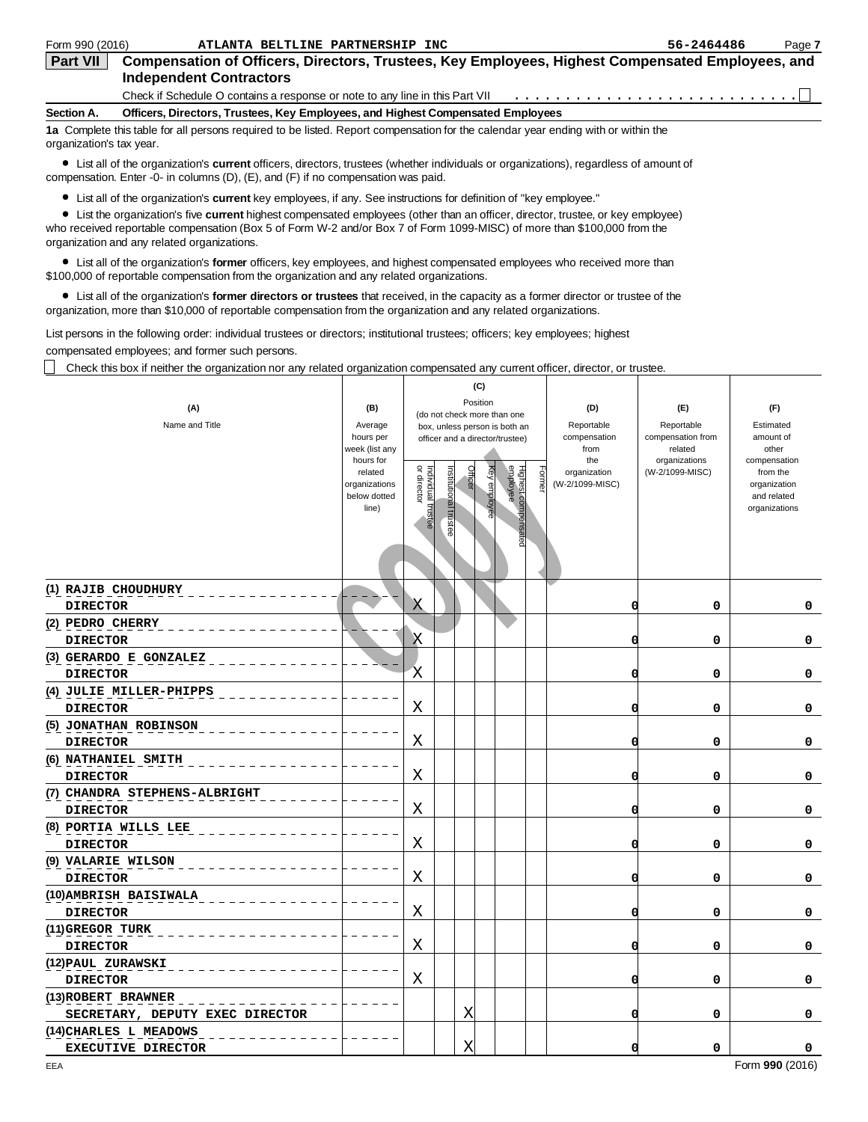| Form 990 (2016)          | ATLANTA BELTLINE PARTNERSHIP INC                                                                                                   | 56-2464486 | Page 7 |
|--------------------------|------------------------------------------------------------------------------------------------------------------------------------|------------|--------|
| <b>Part VII</b>          | Compensation of Officers, Directors, Trustees, Key Employees, Highest Compensated Employees, and<br><b>Independent Contractors</b> |            |        |
|                          | Check if Schedule O contains a response or note to any line in this Part VII                                                       |            |        |
| Section A.               | Officers, Directors, Trustees, Key Employees, and Highest Compensated Employees                                                    |            |        |
| organization's tax year. | 1a Complete this table for all persons required to be listed. Report compensation for the calendar year ending with or within the  |            |        |

| Form 990 (2016)                       | ATLANTA BELTLINE PARTNERSHIP INC                                                                                                                                                                                                                                                                           |                             |                                   |                      |                                                            |       |                                 | 56-2464486                   | Page 7                   |
|---------------------------------------|------------------------------------------------------------------------------------------------------------------------------------------------------------------------------------------------------------------------------------------------------------------------------------------------------------|-----------------------------|-----------------------------------|----------------------|------------------------------------------------------------|-------|---------------------------------|------------------------------|--------------------------|
| Part VII                              | Compensation of Officers, Directors, Trustees, Key Employees, Highest Compensated Employees, and<br><b>Independent Contractors</b>                                                                                                                                                                         |                             |                                   |                      |                                                            |       |                                 |                              |                          |
|                                       | Check if Schedule O contains a response or note to any line in this Part VII                                                                                                                                                                                                                               |                             |                                   |                      |                                                            |       |                                 |                              |                          |
| Section A.                            | Officers, Directors, Trustees, Key Employees, and Highest Compensated Employees                                                                                                                                                                                                                            |                             |                                   |                      |                                                            |       |                                 |                              |                          |
| organization's tax year.              | 1a Complete this table for all persons required to be listed. Report compensation for the calendar year ending with or within the                                                                                                                                                                          |                             |                                   |                      |                                                            |       |                                 |                              |                          |
|                                       | • List all of the organization's <b>current</b> officers, directors, trustees (whether individuals or organizations), regardless of amount of<br>compensation. Enter -0- in columns $(D)$ , $(E)$ , and $(F)$ if no compensation was paid.                                                                 |                             |                                   |                      |                                                            |       |                                 |                              |                          |
|                                       | • List all of the organization's current key employees, if any. See instructions for definition of "key employee."                                                                                                                                                                                         |                             |                                   |                      |                                                            |       |                                 |                              |                          |
|                                       | • List the organization's five current highest compensated employees (other than an officer, director, trustee, or key employee)<br>who received reportable compensation (Box 5 of Form W-2 and/or Box 7 of Form 1099-MISC) of more than \$100,000 from the<br>organization and any related organizations. |                             |                                   |                      |                                                            |       |                                 |                              |                          |
|                                       | • List all of the organization's former officers, key employees, and highest compensated employees who received more than<br>\$100,000 of reportable compensation from the organization and any related organizations.                                                                                     |                             |                                   |                      |                                                            |       |                                 |                              |                          |
|                                       | • List all of the organization's former directors or trustees that received, in the capacity as a former director or trustee of the<br>organization, more than \$10,000 of reportable compensation from the organization and any related organizations.                                                    |                             |                                   |                      |                                                            |       |                                 |                              |                          |
|                                       | List persons in the following order: individual trustees or directors; institutional trustees; officers; key employees; highest                                                                                                                                                                            |                             |                                   |                      |                                                            |       |                                 |                              |                          |
|                                       | compensated employees; and former such persons.                                                                                                                                                                                                                                                            |                             |                                   |                      |                                                            |       |                                 |                              |                          |
|                                       | Check this box if neither the organization nor any related organization compensated any current officer, director, or trustee.                                                                                                                                                                             |                             |                                   |                      |                                                            |       |                                 |                              |                          |
|                                       |                                                                                                                                                                                                                                                                                                            |                             |                                   |                      | (C)                                                        |       |                                 |                              |                          |
|                                       | (A)                                                                                                                                                                                                                                                                                                        | (B)                         |                                   |                      | Position<br>(do not check more than one                    |       | (D)                             | (E)                          | (F)                      |
|                                       | Name and Title                                                                                                                                                                                                                                                                                             | Average                     |                                   |                      | box, unless person is both an                              |       | Reportable                      | Reportable                   | Estimated                |
|                                       |                                                                                                                                                                                                                                                                                                            | hours per<br>week (list any |                                   |                      | officer and a director/trustee)                            |       | compensation<br>from            | compensation from<br>related | amount of<br>other       |
|                                       |                                                                                                                                                                                                                                                                                                            | hours for                   |                                   |                      |                                                            |       | the                             | organizations                | compensation             |
|                                       |                                                                                                                                                                                                                                                                                                            | related<br>organizations    | Individual trustee<br>or director | nstitutional trustee | Officer<br>Highest compensated<br>employee<br>Key employee | =orme | organization<br>(W-2/1099-MISC) | (W-2/1099-MISC)              | from the<br>organization |
|                                       |                                                                                                                                                                                                                                                                                                            | below dotted                |                                   |                      |                                                            |       |                                 |                              | and related              |
|                                       |                                                                                                                                                                                                                                                                                                            | line)                       |                                   |                      |                                                            |       |                                 |                              | organizations            |
|                                       |                                                                                                                                                                                                                                                                                                            |                             |                                   |                      |                                                            |       |                                 |                              |                          |
|                                       |                                                                                                                                                                                                                                                                                                            |                             |                                   |                      |                                                            |       |                                 |                              |                          |
|                                       |                                                                                                                                                                                                                                                                                                            |                             |                                   |                      |                                                            |       |                                 |                              |                          |
| (1) RAJIB CHOUDHURY                   |                                                                                                                                                                                                                                                                                                            |                             |                                   |                      |                                                            |       |                                 |                              |                          |
| <b>DIRECTOR</b>                       |                                                                                                                                                                                                                                                                                                            |                             | Χ                                 |                      |                                                            |       | 0                               | 0                            | 0                        |
| (2) PEDRO CHERRY                      |                                                                                                                                                                                                                                                                                                            |                             |                                   |                      |                                                            |       |                                 |                              |                          |
| <b>DIRECTOR</b>                       |                                                                                                                                                                                                                                                                                                            |                             | Χ                                 |                      |                                                            |       | Ω                               | 0                            | 0                        |
|                                       | (3) GERARDO E GONZALEZ                                                                                                                                                                                                                                                                                     |                             |                                   |                      |                                                            |       |                                 |                              |                          |
| <b>DIRECTOR</b>                       |                                                                                                                                                                                                                                                                                                            |                             | Χ                                 |                      |                                                            |       |                                 | 0                            | 0                        |
|                                       | (4) JULIE MILLER-PHIPPS                                                                                                                                                                                                                                                                                    |                             |                                   |                      |                                                            |       |                                 |                              |                          |
| <b>DIRECTOR</b>                       |                                                                                                                                                                                                                                                                                                            |                             | Χ                                 |                      |                                                            |       |                                 | 0                            | 0                        |
|                                       | (5) JONATHAN ROBINSON                                                                                                                                                                                                                                                                                      |                             |                                   |                      |                                                            |       |                                 |                              |                          |
| <b>DIRECTOR</b>                       |                                                                                                                                                                                                                                                                                                            |                             | Χ                                 |                      |                                                            |       |                                 | 0                            | 0                        |
| (6) NATHANIEL SMITH                   |                                                                                                                                                                                                                                                                                                            |                             |                                   |                      |                                                            |       |                                 |                              |                          |
| <b>DIRECTOR</b>                       |                                                                                                                                                                                                                                                                                                            |                             | Χ                                 |                      |                                                            |       |                                 | 0                            | 0                        |
|                                       | (7) CHANDRA STEPHENS-ALBRIGHT                                                                                                                                                                                                                                                                              |                             |                                   |                      |                                                            |       |                                 |                              |                          |
| <b>DIRECTOR</b>                       |                                                                                                                                                                                                                                                                                                            |                             | Χ                                 |                      |                                                            |       |                                 | 0                            | 0                        |
|                                       | (8) PORTIA WILLS LEE                                                                                                                                                                                                                                                                                       |                             |                                   |                      |                                                            |       |                                 |                              |                          |
| <b>DIRECTOR</b>                       |                                                                                                                                                                                                                                                                                                            |                             | Χ                                 |                      |                                                            |       |                                 | 0                            | 0                        |
| (9) VALARIE WILSON<br><b>DIRECTOR</b> |                                                                                                                                                                                                                                                                                                            |                             | Χ                                 |                      |                                                            |       |                                 | 0                            | 0                        |
|                                       | (10) AMBRISH BAISIWALA                                                                                                                                                                                                                                                                                     |                             |                                   |                      |                                                            |       |                                 |                              |                          |
| <b>DIRECTOR</b>                       |                                                                                                                                                                                                                                                                                                            |                             | Χ                                 |                      |                                                            |       |                                 | 0                            | 0                        |
| (11) GREGOR TURK                      |                                                                                                                                                                                                                                                                                                            |                             |                                   |                      |                                                            |       |                                 |                              |                          |
| <b>DIRECTOR</b>                       |                                                                                                                                                                                                                                                                                                            |                             | Χ                                 |                      |                                                            |       |                                 | 0                            | 0                        |
| (12) PAUL ZURAWSKI                    |                                                                                                                                                                                                                                                                                                            |                             |                                   |                      |                                                            |       |                                 |                              |                          |
| <b>DIRECTOR</b>                       |                                                                                                                                                                                                                                                                                                            |                             | Χ                                 |                      |                                                            |       |                                 | 0                            | 0                        |
| (13) ROBERT BRAWNER                   |                                                                                                                                                                                                                                                                                                            |                             |                                   |                      |                                                            |       |                                 |                              |                          |
|                                       | SECRETARY, DEPUTY EXEC DIRECTOR                                                                                                                                                                                                                                                                            |                             |                                   | х                    |                                                            |       |                                 | 0                            | 0                        |
|                                       | (14) CHARLES L MEADOWS                                                                                                                                                                                                                                                                                     |                             |                                   |                      |                                                            |       |                                 |                              |                          |
|                                       | <b>EXECUTIVE DIRECTOR</b>                                                                                                                                                                                                                                                                                  |                             |                                   | х                    |                                                            |       |                                 | 0                            | 0                        |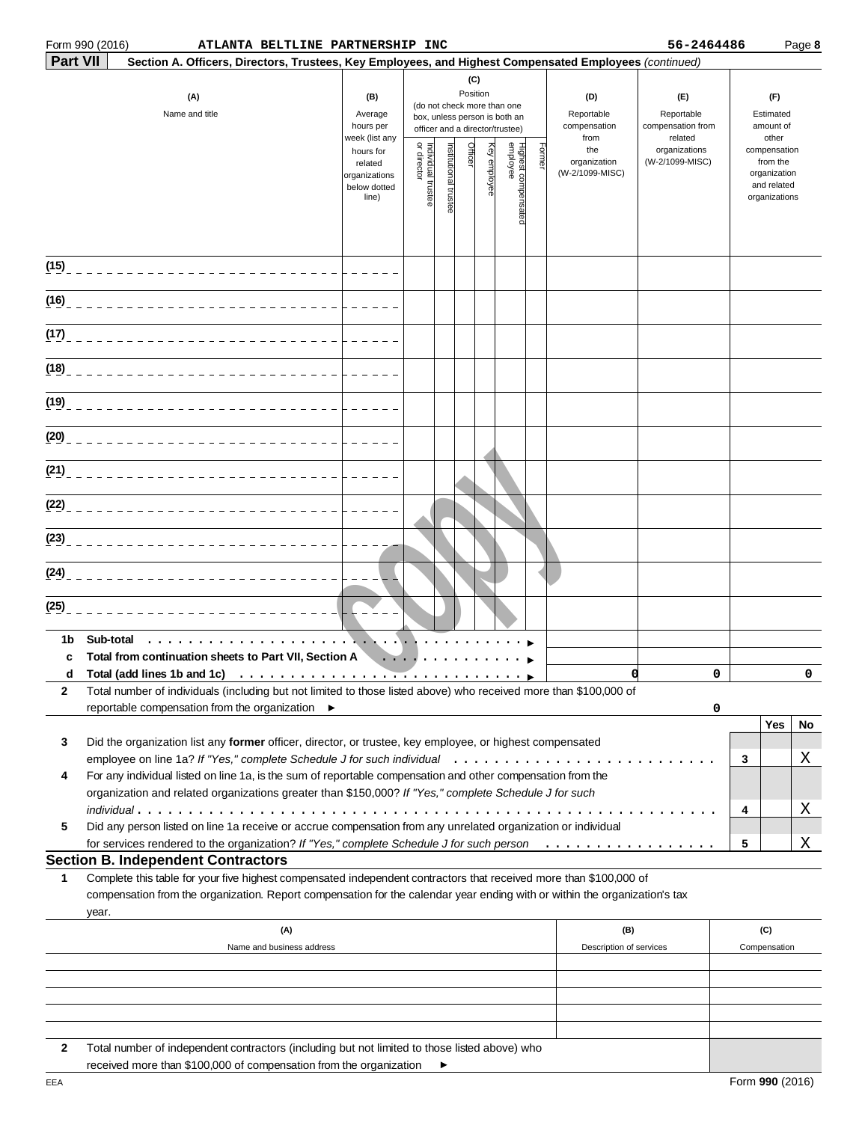|                 | Form 990 (2016)       |                                           | ATLANTA BELTLINE PARTNERSHIP INC                                                                                                                                                                                                                 |                                                                |                                                                                                                    |                      |       |                    |                                 |                                           |                                                   | 56-2464486                       |                                        |                                                                          | Page 8 |
|-----------------|-----------------------|-------------------------------------------|--------------------------------------------------------------------------------------------------------------------------------------------------------------------------------------------------------------------------------------------------|----------------------------------------------------------------|--------------------------------------------------------------------------------------------------------------------|----------------------|-------|--------------------|---------------------------------|-------------------------------------------|---------------------------------------------------|----------------------------------|----------------------------------------|--------------------------------------------------------------------------|--------|
| <b>Part VII</b> |                       |                                           | Section A. Officers, Directors, Trustees, Key Employees, and Highest Compensated Employees (continued)                                                                                                                                           |                                                                |                                                                                                                    |                      |       |                    |                                 |                                           |                                                   |                                  |                                        |                                                                          |        |
|                 | (A)<br>Name and title |                                           |                                                                                                                                                                                                                                                  | (B)<br>Average<br>hours per<br>week (list any                  | (C)<br>Position<br>(do not check more than one<br>box, unless person is both an<br>officer and a director/trustee) |                      |       |                    |                                 | (D)<br>Reportable<br>compensation<br>from | (E)<br>Reportable<br>compensation from<br>related |                                  | (F)<br>Estimated<br>amount of<br>other |                                                                          |        |
|                 |                       |                                           |                                                                                                                                                                                                                                                  | hours for<br>related<br>organizations<br>below dotted<br>line) | Individual trustee<br>or director                                                                                  | nstitutional trustee | 丰icel | <b>Gy employee</b> | Highest compensated<br>employee | Former                                    | the<br>organization<br>(W-2/1099-MISC)            | organizations<br>(W-2/1099-MISC) |                                        | compensation<br>from the<br>organization<br>and related<br>organizations |        |
| (15)            |                       |                                           |                                                                                                                                                                                                                                                  |                                                                |                                                                                                                    |                      |       |                    |                                 |                                           |                                                   |                                  |                                        |                                                                          |        |
| (16)            |                       |                                           |                                                                                                                                                                                                                                                  |                                                                |                                                                                                                    |                      |       |                    |                                 |                                           |                                                   |                                  |                                        |                                                                          |        |
| (17)            |                       |                                           |                                                                                                                                                                                                                                                  |                                                                |                                                                                                                    |                      |       |                    |                                 |                                           |                                                   |                                  |                                        |                                                                          |        |
| (18)            |                       |                                           |                                                                                                                                                                                                                                                  |                                                                |                                                                                                                    |                      |       |                    |                                 |                                           |                                                   |                                  |                                        |                                                                          |        |
| (19)            |                       |                                           |                                                                                                                                                                                                                                                  |                                                                |                                                                                                                    |                      |       |                    |                                 |                                           |                                                   |                                  |                                        |                                                                          |        |
| (20)            |                       |                                           |                                                                                                                                                                                                                                                  |                                                                |                                                                                                                    |                      |       |                    |                                 |                                           |                                                   |                                  |                                        |                                                                          |        |
| (21)            |                       |                                           |                                                                                                                                                                                                                                                  |                                                                |                                                                                                                    |                      |       |                    |                                 |                                           |                                                   |                                  |                                        |                                                                          |        |
| (22)            |                       |                                           |                                                                                                                                                                                                                                                  |                                                                |                                                                                                                    |                      |       |                    |                                 |                                           |                                                   |                                  |                                        |                                                                          |        |
| (23)            |                       |                                           |                                                                                                                                                                                                                                                  |                                                                |                                                                                                                    |                      |       |                    |                                 |                                           |                                                   |                                  |                                        |                                                                          |        |
| (24)            |                       |                                           |                                                                                                                                                                                                                                                  |                                                                |                                                                                                                    |                      |       |                    |                                 |                                           |                                                   |                                  |                                        |                                                                          |        |
| (25)            |                       |                                           |                                                                                                                                                                                                                                                  |                                                                |                                                                                                                    |                      |       |                    |                                 |                                           |                                                   |                                  |                                        |                                                                          |        |
| 1b              | Sub-total             |                                           | .                                                                                                                                                                                                                                                |                                                                |                                                                                                                    |                      |       |                    |                                 |                                           |                                                   |                                  |                                        |                                                                          |        |
| c               |                       |                                           | Total from continuation sheets to Part VII, Section A                                                                                                                                                                                            | $\cdots$                                                       |                                                                                                                    |                      |       |                    |                                 |                                           |                                                   | 0                                |                                        |                                                                          | 0      |
| 2               |                       |                                           | Total number of individuals (including but not limited to those listed above) who received more than \$100,000 of<br>reportable compensation from the organization ▶                                                                             |                                                                |                                                                                                                    |                      |       |                    |                                 |                                           |                                                   | 0                                |                                        |                                                                          |        |
| 3               |                       |                                           | Did the organization list any former officer, director, or trustee, key employee, or highest compensated                                                                                                                                         |                                                                |                                                                                                                    |                      |       |                    |                                 |                                           |                                                   |                                  |                                        | Yes                                                                      | No     |
| 4               |                       |                                           | For any individual listed on line 1a, is the sum of reportable compensation and other compensation from the                                                                                                                                      |                                                                |                                                                                                                    |                      |       |                    |                                 |                                           |                                                   |                                  | 3                                      |                                                                          | Χ      |
| 5               |                       |                                           | organization and related organizations greater than \$150,000? If "Yes," complete Schedule J for such<br>Did any person listed on line 1a receive or accrue compensation from any unrelated organization or individual                           |                                                                |                                                                                                                    |                      |       |                    |                                 |                                           |                                                   | .                                | 4                                      |                                                                          | Χ      |
|                 |                       |                                           | for services rendered to the organization? If "Yes," complete Schedule J for such person                                                                                                                                                         |                                                                |                                                                                                                    |                      |       |                    |                                 |                                           | .                                                 |                                  | 5                                      |                                                                          | Χ      |
| 1               | year.                 | <b>Section B. Independent Contractors</b> | Complete this table for your five highest compensated independent contractors that received more than \$100,000 of<br>compensation from the organization. Report compensation for the calendar year ending with or within the organization's tax |                                                                |                                                                                                                    |                      |       |                    |                                 |                                           |                                                   |                                  |                                        |                                                                          |        |
|                 |                       |                                           | $(\mathsf{A})$<br>Name and business address                                                                                                                                                                                                      |                                                                |                                                                                                                    |                      |       |                    |                                 |                                           | (B)<br>Description of services                    |                                  |                                        | (C)<br>Compensation                                                      |        |
|                 |                       |                                           |                                                                                                                                                                                                                                                  |                                                                |                                                                                                                    |                      |       |                    |                                 |                                           |                                                   |                                  |                                        |                                                                          |        |
|                 |                       |                                           |                                                                                                                                                                                                                                                  |                                                                |                                                                                                                    |                      |       |                    |                                 |                                           |                                                   |                                  |                                        |                                                                          |        |
| $\mathbf{2}$    |                       |                                           | Total number of independent contractors (including but not limited to those listed above) who                                                                                                                                                    |                                                                |                                                                                                                    |                      |       |                    |                                 |                                           |                                                   |                                  |                                        |                                                                          |        |

 $\overline{2}$ Total number of independent contractors (including but not limited to those listed above) who received more than \$100,000 of compensation from the organization  $\blacktriangleright$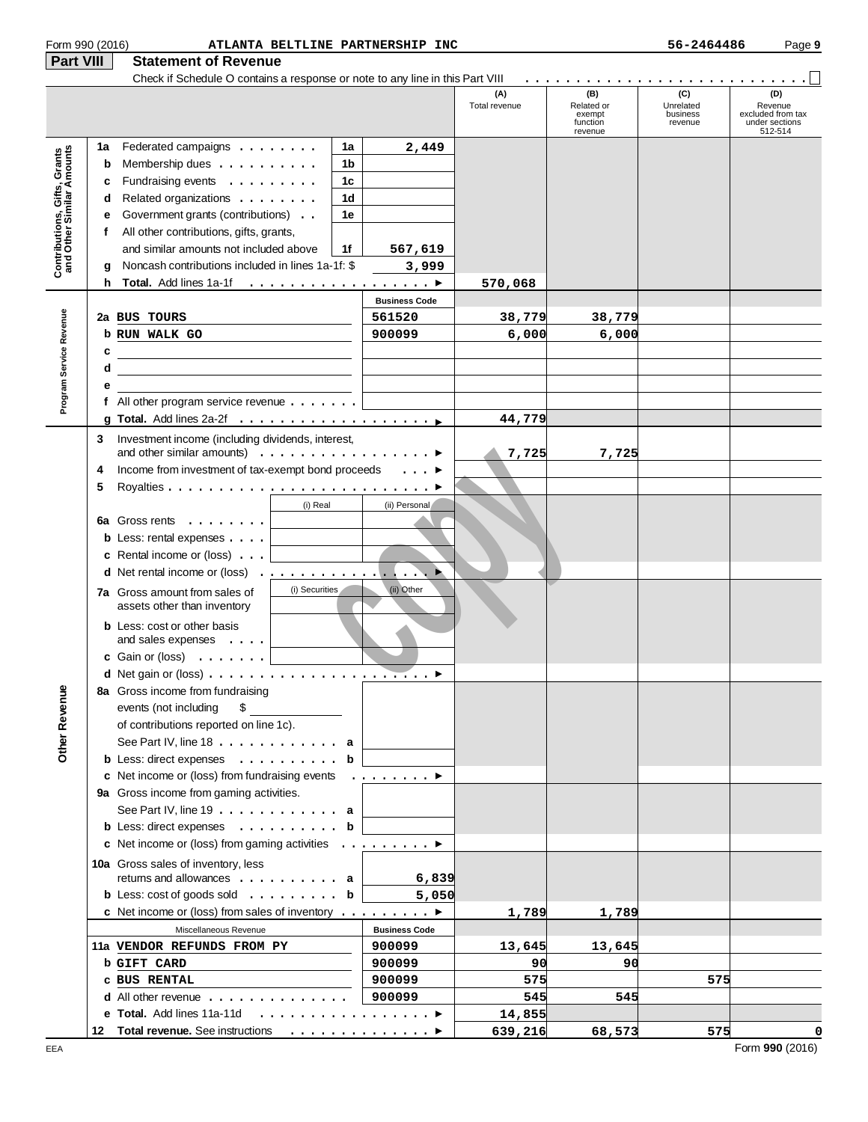| Form 990 (2016)                                           |    | ATLANTA BELTLINE PARTNERSHIP INC                                                                                       |                      |                      |                                                    | 56-2464486                              | Page 9                                                           |
|-----------------------------------------------------------|----|------------------------------------------------------------------------------------------------------------------------|----------------------|----------------------|----------------------------------------------------|-----------------------------------------|------------------------------------------------------------------|
| Part VIII                                                 |    | <b>Statement of Revenue</b>                                                                                            |                      |                      |                                                    |                                         |                                                                  |
|                                                           |    |                                                                                                                        |                      |                      |                                                    |                                         |                                                                  |
|                                                           |    |                                                                                                                        |                      | (A)<br>Total revenue | (B)<br>Related or<br>exempt<br>function<br>revenue | (C)<br>Unrelated<br>business<br>revenue | (D)<br>Revenue<br>excluded from tax<br>under sections<br>512-514 |
|                                                           | 1a | Federated campaigns<br>1a                                                                                              | 2,449                |                      |                                                    |                                         |                                                                  |
|                                                           | b  | 1b<br>Membership dues $\dots \dots \dots$                                                                              |                      |                      |                                                    |                                         |                                                                  |
|                                                           | c  | Fundraising events<br>1c                                                                                               |                      |                      |                                                    |                                         |                                                                  |
|                                                           | d  | Related organizations<br>1d                                                                                            |                      |                      |                                                    |                                         |                                                                  |
|                                                           | е  | Government grants (contributions)<br>1е                                                                                |                      |                      |                                                    |                                         |                                                                  |
|                                                           | f  | All other contributions, gifts, grants,                                                                                |                      |                      |                                                    |                                         |                                                                  |
| Contributions, Gifts, Grants<br>and Other Similar Amounts |    | and similar amounts not included above<br>1f                                                                           | 567,619              |                      |                                                    |                                         |                                                                  |
|                                                           | g  | Noncash contributions included in lines 1a-1f: \$                                                                      | 3,999                |                      |                                                    |                                         |                                                                  |
|                                                           | h. |                                                                                                                        |                      | 570,068              |                                                    |                                         |                                                                  |
|                                                           |    |                                                                                                                        | <b>Business Code</b> |                      |                                                    |                                         |                                                                  |
|                                                           |    | 2a BUS TOURS                                                                                                           | 561520               | 38,779               | 38,779                                             |                                         |                                                                  |
| Program Service Revenue                                   |    | b RUN WALK GO                                                                                                          | 900099               | 6,000                | 6,000                                              |                                         |                                                                  |
|                                                           | c  | <u> Alexandria de la contrada de la contrada de la contrada de la contrada de la contrada de la contrada de la c</u>   |                      |                      |                                                    |                                         |                                                                  |
|                                                           | d  | <u> 1989 - Johann Stoff, deutscher Stoffen und der Stoffen und der Stoffen und der Stoffen und der Stoffen und der</u> |                      |                      |                                                    |                                         |                                                                  |
|                                                           | е  |                                                                                                                        |                      |                      |                                                    |                                         |                                                                  |
|                                                           |    | f All other program service revenue $\ldots \ldots$                                                                    |                      |                      |                                                    |                                         |                                                                  |
|                                                           |    |                                                                                                                        |                      | 44,779               |                                                    |                                         |                                                                  |
|                                                           | 3  | Investment income (including dividends, interest,                                                                      |                      |                      |                                                    |                                         |                                                                  |
|                                                           |    | and other similar amounts) $\ldots \ldots \ldots \ldots \ldots$                                                        |                      | 7,725                | 7,725                                              |                                         |                                                                  |
|                                                           | 4  | Income from investment of tax-exempt bond proceeds                                                                     | $\ldots$             |                      |                                                    |                                         |                                                                  |
|                                                           | 5  |                                                                                                                        |                      |                      |                                                    |                                         |                                                                  |
|                                                           |    | (i) Real                                                                                                               | (ii) Personal        |                      |                                                    |                                         |                                                                  |
|                                                           |    | 6a Gross rents $\ldots$                                                                                                |                      |                      |                                                    |                                         |                                                                  |
|                                                           |    | <b>b</b> Less: rental expenses $\ldots$                                                                                |                      |                      |                                                    |                                         |                                                                  |
|                                                           |    | <b>c</b> Rental income or (loss) $\ldots$                                                                              |                      |                      |                                                    |                                         |                                                                  |
|                                                           |    | d Net rental income or (loss)                                                                                          |                      |                      |                                                    |                                         |                                                                  |
|                                                           |    | (i) Securities                                                                                                         | (ii) Other           |                      |                                                    |                                         |                                                                  |
|                                                           |    | <b>7a</b> Gross amount from sales of<br>assets other than inventory                                                    |                      |                      |                                                    |                                         |                                                                  |
|                                                           |    |                                                                                                                        |                      |                      |                                                    |                                         |                                                                  |
|                                                           |    | <b>b</b> Less: cost or other basis<br>and sales expenses $\dots$                                                       |                      |                      |                                                    |                                         |                                                                  |
|                                                           |    | c Gain or (loss) $\ldots$                                                                                              |                      |                      |                                                    |                                         |                                                                  |
|                                                           |    | d Net gain or (loss)                                                                                                   | ▶                    |                      |                                                    |                                         |                                                                  |
|                                                           |    | 8a Gross income from fundraising                                                                                       |                      |                      |                                                    |                                         |                                                                  |
|                                                           |    | events (not including<br>\$                                                                                            |                      |                      |                                                    |                                         |                                                                  |
|                                                           |    | of contributions reported on line 1c).                                                                                 |                      |                      |                                                    |                                         |                                                                  |
|                                                           |    | See Part IV, line $18 \ldots \ldots \ldots \ldots$ a                                                                   |                      |                      |                                                    |                                         |                                                                  |
| <b>Other Revenue</b>                                      |    | <b>b</b> Less: direct expenses $\ldots \ldots \ldots$ <b>b</b>                                                         |                      |                      |                                                    |                                         |                                                                  |
|                                                           |    | c Net income or (loss) from fundraising events $\ldots \ldots \ldots$                                                  |                      |                      |                                                    |                                         |                                                                  |
|                                                           |    | 9a Gross income from gaming activities.                                                                                |                      |                      |                                                    |                                         |                                                                  |
|                                                           |    | See Part IV, line $19 \ldots \ldots \ldots \ldots$ a                                                                   |                      |                      |                                                    |                                         |                                                                  |
|                                                           |    | <b>b</b> Less: direct expenses $\ldots \ldots \ldots$ <b>b</b>                                                         |                      |                      |                                                    |                                         |                                                                  |
|                                                           |    | c Net income or (loss) from gaming activities ▶                                                                        |                      |                      |                                                    |                                         |                                                                  |
|                                                           |    |                                                                                                                        |                      |                      |                                                    |                                         |                                                                  |
|                                                           |    | 10a Gross sales of inventory, less<br>returns and allowances $\dots \dots \dots$ a                                     | 6,839                |                      |                                                    |                                         |                                                                  |
|                                                           |    | <b>b</b> Less: cost of goods sold <b>b</b>                                                                             | 5,050                |                      |                                                    |                                         |                                                                  |
|                                                           |    | c Net income or (loss) from sales of inventory $\dots \dots \dots$                                                     |                      | 1,789                | 1,789                                              |                                         |                                                                  |
|                                                           |    | Miscellaneous Revenue                                                                                                  | <b>Business Code</b> |                      |                                                    |                                         |                                                                  |
|                                                           |    |                                                                                                                        |                      |                      |                                                    |                                         |                                                                  |
|                                                           |    | 11a VENDOR REFUNDS FROM PY                                                                                             | 900099               | 13,645               | 13,645<br>90                                       |                                         |                                                                  |
|                                                           |    | <b>b GIFT CARD</b>                                                                                                     | 900099               | 90                   |                                                    |                                         |                                                                  |
|                                                           |    | C BUS RENTAL                                                                                                           | 900099               | 575                  |                                                    | 575                                     |                                                                  |
|                                                           |    | <b>d</b> All other revenue $\ldots$ , $\ldots$ , $\ldots$ , $\ldots$                                                   | 900099               | 545                  | 545                                                |                                         |                                                                  |
|                                                           |    | e Total. Add lines 11a-11d ▶                                                                                           |                      | 14,855               |                                                    |                                         |                                                                  |
|                                                           |    | 12 Total revenue. See instructions                                                                                     |                      | 639,216              | 68,573                                             | 575                                     | 0                                                                |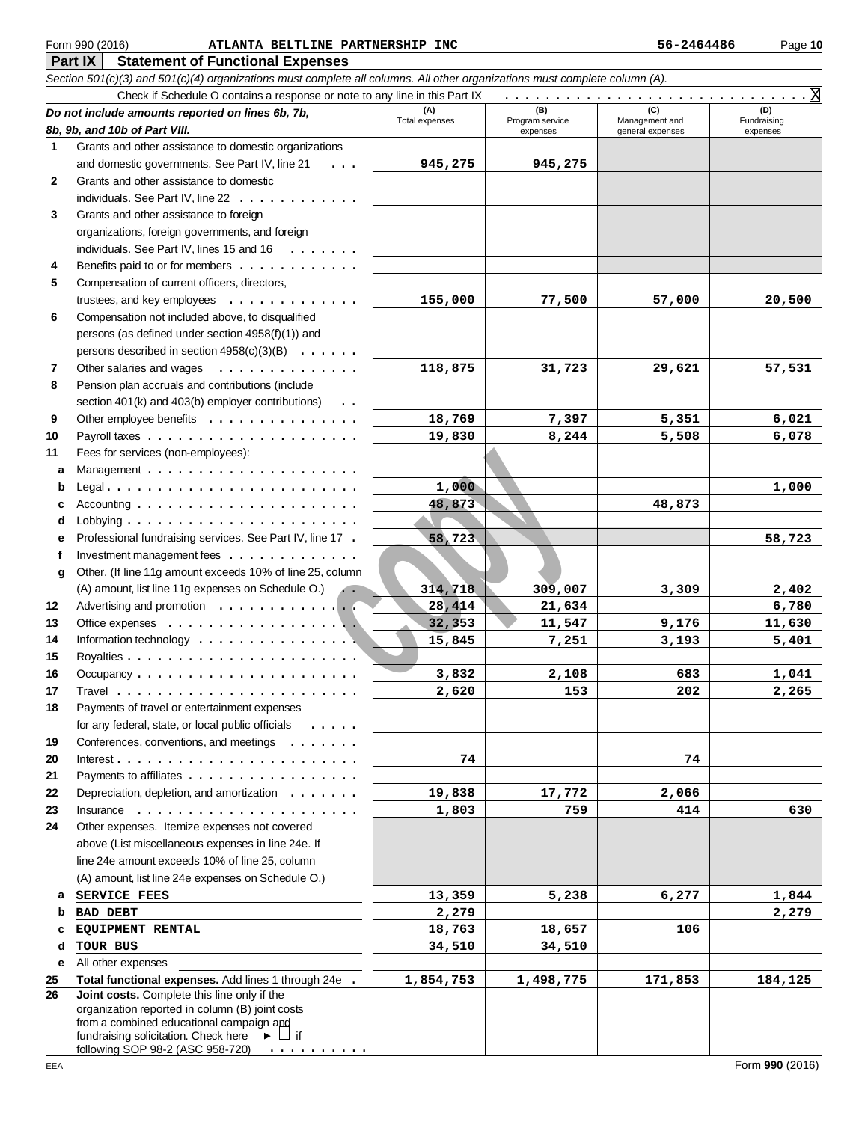X

Form 990 (2<br> **Part IX**<br> **26** Cection 501<br> **26** Cection 501<br> **26** Cection 501<br> **26** Cection 501<br> **26** Cection 501<br> **26** Crants and dot Grants and dot Grants individed Beneficial organi individed Beneficial Computurated Comp 016) **ATLANTA BELTLINE PARTNERSHIP INC 10 10 56-2464486** Page **10 Part IX** | Statement of Functional Expenses Section 501(c)(3) and 501(c)(4) organizations must complete all columns. All other organizations must complete column (A). Check if Schedule O contains a response or note to any line in this Part IX (B) (C) (D)<br>Program service Management and Fundraising **Do not include amounts reported on lines 6b, 7b, (A) (B) (C) (D)** Total expenses Program service Management and Fundraising **8b, 9b, and 10b of Part VIII.** expenses entering general expenses expenses  $\ddot{\mathbf{1}}$ **123456789** Grants and other assistance to domestic organizations **945,275 945,275**  and domestic governments. See Part IV, line 21 ...  $\overline{2}$ Gra nts a nd ot her assi sta nce to do mes tic individuals. See Part IV, line 22 . . . . . . . . . . . . . 3 Grants and other assistance to foreign organizations, foreign governments, and foreign individuals. See Part IV, lines 15 and 16  $\dots \dots$  $\overline{\mathbf{4}}$ Benefits paid to or for members . . . . . . . . . . . . 5 Compensation of current officers, directors, trustees, and key employees . . . . . . . . . . . . . . **155,000 77,500 57,000 20,500**  6 Compensation not included above, to disqualified p ers o ns (as d efin ed und er sectio n 4958(f)(1)) a n d persons described in section  $4958(c)(3)(B) \ldots \ldots$ **118,875 31,723 29,621 57,531**   $\overline{7}$ Ot her salaries a nd w ages .............. 8 Pension plan accruals and contributions (include section 401(k) and 403(b) employer contributions) . .  $\mathbf{9}$ Other employee benefits . . . . . . . . . . . . . . . . **18,769 7,397 5,351 6,021 1011** Payroll t axes ..................... **19,830 8,244 5,508 6,078**  Fees for services (non-employees): ces (non-employees):<br>
<br> **1,000**<br>
<br>
contained and the secondary of the secondary of the secondary of the secondary of the secondary of the secondary of the secondary of the secondary of the secondary of the secondary of the **abcdefg** Ma nage men t ..................... a Legal ......................... b **1,000 1,000**  c Acco u n ting ...................... **48,873 48,873**   $\mathbf{d}$ Lobbying ........................ **58,723 58,723**  e Professional fundraising services. See Part IV, line 17 f Investment management fees . . . . . . . . . . . . . . a Other. (If line 11g amount exceeds 10% of line 25, column . . **314,718 309,007 3,309 2,402**  (A) amount, list line 11g expenses on Schedule O.) **12** Advertising and promotion *mandaton* and the set of the set of the set of the set of the set of the set of the s **28,414 21,634 6,780 13** Office exp e n ses ................... **32,353** 11,547 9,176 11,630 **14** Information technology . . . . . . . . . . . . . . . . . **15,845 7,251 3,193 5,401 15** Royalties ....................... **16** Occupa ncy ...................... **3,832 2,108 683 1,041 17** Travel ........................ **2,620 153 202 2,265 18** Payments of travel or entertainment expenses for any federal, state, or local public officials ..... **1920** Conferences, conventions, and meetings ....... In teres t ........................ **74 74 21** Payments to affiliates . . . . . . . . . . . . . . . . . . **22 19,838 17,772 2,066**  Depreciation, depletion, and amortization  $\dots \dots$ **23** Insurance ....................... **1,803 759 414 630 24** Other expenses. Itemize expenses not covered above (Li st mi scella neo us exp e n ses in lin e 24e. If line 24e amount exceeds 10% of line 25, column (A) amount, list line 24e expenses on Schedule O.) **SERVICE FEES 13,359** 5,238 6,277 **1,844 abcde** b **BAD DEBT 2,279 2,279 C** EQUIPMENT RENTAL **18,763** 18,657 106

**TOUR BUS 34,510 34,510**  e All other expenses **Total functional expenses.** Add lines 1 through 24e **1,854,753 1,498,775 171,853 184,125 25** ንፍ **Joint costs.** Complete this line only if the orga nizatio n reported in col umn (B) join t cos ts from a combined educational campaign and fundraising solicitation. Check here ▶ □ if .......... f ollowing SOP 98-2 (ASC 958-72 0 )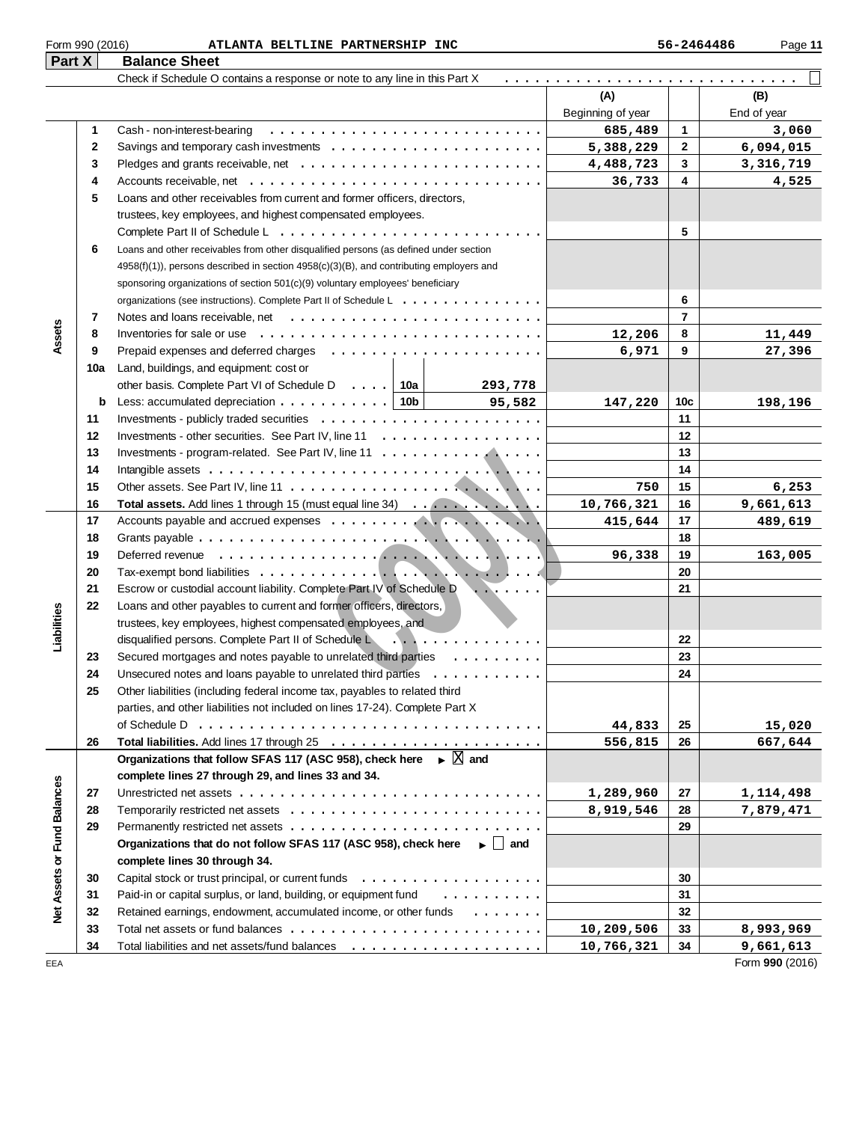| <b>Part X</b> | <b>Balance Sheet</b> |  |  |
|---------------|----------------------|--|--|

|                                    |          | Check if Schedule O contains a response or note to any line in this Part X                        |                   |                |                 |
|------------------------------------|----------|---------------------------------------------------------------------------------------------------|-------------------|----------------|-----------------|
|                                    |          |                                                                                                   | (A)               |                | (B)             |
|                                    |          |                                                                                                   | Beginning of year |                | End of year     |
|                                    | 1        | Cash - non-interest-bearing                                                                       | 685,489           | 1              | 3,060           |
|                                    | 2        |                                                                                                   | 5,388,229         | $\mathbf{2}$   | 6,094,015       |
|                                    | 3        |                                                                                                   | 4,488,723         | 3              | 3,316,719       |
|                                    | 4        |                                                                                                   | 36,733            | 4              | 4,525           |
|                                    | 5        | Loans and other receivables from current and former officers, directors,                          |                   |                |                 |
|                                    |          | trustees, key employees, and highest compensated employees.                                       |                   |                |                 |
|                                    |          |                                                                                                   |                   | 5              |                 |
|                                    | 6        | Loans and other receivables from other disqualified persons (as defined under section             |                   |                |                 |
|                                    |          | 4958(f)(1)), persons described in section 4958(c)(3)(B), and contributing employers and           |                   |                |                 |
|                                    |          | sponsoring organizations of section 501(c)(9) voluntary employees' beneficiary                    |                   |                |                 |
|                                    |          | organizations (see instructions). Complete Part II of Schedule L                                  |                   | 6              |                 |
|                                    | 7        |                                                                                                   |                   | $\overline{7}$ |                 |
| Assets                             | 8        | Inventories for sale or use $\dots \dots \dots \dots \dots \dots \dots \dots \dots$               | 12,206            | 8              | 11,449          |
|                                    | 9        |                                                                                                   | 6,971             | 9              | 27,396          |
|                                    | 10a      | Land, buildings, and equipment: cost or                                                           |                   |                |                 |
|                                    |          | other basis. Complete Part VI of Schedule D.  10a<br>293,778                                      |                   |                |                 |
|                                    | b        | Less: accumulated depreciation $\ldots \ldots \ldots$ 10b<br>95,582                               | 147,220           | 10c            | 198,196         |
|                                    | 11       |                                                                                                   |                   | 11             |                 |
|                                    | 12       | Investments - other securities. See Part IV, line 11                                              |                   | 12             |                 |
|                                    | 13       | Investments - program-related. See Part IV, line 11 $\dots$ ,                                     |                   | 13             |                 |
|                                    | 14       |                                                                                                   |                   | 14             |                 |
|                                    | 15       |                                                                                                   | 750               | 15             | 6,253           |
|                                    | 16       | Total assets. Add lines 1 through 15 (must equal line 34)                                         | 10,766,321        | 16             | 9,661,613       |
|                                    | 17       |                                                                                                   | 415,644           | 17             | 489,619         |
|                                    | 18       |                                                                                                   |                   | 18             |                 |
|                                    | 19<br>20 |                                                                                                   | 96,338            | 19<br>20       | 163,005         |
|                                    | 21       | Escrow or custodial account liability. Complete Part IV of Schedule D<br>$\sqrt{2}$               |                   | 21             |                 |
|                                    | 22       | Loans and other payables to current and former officers, directors,                               |                   |                |                 |
| Liabilities                        |          | trustees, key employees, highest compensated employees, and                                       |                   |                |                 |
|                                    |          | disqualified persons. Complete Part II of Schedule Lease Access 2014 Consumers 3.                 |                   | 22             |                 |
|                                    | 23       | Secured mortgages and notes payable to unrelated third parties                                    |                   | 23             |                 |
|                                    | 24       | Unsecured notes and loans payable to unrelated third parties $\dots \dots \dots \dots$            |                   | 24             |                 |
|                                    | 25       | Other liabilities (including federal income tax, payables to related third                        |                   |                |                 |
|                                    |          | parties, and other liabilities not included on lines 17-24). Complete Part X                      |                   |                |                 |
|                                    |          |                                                                                                   | 44,833            | 25             | 15,020          |
|                                    | 26       |                                                                                                   | 556,815           | 26             | 667,644         |
|                                    |          | Organizations that follow SFAS 117 (ASC 958), check here $\blacktriangleright \boxed{\times}$ and |                   |                |                 |
|                                    |          | complete lines 27 through 29, and lines 33 and 34.                                                |                   |                |                 |
|                                    | 27       |                                                                                                   | 1,289,960         | 27             | 1,114,498       |
|                                    | 28       |                                                                                                   | 8,919,546         | 28             | 7,879,471       |
|                                    | 29       |                                                                                                   |                   | 29             |                 |
|                                    |          | Organizations that do not follow SFAS 117 (ASC 958), check here $\longrightarrow$ and             |                   |                |                 |
| <b>Net Assets or Fund Balances</b> |          | complete lines 30 through 34.                                                                     |                   |                |                 |
|                                    | 30       |                                                                                                   |                   | 30             |                 |
|                                    | 31       | Paid-in or capital surplus, or land, building, or equipment fund<br>.                             |                   | 31             |                 |
|                                    | 32       | Retained earnings, endowment, accumulated income, or other funds                                  |                   | 32             |                 |
|                                    | 33       |                                                                                                   | 10,209,506        | 33             | 8,993,969       |
|                                    | 34       |                                                                                                   | 10,766,321        | 34             | 9,661,613       |
| EEA                                |          |                                                                                                   |                   |                | Form 990 (2016) |

| Form 990 (2016) | ATLANTA BELTLINE PARTNERSHIP INC | 56-2464486 | Page 11 |
|-----------------|----------------------------------|------------|---------|
|-----------------|----------------------------------|------------|---------|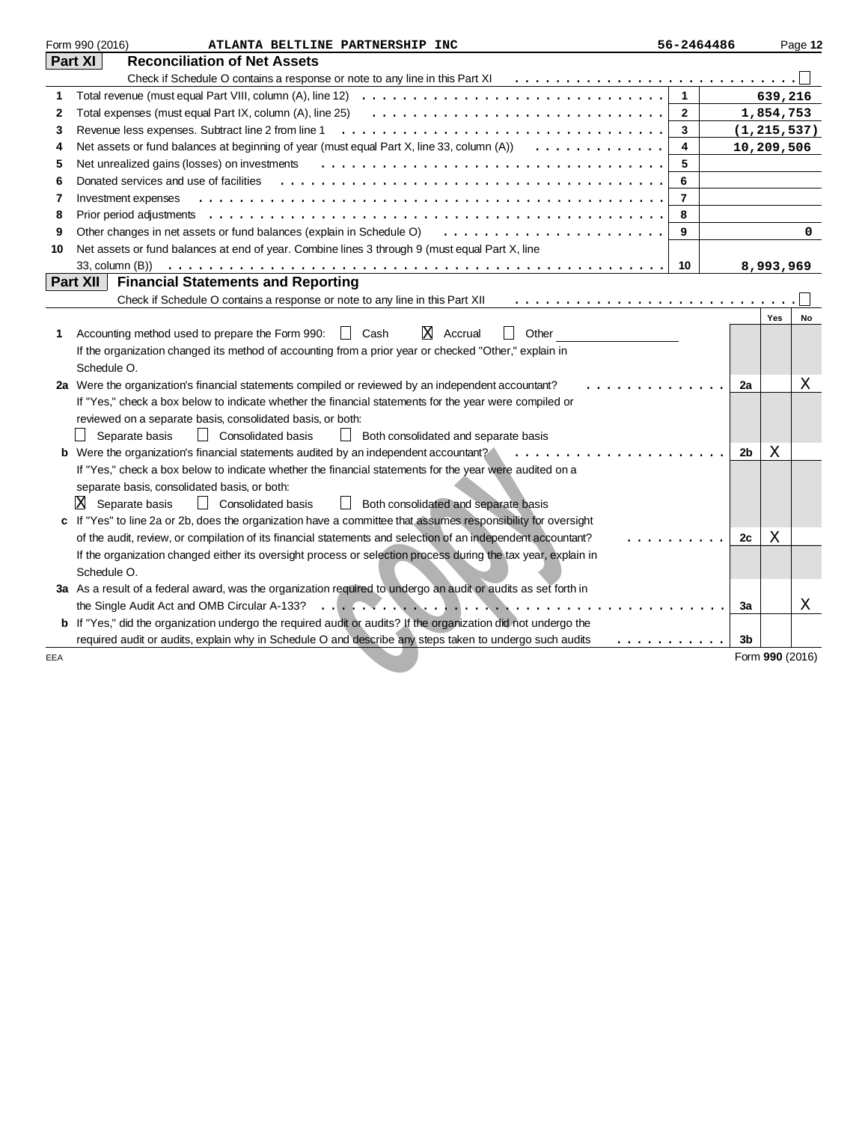|     | Form 990 (2016)<br>ATLANTA BELTLINE PARTNERSHIP INC                                                                                      | 56-2464486     |    |                 | Page 12 |
|-----|------------------------------------------------------------------------------------------------------------------------------------------|----------------|----|-----------------|---------|
|     | Part XI<br><b>Reconciliation of Net Assets</b>                                                                                           |                |    |                 |         |
|     |                                                                                                                                          |                |    |                 |         |
| 1   | Total revenue (must equal Part VIII, column (A), line 12) $\ldots \ldots \ldots \ldots \ldots \ldots \ldots \ldots \ldots \ldots \ldots$ | $\mathbf{1}$   |    | 639,216         |         |
| 2   | Total expenses (must equal Part IX, column (A), line 25) $\ldots \ldots \ldots \ldots \ldots \ldots \ldots \ldots \ldots \ldots$         | $\mathbf{2}$   |    | 1,854,753       |         |
| 3   | Revenue less expenses. Subtract line 2 from line 1                                                                                       | $\mathbf{3}$   |    | (1, 215, 537)   |         |
| 4   | Net assets or fund balances at beginning of year (must equal Part X, line 33, column $(A)$ ) $\ldots \ldots \ldots \ldots$               | 4              |    | 10,209,506      |         |
| 5   | Net unrealized gains (losses) on investments                                                                                             | 5              |    |                 |         |
| 6   | Donated services and use of facilities                                                                                                   | 6              |    |                 |         |
| 7   | Investment expenses                                                                                                                      | $\overline{7}$ |    |                 |         |
| 8   |                                                                                                                                          | 8              |    |                 |         |
| 9   |                                                                                                                                          | 9              |    |                 | 0       |
| 10  | Net assets or fund balances at end of year. Combine lines 3 through 9 (must equal Part X, line                                           |                |    |                 |         |
|     |                                                                                                                                          | 10             |    | 8,993,969       |         |
|     | Part XII<br><b>Financial Statements and Reporting</b>                                                                                    |                |    |                 |         |
|     | Check if Schedule O contains a response or note to any line in this Part XII                                                             |                |    |                 |         |
|     |                                                                                                                                          |                |    | Yes             | No      |
| 1   | ΙXΙ<br>Accrual<br>Other<br>Accounting method used to prepare the Form 990:<br>Cash<br>$\mathbf{1}$                                       |                |    |                 |         |
|     | If the organization changed its method of accounting from a prior year or checked "Other," explain in                                    |                |    |                 |         |
|     | Schedule O.                                                                                                                              |                |    |                 |         |
|     | 2a Were the organization's financial statements compiled or reviewed by an independent accountant?                                       |                | 2a |                 | Χ       |
|     | If "Yes," check a box below to indicate whether the financial statements for the year were compiled or                                   |                |    |                 |         |
|     | reviewed on a separate basis, consolidated basis, or both:                                                                               |                |    |                 |         |
|     | Separate basis<br>  Consolidated basis<br>$\Box$ Both consolidated and separate basis                                                    |                |    |                 |         |
|     | <b>b</b> Were the organization's financial statements audited by an independent accountant?                                              |                | 2b | X               |         |
|     | If "Yes," check a box below to indicate whether the financial statements for the year were audited on a                                  |                |    |                 |         |
|     | separate basis, consolidated basis, or both:                                                                                             |                |    |                 |         |
|     | $X$ Separate basis<br>Consolidated basis<br><b>Both consolidated and separate basis</b>                                                  |                |    |                 |         |
| c   | If "Yes" to line 2a or 2b, does the organization have a committee that assumes responsibility for oversight                              |                |    |                 |         |
|     | of the audit, review, or compilation of its financial statements and selection of an independent accountant?                             |                | 2c | х               |         |
|     | If the organization changed either its oversight process or selection process during the tax year, explain in                            |                |    |                 |         |
|     | Schedule O.                                                                                                                              |                |    |                 |         |
|     | 3a As a result of a federal award, was the organization required to undergo an audit or audits as set forth in                           |                |    |                 |         |
|     | .<br>b If "Yes," did the organization undergo the required audit or audits? If the organization did not undergo the                      |                | За |                 | Χ       |
|     |                                                                                                                                          |                | 3b |                 |         |
|     | required audit or audits, explain why in Schedule O and describe any steps taken to undergo such audits                                  | .              |    | Form 990 (2016) |         |
| EEA |                                                                                                                                          |                |    |                 |         |
|     |                                                                                                                                          |                |    |                 |         |
|     |                                                                                                                                          |                |    |                 |         |
|     |                                                                                                                                          |                |    |                 |         |
|     |                                                                                                                                          |                |    |                 |         |
|     |                                                                                                                                          |                |    |                 |         |
|     |                                                                                                                                          |                |    |                 |         |
|     |                                                                                                                                          |                |    |                 |         |
|     |                                                                                                                                          |                |    |                 |         |
|     |                                                                                                                                          |                |    |                 |         |
|     |                                                                                                                                          |                |    |                 |         |
|     |                                                                                                                                          |                |    |                 |         |
|     |                                                                                                                                          |                |    |                 |         |
|     |                                                                                                                                          |                |    |                 |         |
|     |                                                                                                                                          |                |    |                 |         |
|     |                                                                                                                                          |                |    |                 |         |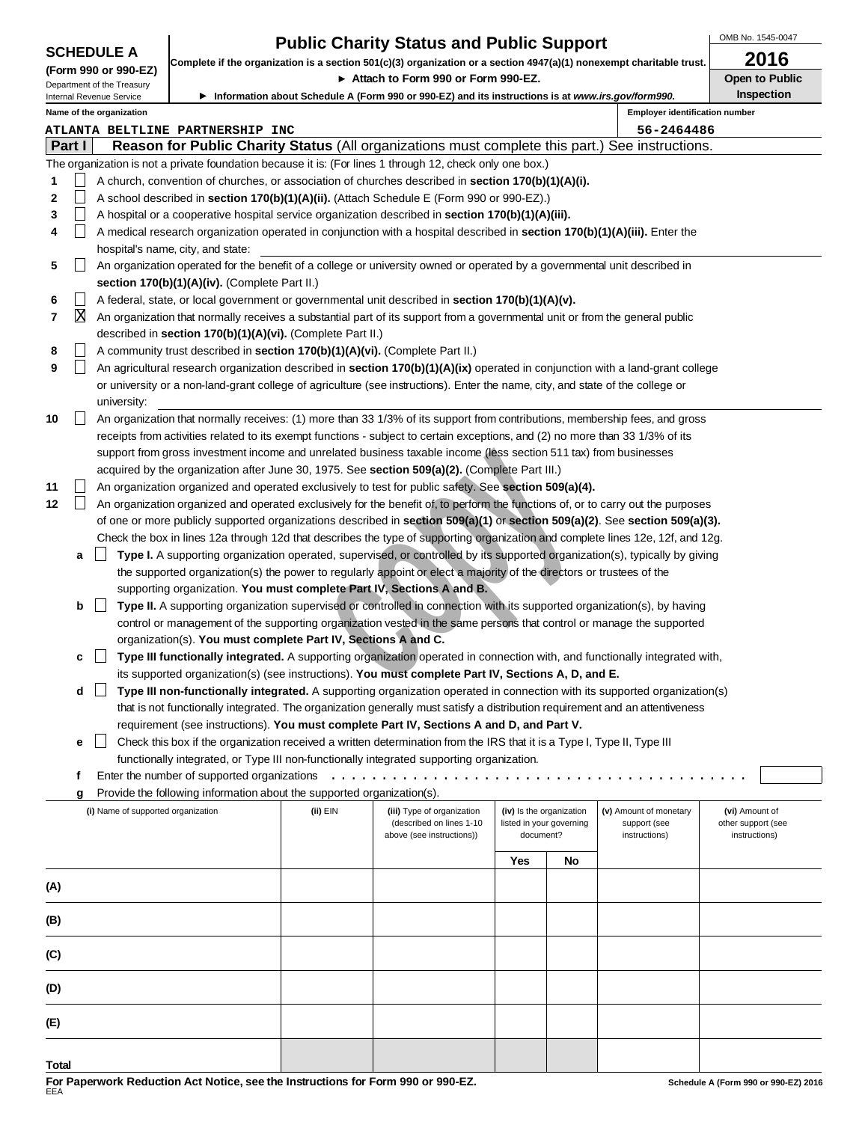|  |  | <b>SCHEDULE A</b> |  |
|--|--|-------------------|--|
|--|--|-------------------|--|

# **Public Charity Status and Public Support**

OMB No. 1545-0047

| <b>SCHEDULE A</b><br>Complete if the organization is a section 501(c)(3) organization or a section 4947(a)(1) nonexempt charitable trust. |        |                                                        |                                                                                                                                                                                            |          | 2016                                                                                                                             |           |                                                      |                                        |                                      |  |
|-------------------------------------------------------------------------------------------------------------------------------------------|--------|--------------------------------------------------------|--------------------------------------------------------------------------------------------------------------------------------------------------------------------------------------------|----------|----------------------------------------------------------------------------------------------------------------------------------|-----------|------------------------------------------------------|----------------------------------------|--------------------------------------|--|
|                                                                                                                                           |        | (Form 990 or 990-EZ)                                   |                                                                                                                                                                                            |          | ► Attach to Form 990 or Form 990-EZ.                                                                                             |           |                                                      |                                        | <b>Open to Public</b>                |  |
|                                                                                                                                           |        | Department of the Treasury<br>Internal Revenue Service |                                                                                                                                                                                            |          | ▶ Information about Schedule A (Form 990 or 990-EZ) and its instructions is at www.irs.gov/form990.                              |           |                                                      |                                        | <b>Inspection</b>                    |  |
|                                                                                                                                           |        | Name of the organization                               |                                                                                                                                                                                            |          |                                                                                                                                  |           |                                                      | <b>Employer identification number</b>  |                                      |  |
|                                                                                                                                           |        |                                                        | <b>ATLANTA BELTLINE PARTNERSHIP INC</b>                                                                                                                                                    |          |                                                                                                                                  |           |                                                      | 56-2464486                             |                                      |  |
|                                                                                                                                           | Part I |                                                        |                                                                                                                                                                                            |          | Reason for Public Charity Status (All organizations must complete this part.) See instructions.                                  |           |                                                      |                                        |                                      |  |
|                                                                                                                                           |        |                                                        |                                                                                                                                                                                            |          | The organization is not a private foundation because it is: (For lines 1 through 12, check only one box.)                        |           |                                                      |                                        |                                      |  |
| 1                                                                                                                                         |        |                                                        |                                                                                                                                                                                            |          | A church, convention of churches, or association of churches described in section 170(b)(1)(A)(i).                               |           |                                                      |                                        |                                      |  |
| 2                                                                                                                                         |        |                                                        |                                                                                                                                                                                            |          | A school described in section 170(b)(1)(A)(ii). (Attach Schedule E (Form 990 or 990-EZ).)                                        |           |                                                      |                                        |                                      |  |
| 3                                                                                                                                         |        |                                                        |                                                                                                                                                                                            |          | A hospital or a cooperative hospital service organization described in section 170(b)(1)(A)(iii).                                |           |                                                      |                                        |                                      |  |
| 4                                                                                                                                         |        |                                                        |                                                                                                                                                                                            |          | A medical research organization operated in conjunction with a hospital described in section 170(b)(1)(A)(iii). Enter the        |           |                                                      |                                        |                                      |  |
|                                                                                                                                           |        |                                                        | hospital's name, city, and state:                                                                                                                                                          |          |                                                                                                                                  |           |                                                      |                                        |                                      |  |
| 5                                                                                                                                         |        |                                                        |                                                                                                                                                                                            |          | An organization operated for the benefit of a college or university owned or operated by a governmental unit described in        |           |                                                      |                                        |                                      |  |
|                                                                                                                                           |        |                                                        | section 170(b)(1)(A)(iv). (Complete Part II.)                                                                                                                                              |          |                                                                                                                                  |           |                                                      |                                        |                                      |  |
| 6                                                                                                                                         |        |                                                        |                                                                                                                                                                                            |          | A federal, state, or local government or governmental unit described in section 170(b)(1)(A)(v).                                 |           |                                                      |                                        |                                      |  |
| 7                                                                                                                                         | X      |                                                        |                                                                                                                                                                                            |          |                                                                                                                                  |           |                                                      |                                        |                                      |  |
|                                                                                                                                           |        |                                                        | An organization that normally receives a substantial part of its support from a governmental unit or from the general public<br>described in section 170(b)(1)(A)(vi). (Complete Part II.) |          |                                                                                                                                  |           |                                                      |                                        |                                      |  |
| 8                                                                                                                                         |        |                                                        | A community trust described in <b>section 170(b)(1)(A)(vi).</b> (Complete Part II.)                                                                                                        |          |                                                                                                                                  |           |                                                      |                                        |                                      |  |
| 9                                                                                                                                         |        |                                                        | An agricultural research organization described in section 170(b)(1)(A)(ix) operated in conjunction with a land-grant college                                                              |          |                                                                                                                                  |           |                                                      |                                        |                                      |  |
|                                                                                                                                           |        |                                                        |                                                                                                                                                                                            |          | or university or a non-land-grant college of agriculture (see instructions). Enter the name, city, and state of the college or   |           |                                                      |                                        |                                      |  |
|                                                                                                                                           |        | university:                                            |                                                                                                                                                                                            |          |                                                                                                                                  |           |                                                      |                                        |                                      |  |
| 10                                                                                                                                        |        |                                                        |                                                                                                                                                                                            |          | An organization that normally receives: (1) more than 33 1/3% of its support from contributions, membership fees, and gross      |           |                                                      |                                        |                                      |  |
|                                                                                                                                           |        |                                                        |                                                                                                                                                                                            |          | receipts from activities related to its exempt functions - subject to certain exceptions, and (2) no more than 33 1/3% of its    |           |                                                      |                                        |                                      |  |
|                                                                                                                                           |        |                                                        |                                                                                                                                                                                            |          | support from gross investment income and unrelated business taxable income (less section 511 tax) from businesses                |           |                                                      |                                        |                                      |  |
|                                                                                                                                           |        |                                                        |                                                                                                                                                                                            |          | acquired by the organization after June 30, 1975. See section 509(a)(2). (Complete Part III.)                                    |           |                                                      |                                        |                                      |  |
| 11                                                                                                                                        |        |                                                        |                                                                                                                                                                                            |          | An organization organized and operated exclusively to test for public safety. See section 509(a)(4).                             |           |                                                      |                                        |                                      |  |
| 12                                                                                                                                        |        |                                                        |                                                                                                                                                                                            |          | An organization organized and operated exclusively for the benefit of, to perform the functions of, or to carry out the purposes |           |                                                      |                                        |                                      |  |
|                                                                                                                                           |        |                                                        |                                                                                                                                                                                            |          | of one or more publicly supported organizations described in section 509(a)(1) or section 509(a)(2). See section 509(a)(3).      |           |                                                      |                                        |                                      |  |
|                                                                                                                                           |        |                                                        |                                                                                                                                                                                            |          | Check the box in lines 12a through 12d that describes the type of supporting organization and complete lines 12e, 12f, and 12g.  |           |                                                      |                                        |                                      |  |
|                                                                                                                                           | a      |                                                        |                                                                                                                                                                                            |          | Type I. A supporting organization operated, supervised, or controlled by its supported organization(s), typically by giving      |           |                                                      |                                        |                                      |  |
|                                                                                                                                           |        |                                                        |                                                                                                                                                                                            |          | the supported organization(s) the power to regularly appoint or elect a majority of the directors or trustees of the             |           |                                                      |                                        |                                      |  |
|                                                                                                                                           |        |                                                        |                                                                                                                                                                                            |          | supporting organization. You must complete Part IV, Sections A and B.                                                            |           |                                                      |                                        |                                      |  |
|                                                                                                                                           | b      | $\perp$                                                |                                                                                                                                                                                            |          | Type II. A supporting organization supervised or controlled in connection with its supported organization(s), by having          |           |                                                      |                                        |                                      |  |
|                                                                                                                                           |        |                                                        |                                                                                                                                                                                            |          | control or management of the supporting organization vested in the same persons that control or manage the supported             |           |                                                      |                                        |                                      |  |
|                                                                                                                                           |        |                                                        | organization(s). You must complete Part IV, Sections A and C.                                                                                                                              |          |                                                                                                                                  |           |                                                      |                                        |                                      |  |
|                                                                                                                                           |        |                                                        |                                                                                                                                                                                            |          | Type III functionally integrated. A supporting organization operated in connection with, and functionally integrated with,       |           |                                                      |                                        |                                      |  |
|                                                                                                                                           | с      |                                                        |                                                                                                                                                                                            |          | its supported organization(s) (see instructions). You must complete Part IV, Sections A, D, and E.                               |           |                                                      |                                        |                                      |  |
|                                                                                                                                           |        |                                                        |                                                                                                                                                                                            |          | Type III non-functionally integrated. A supporting organization operated in connection with its supported organization(s)        |           |                                                      |                                        |                                      |  |
|                                                                                                                                           | d      |                                                        |                                                                                                                                                                                            |          | that is not functionally integrated. The organization generally must satisfy a distribution requirement and an attentiveness     |           |                                                      |                                        |                                      |  |
|                                                                                                                                           |        |                                                        |                                                                                                                                                                                            |          |                                                                                                                                  |           |                                                      |                                        |                                      |  |
|                                                                                                                                           |        |                                                        |                                                                                                                                                                                            |          | requirement (see instructions). You must complete Part IV, Sections A and D, and Part V.                                         |           |                                                      |                                        |                                      |  |
|                                                                                                                                           | е      |                                                        |                                                                                                                                                                                            |          | Check this box if the organization received a written determination from the IRS that it is a Type I, Type II, Type III          |           |                                                      |                                        |                                      |  |
|                                                                                                                                           |        |                                                        |                                                                                                                                                                                            |          | functionally integrated, or Type III non-functionally integrated supporting organization.                                        |           |                                                      |                                        |                                      |  |
|                                                                                                                                           | f      |                                                        | Enter the number of supported organizations                                                                                                                                                |          |                                                                                                                                  |           |                                                      |                                        |                                      |  |
|                                                                                                                                           | g      |                                                        | Provide the following information about the supported organization(s).                                                                                                                     |          |                                                                                                                                  |           |                                                      |                                        |                                      |  |
|                                                                                                                                           |        | (i) Name of supported organization                     |                                                                                                                                                                                            | (ii) EIN | (iii) Type of organization<br>(described on lines 1-10                                                                           |           | (iv) Is the organization<br>listed in your governing | (v) Amount of monetary<br>support (see | (vi) Amount of<br>other support (see |  |
|                                                                                                                                           |        |                                                        |                                                                                                                                                                                            |          | above (see instructions))                                                                                                        | document? |                                                      | instructions)                          | instructions)                        |  |
|                                                                                                                                           |        |                                                        |                                                                                                                                                                                            |          |                                                                                                                                  | Yes       |                                                      |                                        |                                      |  |
|                                                                                                                                           |        |                                                        |                                                                                                                                                                                            |          |                                                                                                                                  |           | No                                                   |                                        |                                      |  |
| (A)                                                                                                                                       |        |                                                        |                                                                                                                                                                                            |          |                                                                                                                                  |           |                                                      |                                        |                                      |  |
|                                                                                                                                           |        |                                                        |                                                                                                                                                                                            |          |                                                                                                                                  |           |                                                      |                                        |                                      |  |
| (B)                                                                                                                                       |        |                                                        |                                                                                                                                                                                            |          |                                                                                                                                  |           |                                                      |                                        |                                      |  |
|                                                                                                                                           |        |                                                        |                                                                                                                                                                                            |          |                                                                                                                                  |           |                                                      |                                        |                                      |  |
| (C)                                                                                                                                       |        |                                                        |                                                                                                                                                                                            |          |                                                                                                                                  |           |                                                      |                                        |                                      |  |
|                                                                                                                                           |        |                                                        |                                                                                                                                                                                            |          |                                                                                                                                  |           |                                                      |                                        |                                      |  |
| (D)                                                                                                                                       |        |                                                        |                                                                                                                                                                                            |          |                                                                                                                                  |           |                                                      |                                        |                                      |  |
|                                                                                                                                           |        |                                                        |                                                                                                                                                                                            |          |                                                                                                                                  |           |                                                      |                                        |                                      |  |
| (E)                                                                                                                                       |        |                                                        |                                                                                                                                                                                            |          |                                                                                                                                  |           |                                                      |                                        |                                      |  |

**Tot a l**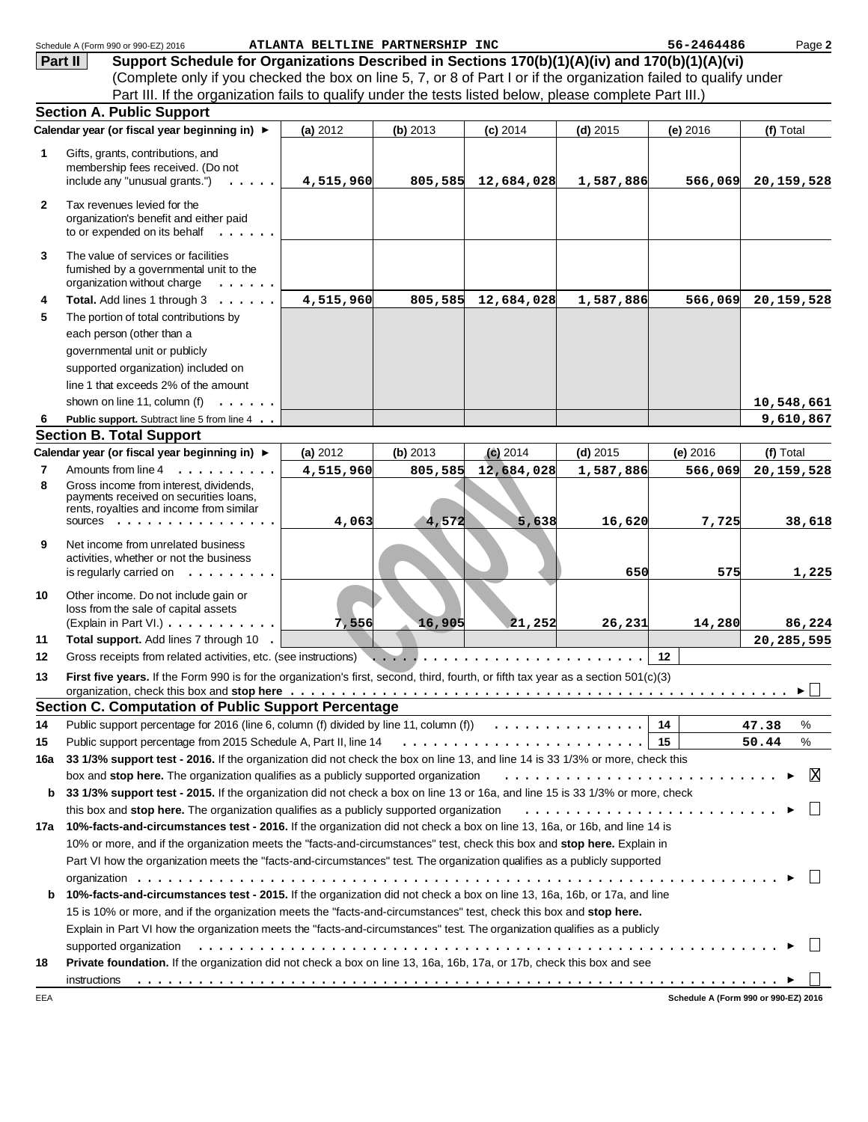|                | Schedule A (Form 990 or 990-EZ) 2016                                                                                                                                                                                           | ATLANTA BELTLINE PARTNERSHIP INC |          |                    |            | 56-2464486 | Page 2                               |
|----------------|--------------------------------------------------------------------------------------------------------------------------------------------------------------------------------------------------------------------------------|----------------------------------|----------|--------------------|------------|------------|--------------------------------------|
| Part II        | Support Schedule for Organizations Described in Sections 170(b)(1)(A)(iv) and 170(b)(1)(A)(vi)                                                                                                                                 |                                  |          |                    |            |            |                                      |
|                | (Complete only if you checked the box on line 5, 7, or 8 of Part I or if the organization failed to qualify under                                                                                                              |                                  |          |                    |            |            |                                      |
|                | Part III. If the organization fails to qualify under the tests listed below, please complete Part III.)                                                                                                                        |                                  |          |                    |            |            |                                      |
|                | <b>Section A. Public Support</b>                                                                                                                                                                                               |                                  |          |                    |            |            |                                      |
|                | Calendar year (or fiscal year beginning in) ►                                                                                                                                                                                  | (a) 2012                         | (b) 2013 | $(c)$ 2014         | $(d)$ 2015 | (e) 2016   | (f) Total                            |
| 1              | Gifts, grants, contributions, and<br>membership fees received. (Do not<br>include any "unusual grants.")                                                                                                                       | 4,515,960                        |          | 805,585 12,684,028 | 1,587,886  | 566,069    | 20, 159, 528                         |
|                |                                                                                                                                                                                                                                |                                  |          |                    |            |            |                                      |
| $\mathbf{2}$   | Tax revenues levied for the<br>organization's benefit and either paid<br>to or expended on its behalf                                                                                                                          |                                  |          |                    |            |            |                                      |
| 3              | The value of services or facilities<br>furnished by a governmental unit to the<br>organization without charge<br>$\sim$                                                                                                        |                                  |          |                    |            |            |                                      |
| 4              | Total. Add lines 1 through 3                                                                                                                                                                                                   | 4,515,960                        |          | 805,585 12,684,028 | 1,587,886  | 566,069    | 20,159,528                           |
| 5              | The portion of total contributions by                                                                                                                                                                                          |                                  |          |                    |            |            |                                      |
|                | each person (other than a                                                                                                                                                                                                      |                                  |          |                    |            |            |                                      |
|                | governmental unit or publicly                                                                                                                                                                                                  |                                  |          |                    |            |            |                                      |
|                | supported organization) included on                                                                                                                                                                                            |                                  |          |                    |            |            |                                      |
|                | line 1 that exceeds 2% of the amount                                                                                                                                                                                           |                                  |          |                    |            |            |                                      |
|                | shown on line 11, column (f)<br>.                                                                                                                                                                                              |                                  |          |                    |            |            | 10,548,661                           |
| 6              | Public support. Subtract line 5 from line 4                                                                                                                                                                                    |                                  |          |                    |            |            | 9,610,867                            |
|                | <b>Section B. Total Support</b>                                                                                                                                                                                                |                                  |          |                    |            |            |                                      |
|                | Calendar year (or fiscal year beginning in) ►                                                                                                                                                                                  | (a) 2012                         | (b) 2013 | $(c)$ 2014         | $(d)$ 2015 | (e) 2016   | (f) Total                            |
| $\overline{7}$ | Amounts from line 4<br>$\mathbf{r}$ . The state of the state $\mathbf{r}$                                                                                                                                                      | 4,515,960                        | 805,585  | 12,684,028         | 1,587,886  | 566,069    | 20, 159, 528                         |
| 8              | Gross income from interest, dividends,<br>payments received on securities loans,<br>rents, royalties and income from similar<br>SOUICES $\cdots$ , $\cdots$                                                                    | 4,063                            | 4,572    | 5,638              | 16,620     | 7,725      | 38,618                               |
| 9              | Net income from unrelated business<br>activities, whether or not the business<br>is regularly carried on $\dots \dots \dots$                                                                                                   |                                  |          |                    | 650        | 575        | 1,225                                |
| 10             | Other income. Do not include gain or<br>loss from the sale of capital assets<br>(Explain in Part VI.)                                                                                                                          | 7,556                            | 16,905   | 21,252             | 26,231     | 14,280     | 86,224                               |
| 11             | Total support. Add lines 7 through 10 .                                                                                                                                                                                        |                                  |          |                    |            |            | 20,285,595                           |
| 12             | Gross receipts from related activities, etc. (see instructions)                                                                                                                                                                |                                  |          |                    |            | $12 \,$    |                                      |
| 13             | First five years. If the Form 990 is for the organization's first, second, third, fourth, or fifth tax year as a section 501(c)(3)                                                                                             |                                  |          |                    |            |            | ▶│                                   |
|                | <b>Section C. Computation of Public Support Percentage</b>                                                                                                                                                                     |                                  |          |                    |            |            |                                      |
| 14             | Public support percentage for 2016 (line 6, column (f) divided by line 11, column (f) $\ldots \ldots \ldots \ldots$                                                                                                            |                                  |          |                    |            | 14         | 47.38<br>%                           |
| 15             |                                                                                                                                                                                                                                |                                  |          |                    |            |            | 50.44<br>%                           |
| 16a            | 33 1/3% support test - 2016. If the organization did not check the box on line 13, and line 14 is 33 1/3% or more, check this                                                                                                  |                                  |          |                    |            |            |                                      |
|                | box and stop here. The organization qualifies as a publicly supported organization                                                                                                                                             |                                  |          |                    |            |            | ΙX                                   |
| b              | 33 1/3% support test - 2015. If the organization did not check a box on line 13 or 16a, and line 15 is 33 1/3% or more, check                                                                                                  |                                  |          |                    |            |            |                                      |
|                | 17a 10%-facts-and-circumstances test - 2016. If the organization did not check a box on line 13, 16a, or 16b, and line 14 is                                                                                                   |                                  |          |                    |            |            |                                      |
|                | 10% or more, and if the organization meets the "facts-and-circumstances" test, check this box and stop here. Explain in                                                                                                        |                                  |          |                    |            |            |                                      |
|                | Part VI how the organization meets the "facts-and-circumstances" test. The organization qualifies as a publicly supported                                                                                                      |                                  |          |                    |            |            |                                      |
|                |                                                                                                                                                                                                                                |                                  |          |                    |            |            |                                      |
| b              | 10%-facts-and-circumstances test - 2015. If the organization did not check a box on line 13, 16a, 16b, or 17a, and line                                                                                                        |                                  |          |                    |            |            |                                      |
|                | 15 is 10% or more, and if the organization meets the "facts-and-circumstances" test, check this box and stop here.                                                                                                             |                                  |          |                    |            |            |                                      |
|                | Explain in Part VI how the organization meets the "facts-and-circumstances" test. The organization qualifies as a publicly                                                                                                     |                                  |          |                    |            |            |                                      |
|                | supported organization education and contact the control of the control of the control of the control of the control or control or the control of the control of the control of the control of the control of the control of t |                                  |          |                    |            |            |                                      |
| 18             | Private foundation. If the organization did not check a box on line 13, 16a, 16b, 17a, or 17b, check this box and see                                                                                                          |                                  |          |                    |            |            |                                      |
|                | instructions                                                                                                                                                                                                                   |                                  |          |                    |            |            |                                      |
| EEA            |                                                                                                                                                                                                                                |                                  |          |                    |            |            | Schedule A (Form 990 or 990-EZ) 2016 |
|                |                                                                                                                                                                                                                                |                                  |          |                    |            |            |                                      |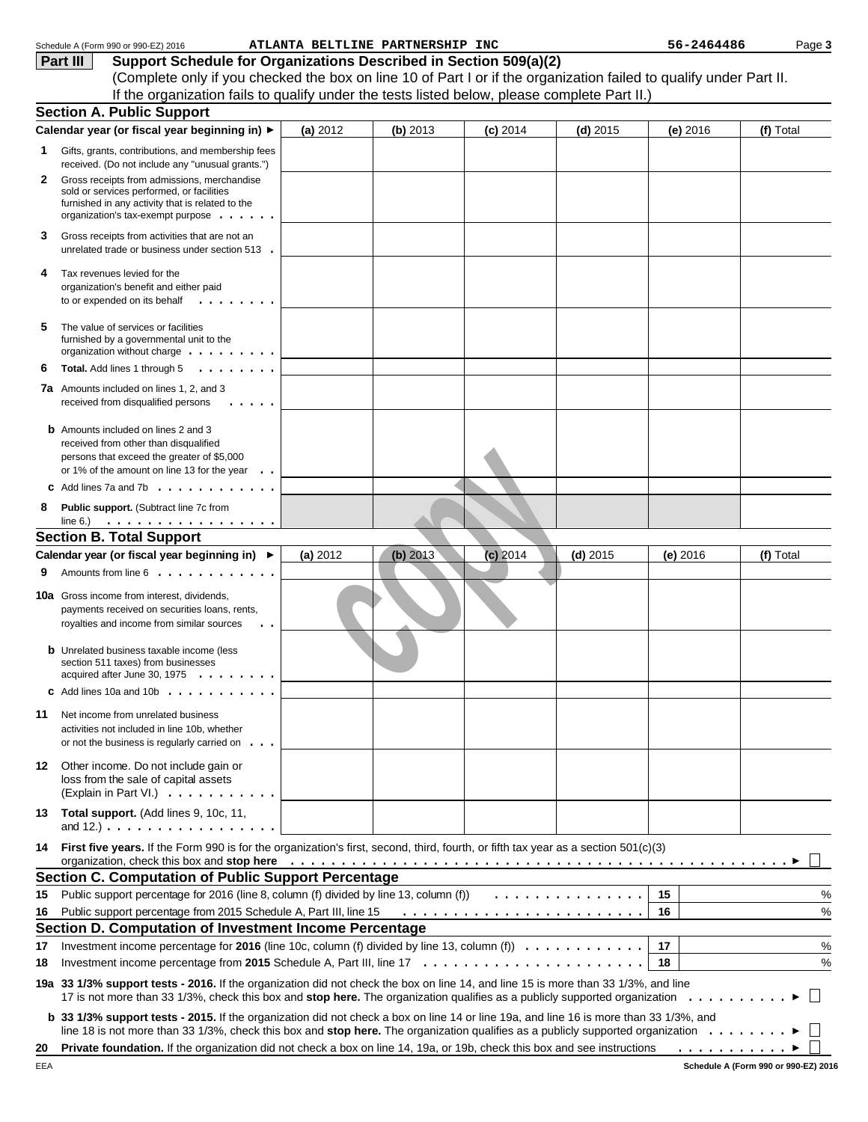|     | Schedule A (Form 990 or 990-EZ) 2016                                                                                                                                                                                                                                                                                                                                |          | ATLANTA BELTLINE PARTNERSHIP INC |            |            | 56-2464486    | Page 3    |
|-----|---------------------------------------------------------------------------------------------------------------------------------------------------------------------------------------------------------------------------------------------------------------------------------------------------------------------------------------------------------------------|----------|----------------------------------|------------|------------|---------------|-----------|
|     | Support Schedule for Organizations Described in Section 509(a)(2)<br>Part III                                                                                                                                                                                                                                                                                       |          |                                  |            |            |               |           |
|     | (Complete only if you checked the box on line 10 of Part I or if the organization failed to qualify under Part II.                                                                                                                                                                                                                                                  |          |                                  |            |            |               |           |
|     | If the organization fails to qualify under the tests listed below, please complete Part II.)                                                                                                                                                                                                                                                                        |          |                                  |            |            |               |           |
|     | <b>Section A. Public Support</b>                                                                                                                                                                                                                                                                                                                                    |          |                                  |            |            |               |           |
|     | Calendar year (or fiscal year beginning in) ▶                                                                                                                                                                                                                                                                                                                       | (a) 2012 | (b) 2013                         | $(c)$ 2014 | $(d)$ 2015 | (e) $2016$    | (f) Total |
| 1   | Gifts, grants, contributions, and membership fees<br>received. (Do not include any "unusual grants.")                                                                                                                                                                                                                                                               |          |                                  |            |            |               |           |
| 2   | Gross receipts from admissions, merchandise<br>sold or services performed, or facilities                                                                                                                                                                                                                                                                            |          |                                  |            |            |               |           |
|     | furnished in any activity that is related to the<br>organization's tax-exempt purpose                                                                                                                                                                                                                                                                               |          |                                  |            |            |               |           |
| 3   | Gross receipts from activities that are not an<br>unrelated trade or business under section 513.                                                                                                                                                                                                                                                                    |          |                                  |            |            |               |           |
| 4   | Tax revenues levied for the<br>organization's benefit and either paid<br>to or expended on its behalf<br>$\cdots$                                                                                                                                                                                                                                                   |          |                                  |            |            |               |           |
| 5   | The value of services or facilities<br>furnished by a governmental unit to the<br>organization without charge                                                                                                                                                                                                                                                       |          |                                  |            |            |               |           |
| 6   | Total. Add lines 1 through 5                                                                                                                                                                                                                                                                                                                                        |          |                                  |            |            |               |           |
| 7a  | Amounts included on lines 1, 2, and 3<br>received from disqualified persons                                                                                                                                                                                                                                                                                         |          |                                  |            |            |               |           |
|     | <b>b</b> Amounts included on lines 2 and 3                                                                                                                                                                                                                                                                                                                          |          |                                  |            |            |               |           |
|     | received from other than disqualified                                                                                                                                                                                                                                                                                                                               |          |                                  |            |            |               |           |
|     | persons that exceed the greater of \$5,000                                                                                                                                                                                                                                                                                                                          |          |                                  |            |            |               |           |
|     | or 1% of the amount on line 13 for the year $\ldots$                                                                                                                                                                                                                                                                                                                |          |                                  |            |            |               |           |
|     | Add lines 7a and 7b $\ldots$ , $\ldots$ , $\ldots$ , $\ldots$                                                                                                                                                                                                                                                                                                       |          |                                  |            |            |               |           |
| 8   | Public support. (Subtract line 7c from<br>line 6.) $\ldots \ldots \ldots \ldots \ldots$                                                                                                                                                                                                                                                                             |          |                                  |            |            |               |           |
|     | <b>Section B. Total Support</b>                                                                                                                                                                                                                                                                                                                                     |          |                                  |            |            |               |           |
|     | Calendar year (or fiscal year beginning in) ▶                                                                                                                                                                                                                                                                                                                       | (a) 2012 | $(b)$ 2013                       | $(c)$ 2014 | $(d)$ 2015 | (e) $2016$    | (f) Total |
| 9   | Amounts from line 6                                                                                                                                                                                                                                                                                                                                                 |          |                                  |            |            |               |           |
|     | <b>10a</b> Gross income from interest, dividends,<br>payments received on securities loans, rents,<br>royalties and income from similar sources<br>. .                                                                                                                                                                                                              |          |                                  |            |            |               |           |
|     | <b>b</b> Unrelated business taxable income (less<br>section 511 taxes) from businesses<br>acquired after June 30, 1975 $\ldots$ ,                                                                                                                                                                                                                                   |          |                                  |            |            |               |           |
|     | C Add lines 10a and 10b $\ldots$                                                                                                                                                                                                                                                                                                                                    |          |                                  |            |            |               |           |
| 11  | Net income from unrelated business                                                                                                                                                                                                                                                                                                                                  |          |                                  |            |            |               |           |
|     | activities not included in line 10b, whether<br>or not the business is regularly carried on $\ldots$                                                                                                                                                                                                                                                                |          |                                  |            |            |               |           |
|     | 12 Other income. Do not include gain or                                                                                                                                                                                                                                                                                                                             |          |                                  |            |            |               |           |
|     | loss from the sale of capital assets<br>(Explain in Part VI.) $\ldots \ldots \ldots$                                                                                                                                                                                                                                                                                |          |                                  |            |            |               |           |
|     | 13 Total support. (Add lines 9, 10c, 11,<br>and $12.$ ) $\ldots$ $\ldots$ $\ldots$ $\ldots$ $\ldots$ $\ldots$ $\ldots$                                                                                                                                                                                                                                              |          |                                  |            |            |               |           |
| 14. | First five years. If the Form 990 is for the organization's first, second, third, fourth, or fifth tax year as a section 501(c)(3)<br>organization, check this box and stop here entired and state and state and state and state and state and state and stop here are all the state and state and state and state and state and state and state and state and stat |          |                                  |            |            |               |           |
|     | <b>Section C. Computation of Public Support Percentage</b>                                                                                                                                                                                                                                                                                                          |          |                                  |            |            |               |           |
| 15  | Public support percentage for 2016 (line 8, column (f) divided by line 13, column (f))                                                                                                                                                                                                                                                                              |          |                                  |            | .          | 15            | %         |
| 16  | Public support percentage from 2015 Schedule A, Part III, line 15                                                                                                                                                                                                                                                                                                   |          |                                  |            |            | 16            | $\%$      |
|     | Section D. Computation of Investment Income Percentage                                                                                                                                                                                                                                                                                                              |          |                                  |            |            |               |           |
| 17  | Investment income percentage for 2016 (line 10c, column (f) divided by line 13, column (f) $\ldots \ldots \ldots \ldots$                                                                                                                                                                                                                                            |          |                                  |            |            | 17            | $\%$      |
| 18  |                                                                                                                                                                                                                                                                                                                                                                     |          |                                  |            |            | 18            | $\%$      |
|     | 19a 33 1/3% support tests - 2016. If the organization did not check the box on line 14, and line 15 is more than 33 1/3%, and line                                                                                                                                                                                                                                  |          |                                  |            |            |               |           |
|     | b 33 1/3% support tests - 2015. If the organization did not check a box on line 14 or line 19a, and line 16 is more than 33 1/3%, and<br>line 18 is not more than 33 1/3%, check this box and stop here. The organization qualifies as a publicly supported organization                                                                                            |          |                                  |            |            |               |           |
| 20  | Private foundation. If the organization did not check a box on line 14, 19a, or 19b, check this box and see instructions                                                                                                                                                                                                                                            |          |                                  |            |            | . <b>&gt;</b> |           |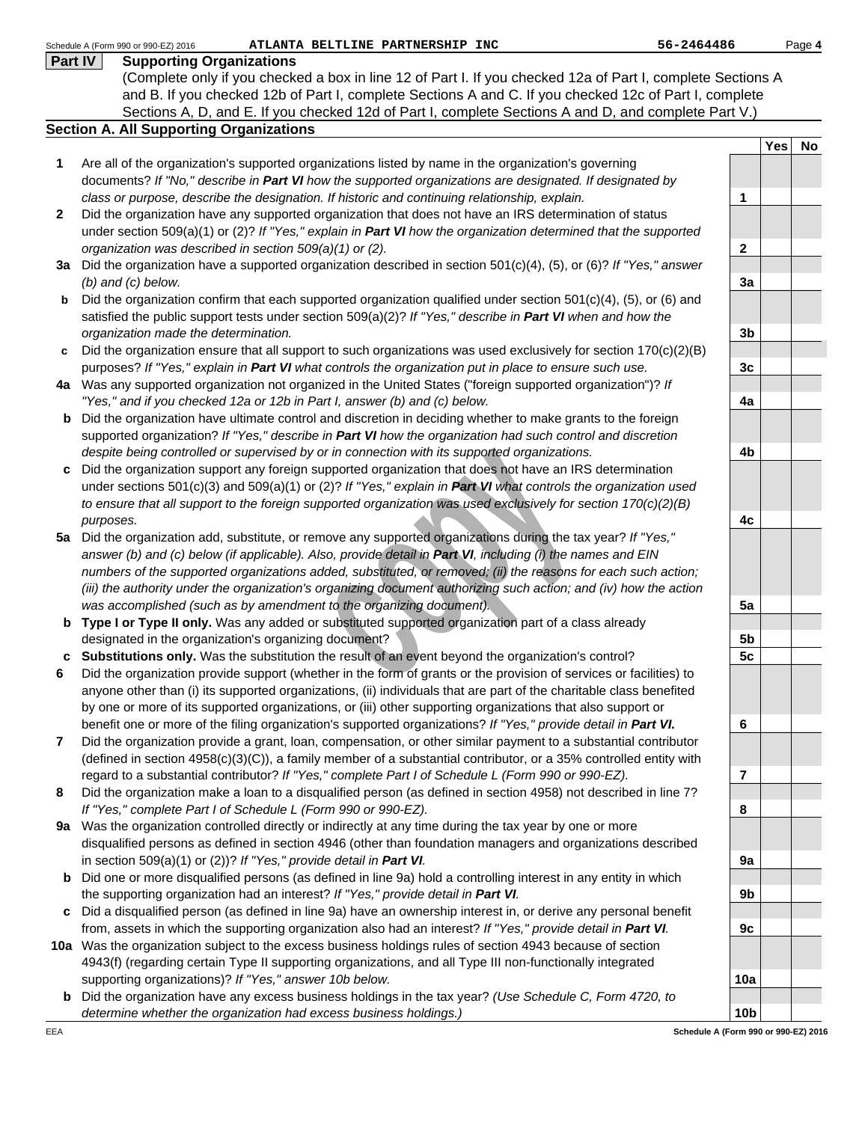| Part IV      | <b>Supporting Organizations</b>                                                                                         |                  |            |    |
|--------------|-------------------------------------------------------------------------------------------------------------------------|------------------|------------|----|
|              | (Complete only if you checked a box in line 12 of Part I. If you checked 12a of Part I, complete Sections A             |                  |            |    |
|              | and B. If you checked 12b of Part I, complete Sections A and C. If you checked 12c of Part I, complete                  |                  |            |    |
|              | Sections A, D, and E. If you checked 12d of Part I, complete Sections A and D, and complete Part V.)                    |                  |            |    |
|              | <b>Section A. All Supporting Organizations</b>                                                                          |                  |            |    |
|              |                                                                                                                         |                  | <b>Yes</b> | No |
| 1            | Are all of the organization's supported organizations listed by name in the organization's governing                    |                  |            |    |
|              | documents? If "No," describe in Part VI how the supported organizations are designated. If designated by                |                  |            |    |
|              | class or purpose, describe the designation. If historic and continuing relationship, explain.                           | 1                |            |    |
| $\mathbf{2}$ | Did the organization have any supported organization that does not have an IRS determination of status                  |                  |            |    |
|              | under section 509(a)(1) or (2)? If "Yes," explain in <b>Part VI</b> how the organization determined that the supported  |                  |            |    |
|              | organization was described in section 509(a)(1) or (2).                                                                 | $\boldsymbol{2}$ |            |    |
|              | 3a Did the organization have a supported organization described in section 501(c)(4), (5), or (6)? If "Yes," answer     |                  |            |    |
|              | $(b)$ and $(c)$ below.                                                                                                  | 3a               |            |    |
| b            | Did the organization confirm that each supported organization qualified under section $501(c)(4)$ , (5), or (6) and     |                  |            |    |
|              | satisfied the public support tests under section $509(a)(2)?$ If "Yes," describe in Part VI when and how the            |                  |            |    |
|              | organization made the determination.                                                                                    | 3 <sub>b</sub>   |            |    |
| c            | Did the organization ensure that all support to such organizations was used exclusively for section $170(c)(2)(B)$      |                  |            |    |
|              | purposes? If "Yes," explain in Part VI what controls the organization put in place to ensure such use.                  | 3c               |            |    |
|              | 4a Was any supported organization not organized in the United States ("foreign supported organization")? If             |                  |            |    |
|              | "Yes," and if you checked 12a or 12b in Part I, answer (b) and (c) below.                                               | 4a               |            |    |
| b            | Did the organization have ultimate control and discretion in deciding whether to make grants to the foreign             |                  |            |    |
|              | supported organization? If "Yes," describe in Part VI how the organization had such control and discretion              |                  |            |    |
|              | despite being controlled or supervised by or in connection with its supported organizations.                            | 4b               |            |    |
| c            | Did the organization support any foreign supported organization that does not have an IRS determination                 |                  |            |    |
|              | under sections 501(c)(3) and 509(a)(1) or (2)? If "Yes," explain in Part VI what controls the organization used         |                  |            |    |
|              | to ensure that all support to the foreign supported organization was used exclusively for section 170(c)(2)(B)          |                  |            |    |
|              |                                                                                                                         | 4c               |            |    |
|              | purposes.<br>Did the organization add, substitute, or remove any supported organizations during the tax year? If "Yes," |                  |            |    |
| 5а           | answer (b) and (c) below (if applicable). Also, provide detail in Part VI, including (i) the names and EIN              |                  |            |    |
|              | numbers of the supported organizations added, substituted, or removed; (ii) the reasons for each such action;           |                  |            |    |
|              | (iii) the authority under the organization's organizing document authorizing such action; and (iv) how the action       |                  |            |    |
|              | was accomplished (such as by amendment to the organizing document).                                                     | 5a               |            |    |
|              | Type I or Type II only. Was any added or substituted supported organization part of a class already                     |                  |            |    |
| b            | designated in the organization's organizing document?                                                                   |                  |            |    |
|              |                                                                                                                         | 5 <sub>b</sub>   |            |    |
| c            | Substitutions only. Was the substitution the result of an event beyond the organization's control?                      | 5 <sub>c</sub>   |            |    |
| 6            | Did the organization provide support (whether in the form of grants or the provision of services or facilities) to      |                  |            |    |
|              | anyone other than (i) its supported organizations, (ii) individuals that are part of the charitable class benefited     |                  |            |    |
|              | by one or more of its supported organizations, or (iii) other supporting organizations that also support or             |                  |            |    |
|              | benefit one or more of the filing organization's supported organizations? If "Yes," provide detail in Part VI.          | 6                |            |    |
| 7            | Did the organization provide a grant, loan, compensation, or other similar payment to a substantial contributor         |                  |            |    |
|              | (defined in section 4958(c)(3)(C)), a family member of a substantial contributor, or a 35% controlled entity with       |                  |            |    |
|              | regard to a substantial contributor? If "Yes," complete Part I of Schedule L (Form 990 or 990-EZ).                      | $\overline{7}$   |            |    |
| 8            | Did the organization make a loan to a disqualified person (as defined in section 4958) not described in line 7?         |                  |            |    |
|              | If "Yes," complete Part I of Schedule L (Form 990 or 990-EZ).                                                           | 8                |            |    |
| 9a           | Was the organization controlled directly or indirectly at any time during the tax year by one or more                   |                  |            |    |
|              | disqualified persons as defined in section 4946 (other than foundation managers and organizations described             |                  |            |    |
|              | in section 509(a)(1) or (2))? If "Yes," provide detail in Part VI.                                                      | 9a               |            |    |
| b            | Did one or more disqualified persons (as defined in line 9a) hold a controlling interest in any entity in which         |                  |            |    |
|              | the supporting organization had an interest? If "Yes," provide detail in Part VI.                                       | 9b               |            |    |
| c            | Did a disqualified person (as defined in line 9a) have an ownership interest in, or derive any personal benefit         |                  |            |    |
|              | from, assets in which the supporting organization also had an interest? If "Yes," provide detail in Part VI.            | 9c               |            |    |
|              | 10a Was the organization subject to the excess business holdings rules of section 4943 because of section               |                  |            |    |
|              | 4943(f) (regarding certain Type II supporting organizations, and all Type III non-functionally integrated               |                  |            |    |
|              | supporting organizations)? If "Yes," answer 10b below.                                                                  | 10a              |            |    |
| b            | Did the organization have any excess business holdings in the tax year? (Use Schedule C, Form 4720, to                  |                  |            |    |
|              | determine whether the organization had excess business holdings.)                                                       | 10 <sub>b</sub>  |            |    |
| EEA          | Schedule A (Form 990 or 990-EZ) 2016                                                                                    |                  |            |    |
|              |                                                                                                                         |                  |            |    |
|              |                                                                                                                         |                  |            |    |

Schedule A (Form 990 or 990-EZ) 2016 **ATLANTA BELTLINE PARTNERSHIP INC** 56-2464486

Page **4**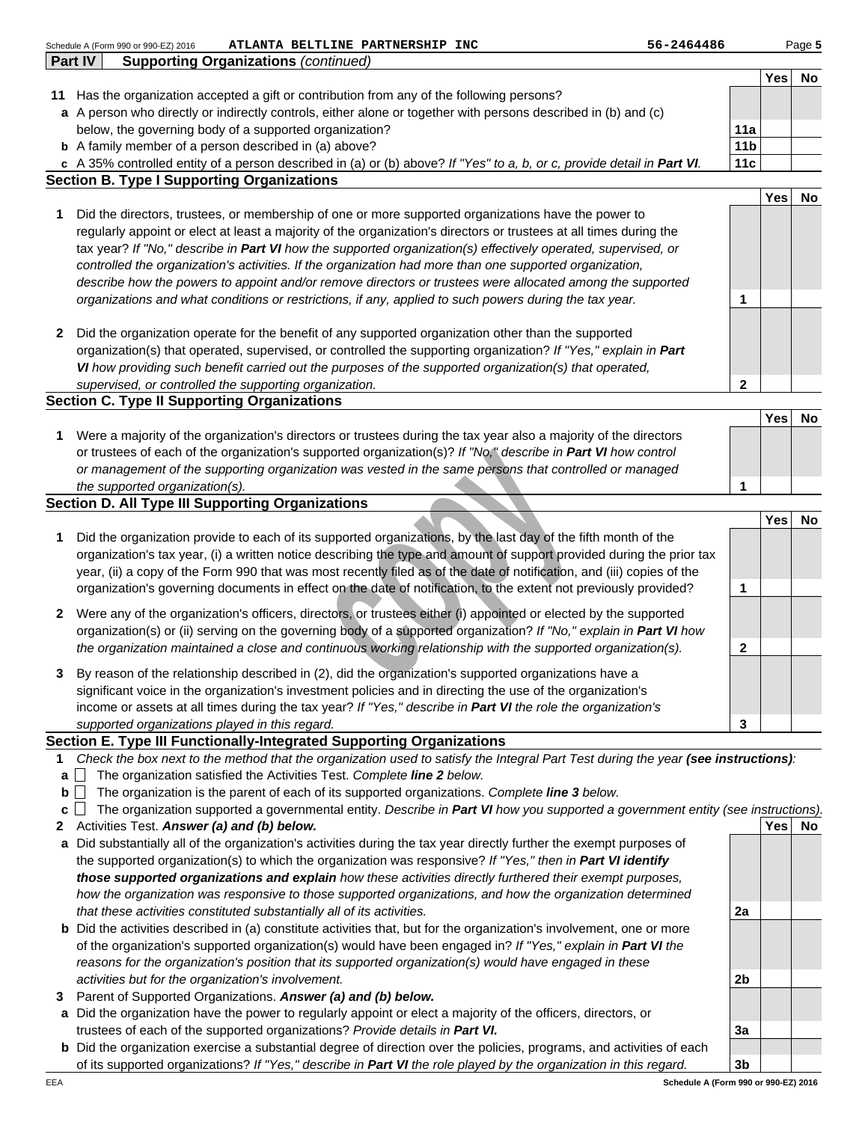|        | 56-2464486<br>Schedule A (Form 990 or 990-EZ) 2016<br>ATLANTA BELTLINE PARTNERSHIP INC                                                                                                                    |                 |     | Page 5 |
|--------|-----------------------------------------------------------------------------------------------------------------------------------------------------------------------------------------------------------|-----------------|-----|--------|
|        | Part IV<br><b>Supporting Organizations (continued)</b>                                                                                                                                                    |                 |     |        |
|        |                                                                                                                                                                                                           |                 | Yes | No     |
|        | 11 Has the organization accepted a gift or contribution from any of the following persons?                                                                                                                |                 |     |        |
|        | a A person who directly or indirectly controls, either alone or together with persons described in (b) and (c)                                                                                            |                 |     |        |
|        | below, the governing body of a supported organization?                                                                                                                                                    | 11a             |     |        |
|        | <b>b</b> A family member of a person described in (a) above?                                                                                                                                              | 11 <sub>b</sub> |     |        |
|        | c A 35% controlled entity of a person described in (a) or (b) above? If "Yes" to a, b, or c, provide detail in Part VI.                                                                                   | 11c             |     |        |
|        | <b>Section B. Type I Supporting Organizations</b>                                                                                                                                                         |                 |     |        |
|        |                                                                                                                                                                                                           |                 | Yes | No     |
| 1      | Did the directors, trustees, or membership of one or more supported organizations have the power to                                                                                                       |                 |     |        |
|        | regularly appoint or elect at least a majority of the organization's directors or trustees at all times during the                                                                                        |                 |     |        |
|        | tax year? If "No," describe in Part VI how the supported organization(s) effectively operated, supervised, or                                                                                             |                 |     |        |
|        | controlled the organization's activities. If the organization had more than one supported organization,                                                                                                   |                 |     |        |
|        | describe how the powers to appoint and/or remove directors or trustees were allocated among the supported                                                                                                 |                 |     |        |
|        | organizations and what conditions or restrictions, if any, applied to such powers during the tax year.                                                                                                    | 1               |     |        |
|        |                                                                                                                                                                                                           |                 |     |        |
| 2      | Did the organization operate for the benefit of any supported organization other than the supported                                                                                                       |                 |     |        |
|        | organization(s) that operated, supervised, or controlled the supporting organization? If "Yes," explain in Part                                                                                           |                 |     |        |
|        | VI how providing such benefit carried out the purposes of the supported organization(s) that operated,                                                                                                    |                 |     |        |
|        | supervised, or controlled the supporting organization.                                                                                                                                                    | $\mathbf 2$     |     |        |
|        | <b>Section C. Type II Supporting Organizations</b>                                                                                                                                                        |                 |     |        |
|        |                                                                                                                                                                                                           |                 | Yes | No     |
| 1      | Were a majority of the organization's directors or trustees during the tax year also a majority of the directors                                                                                          |                 |     |        |
|        | or trustees of each of the organization's supported organization(s)? If "No," describe in Part VI how control                                                                                             |                 |     |        |
|        | or management of the supporting organization was vested in the same persons that controlled or managed                                                                                                    |                 |     |        |
|        | the supported organization(s).                                                                                                                                                                            | 1               |     |        |
|        | <b>Section D. All Type III Supporting Organizations</b>                                                                                                                                                   |                 |     |        |
|        |                                                                                                                                                                                                           |                 | Yes | No     |
| 1      | Did the organization provide to each of its supported organizations, by the last day of the fifth month of the                                                                                            |                 |     |        |
|        | organization's tax year, (i) a written notice describing the type and amount of support provided during the prior tax                                                                                     |                 |     |        |
|        | year, (ii) a copy of the Form 990 that was most recently filed as of the date of notification, and (iii) copies of the                                                                                    |                 |     |        |
|        | organization's governing documents in effect on the date of notification, to the extent not previously provided?                                                                                          | 1               |     |        |
| 2      | Were any of the organization's officers, directors, or trustees either (i) appointed or elected by the supported                                                                                          |                 |     |        |
|        | organization(s) or (ii) serving on the governing body of a supported organization? If "No," explain in Part VI how                                                                                        |                 |     |        |
|        | the organization maintained a close and continuous working relationship with the supported organization(s).                                                                                               | $\mathbf{2}$    |     |        |
|        |                                                                                                                                                                                                           |                 |     |        |
| 3      | By reason of the relationship described in (2), did the organization's supported organizations have a                                                                                                     |                 |     |        |
|        | significant voice in the organization's investment policies and in directing the use of the organization's                                                                                                |                 |     |        |
|        | income or assets at all times during the tax year? If "Yes," describe in Part VI the role the organization's                                                                                              |                 |     |        |
|        | supported organizations played in this regard.                                                                                                                                                            | 3               |     |        |
| 1      | Section E. Type III Functionally-Integrated Supporting Organizations<br>Check the box next to the method that the organization used to satisfy the Integral Part Test during the year (see instructions): |                 |     |        |
|        | The organization satisfied the Activities Test. Complete line 2 below.                                                                                                                                    |                 |     |        |
| а<br>b | The organization is the parent of each of its supported organizations. Complete line 3 below.                                                                                                             |                 |     |        |
| c      | The organization supported a governmental entity. Describe in Part VI how you supported a government entity (see instructions).                                                                           |                 |     |        |
| 2      | Activities Test. Answer (a) and (b) below.                                                                                                                                                                |                 | Yes | No.    |
|        | a Did substantially all of the organization's activities during the tax year directly further the exempt purposes of                                                                                      |                 |     |        |
|        | the supported organization(s) to which the organization was responsive? If "Yes," then in Part VI identify                                                                                                |                 |     |        |
|        | those supported organizations and explain how these activities directly furthered their exempt purposes,                                                                                                  |                 |     |        |
|        | how the organization was responsive to those supported organizations, and how the organization determined                                                                                                 |                 |     |        |
|        | that these activities constituted substantially all of its activities.                                                                                                                                    | 2a              |     |        |
|        |                                                                                                                                                                                                           |                 |     |        |

- Activities Test. **Answer (a) and (b) below.**
- **a** Did substantially all of the organization's activities during the tax year directly further the exempt purposes of the supported organization(s) to which the organization was responsive? If "Yes," then in **Part VI identify those supported organizations and explain** how these activities directly furthered their exempt purposes, how the organization was responsive to those supported organizations, and how the organization determined that these activities constituted substantially all of its activities.
- **b** Did the activities described in (a) constitute activities that, but for the organization's involvement, one or more of the organization's supported organization(s) would have been engaged in? If "Yes," explain in **Part VI** the reasons for the organization's position that its supported organization(s) would have engaged in these activities but for the organization's involvement.
- 
- **3** Parent of Supported Organizations. **Answer (a) and (b) below.**<br>**a** Did the organization have the power to regularly appoint or elec a Did the organization have the power to regularly appoint or elect a majority of the officers, directors, or trustees of each of the supported organizations? Provide details in **Part VI.**
- **b** Did the organization exercise a substantial degree of direction over the policies, programs, and activities of each of its supported organizations? If "Yes," describe in **Part VI** the role played by the organization in this regard.

**3b Schedule A (Form 990 or 990-EZ) 2016**

**3a**

**2b**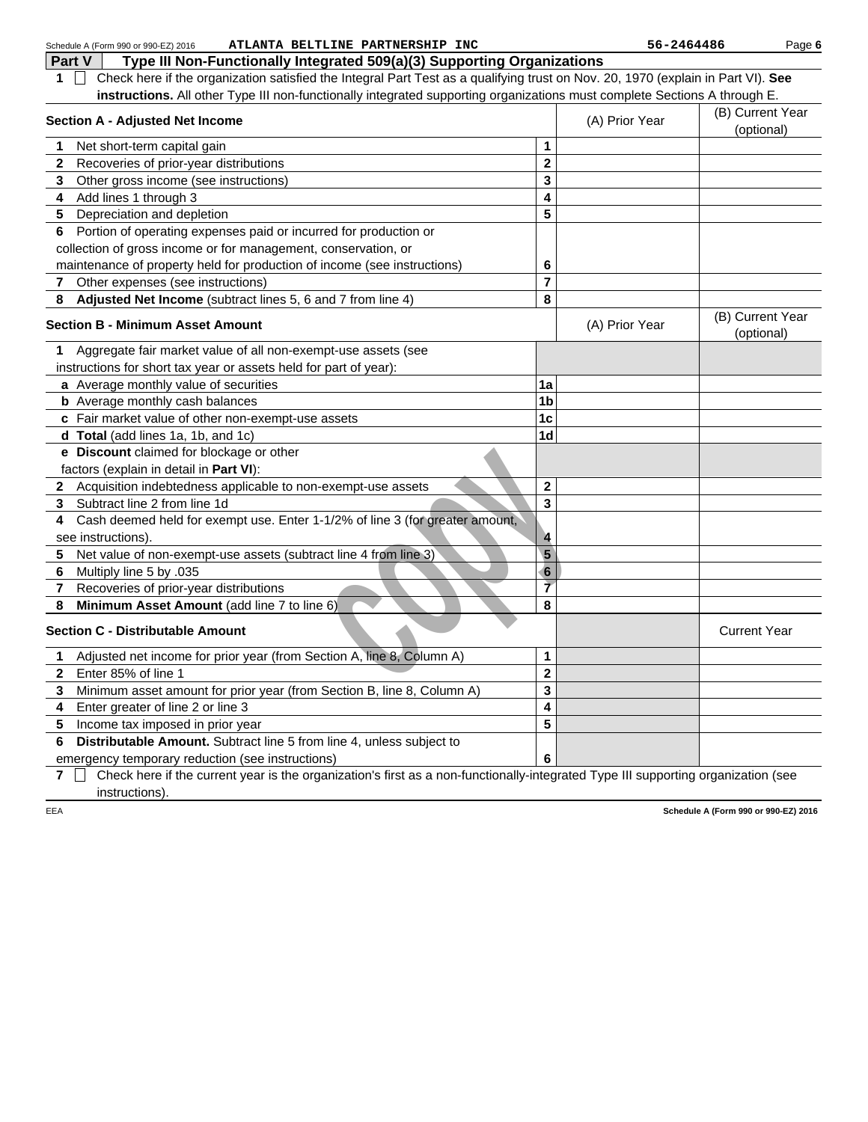|     | ATLANTA BELTLINE PARTNERSHIP INC<br>Schedule A (Form 990 or 990-EZ) 2016                                                          |                | 56-2464486     | Page 6                               |
|-----|-----------------------------------------------------------------------------------------------------------------------------------|----------------|----------------|--------------------------------------|
|     | Part V<br>Type III Non-Functionally Integrated 509(a)(3) Supporting Organizations                                                 |                |                |                                      |
| 1.  | Check here if the organization satisfied the Integral Part Test as a qualifying trust on Nov. 20, 1970 (explain in Part VI). See  |                |                |                                      |
|     | instructions. All other Type III non-functionally integrated supporting organizations must complete Sections A through E.         |                |                |                                      |
|     | <b>Section A - Adjusted Net Income</b>                                                                                            |                | (A) Prior Year | (B) Current Year<br>(optional)       |
| 1   | Net short-term capital gain                                                                                                       | 1              |                |                                      |
| 2   | Recoveries of prior-year distributions                                                                                            | $\mathbf 2$    |                |                                      |
| 3   | Other gross income (see instructions)                                                                                             | 3              |                |                                      |
| 4   | Add lines 1 through 3                                                                                                             | 4              |                |                                      |
| 5   | Depreciation and depletion                                                                                                        | 5              |                |                                      |
| 6   | Portion of operating expenses paid or incurred for production or                                                                  |                |                |                                      |
|     | collection of gross income or for management, conservation, or                                                                    |                |                |                                      |
|     | maintenance of property held for production of income (see instructions)                                                          | 6              |                |                                      |
| 7   | Other expenses (see instructions)                                                                                                 | $\overline{7}$ |                |                                      |
| 8   | Adjusted Net Income (subtract lines 5, 6 and 7 from line 4)                                                                       | 8              |                |                                      |
|     | <b>Section B - Minimum Asset Amount</b>                                                                                           |                | (A) Prior Year | (B) Current Year<br>(optional)       |
| 1   | Aggregate fair market value of all non-exempt-use assets (see                                                                     |                |                |                                      |
|     | instructions for short tax year or assets held for part of year):                                                                 |                |                |                                      |
|     | a Average monthly value of securities                                                                                             | 1a             |                |                                      |
|     | <b>b</b> Average monthly cash balances                                                                                            | 1 <sub>b</sub> |                |                                      |
|     | c Fair market value of other non-exempt-use assets                                                                                | 1 <sub>c</sub> |                |                                      |
|     | d Total (add lines 1a, 1b, and 1c)                                                                                                | 1 <sub>d</sub> |                |                                      |
|     | e Discount claimed for blockage or other                                                                                          |                |                |                                      |
|     | factors (explain in detail in Part VI):                                                                                           |                |                |                                      |
|     | 2 Acquisition indebtedness applicable to non-exempt-use assets                                                                    | $\mathbf 2$    |                |                                      |
| 3   | Subtract line 2 from line 1d                                                                                                      | 3              |                |                                      |
| 4   | Cash deemed held for exempt use. Enter 1-1/2% of line 3 (for greater amount,                                                      |                |                |                                      |
|     | see instructions).                                                                                                                | 4              |                |                                      |
| 5   | Net value of non-exempt-use assets (subtract line 4 from line 3)                                                                  | $5\phantom{1}$ |                |                                      |
| 6   | Multiply line 5 by .035                                                                                                           | 6              |                |                                      |
| 7   | Recoveries of prior-year distributions                                                                                            | $\overline{7}$ |                |                                      |
| 8   | Minimum Asset Amount (add line 7 to line 6)                                                                                       | 8              |                |                                      |
|     | <b>Section C - Distributable Amount</b>                                                                                           |                |                | <b>Current Year</b>                  |
| 1.  | Adjusted net income for prior year (from Section A, line 8, Column A)                                                             | 1              |                |                                      |
| 2   | Enter 85% of line 1                                                                                                               | $\bf{2}$       |                |                                      |
| 3   | Minimum asset amount for prior year (from Section B, line 8, Column A)                                                            | 3              |                |                                      |
| 4   | Enter greater of line 2 or line 3                                                                                                 | 4              |                |                                      |
| 5   | Income tax imposed in prior year                                                                                                  | 5              |                |                                      |
| 6   | Distributable Amount. Subtract line 5 from line 4, unless subject to                                                              |                |                |                                      |
|     | emergency temporary reduction (see instructions)                                                                                  | 6              |                |                                      |
| 7   | Check here if the current year is the organization's first as a non-functionally-integrated Type III supporting organization (see |                |                |                                      |
|     | instructions).                                                                                                                    |                |                |                                      |
| EEA |                                                                                                                                   |                |                | Schedule A (Form 990 or 990-EZ) 2016 |
|     |                                                                                                                                   |                |                |                                      |
|     |                                                                                                                                   |                |                |                                      |
|     |                                                                                                                                   |                |                |                                      |
|     |                                                                                                                                   |                |                |                                      |
|     |                                                                                                                                   |                |                |                                      |
|     |                                                                                                                                   |                |                |                                      |
|     |                                                                                                                                   |                |                |                                      |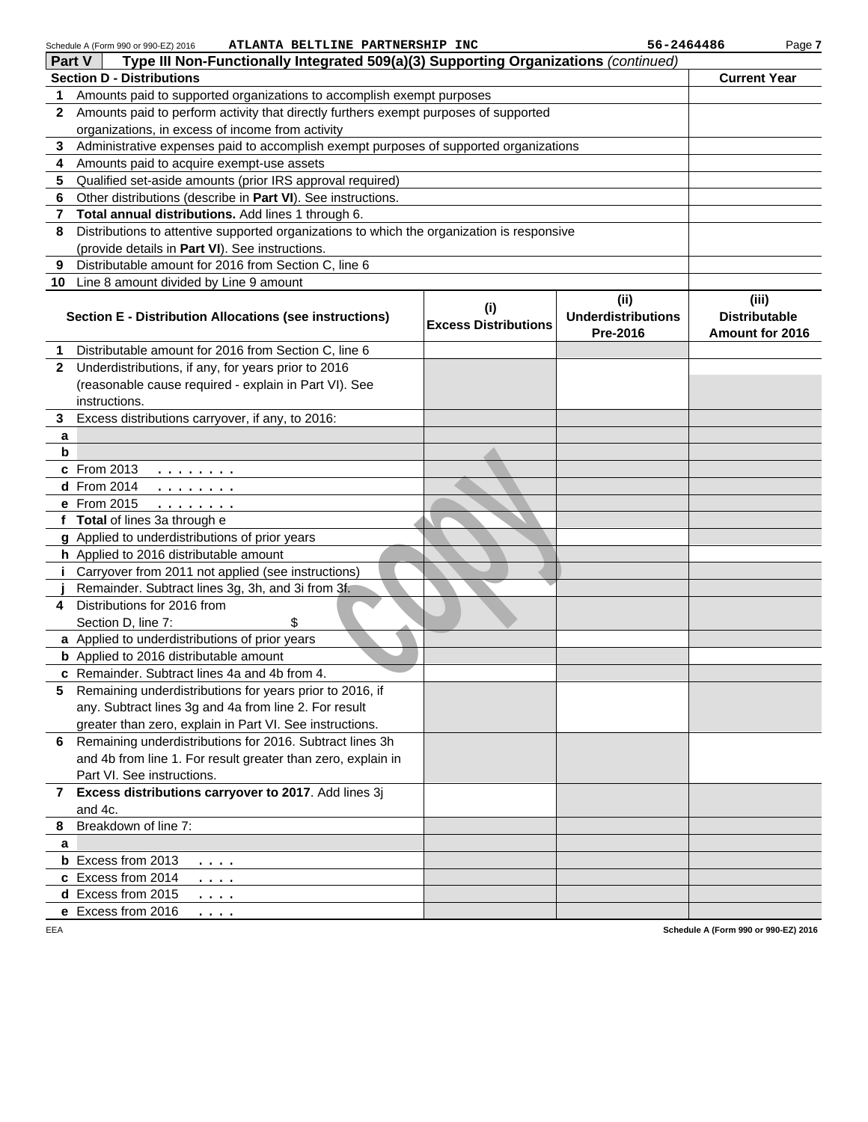Schedule A (Form 990 or 990-EZ) 2016 **ATLANTA BELTLINE PARTNERSHIP INC 56-2464486**

Page **7**

| Part V       | <b>SCILEDULE A (FUIIII 990 OF 990-EZ) ZUTO</b><br>ALLANIA BELILLINE FARINERSHIF INC<br>Type III Non-Functionally Integrated 509(a)(3) Supporting Organizations (continued)                   |                                    | 30-490990                                     | ı ayu r                                          |
|--------------|----------------------------------------------------------------------------------------------------------------------------------------------------------------------------------------------|------------------------------------|-----------------------------------------------|--------------------------------------------------|
|              | <b>Section D - Distributions</b>                                                                                                                                                             |                                    |                                               | <b>Current Year</b>                              |
| 1            | Amounts paid to supported organizations to accomplish exempt purposes                                                                                                                        |                                    |                                               |                                                  |
| $\mathbf{2}$ | Amounts paid to perform activity that directly furthers exempt purposes of supported                                                                                                         |                                    |                                               |                                                  |
|              | organizations, in excess of income from activity                                                                                                                                             |                                    |                                               |                                                  |
| 3            | Administrative expenses paid to accomplish exempt purposes of supported organizations                                                                                                        |                                    |                                               |                                                  |
| 4            | Amounts paid to acquire exempt-use assets                                                                                                                                                    |                                    |                                               |                                                  |
| 5            | Qualified set-aside amounts (prior IRS approval required)                                                                                                                                    |                                    |                                               |                                                  |
| 6            | Other distributions (describe in Part VI). See instructions.                                                                                                                                 |                                    |                                               |                                                  |
| 7            | Total annual distributions. Add lines 1 through 6.                                                                                                                                           |                                    |                                               |                                                  |
| 8            | Distributions to attentive supported organizations to which the organization is responsive                                                                                                   |                                    |                                               |                                                  |
|              | (provide details in Part VI). See instructions.                                                                                                                                              |                                    |                                               |                                                  |
| 9            | Distributable amount for 2016 from Section C, line 6                                                                                                                                         |                                    |                                               |                                                  |
|              | 10 Line 8 amount divided by Line 9 amount                                                                                                                                                    |                                    |                                               |                                                  |
|              | Section E - Distribution Allocations (see instructions)                                                                                                                                      | (i)<br><b>Excess Distributions</b> | (ii)<br><b>Underdistributions</b><br>Pre-2016 | (iii)<br><b>Distributable</b><br>Amount for 2016 |
| 1            | Distributable amount for 2016 from Section C, line 6                                                                                                                                         |                                    |                                               |                                                  |
| $\mathbf{2}$ | Underdistributions, if any, for years prior to 2016                                                                                                                                          |                                    |                                               |                                                  |
|              | (reasonable cause required - explain in Part VI). See                                                                                                                                        |                                    |                                               |                                                  |
|              | instructions.                                                                                                                                                                                |                                    |                                               |                                                  |
| 3            | Excess distributions carryover, if any, to 2016:                                                                                                                                             |                                    |                                               |                                                  |
| a            |                                                                                                                                                                                              |                                    |                                               |                                                  |
| b            |                                                                                                                                                                                              |                                    |                                               |                                                  |
|              | c From 2013<br>$\begin{array}{cccccccccccccc} \bullet & \bullet & \bullet & \bullet & \bullet & \bullet & \bullet & \bullet & \bullet & \bullet & \bullet \end{array}$<br><b>d</b> From 2014 |                                    |                                               |                                                  |
|              | .<br>e From 2015                                                                                                                                                                             |                                    |                                               |                                                  |
|              | f Total of lines 3a through e                                                                                                                                                                |                                    |                                               |                                                  |
|              | g Applied to underdistributions of prior years                                                                                                                                               |                                    |                                               |                                                  |
|              | h Applied to 2016 distributable amount                                                                                                                                                       |                                    |                                               |                                                  |
| i.           | Carryover from 2011 not applied (see instructions)                                                                                                                                           |                                    |                                               |                                                  |
|              | Remainder. Subtract lines 3g, 3h, and 3i from 3f.                                                                                                                                            |                                    |                                               |                                                  |
| 4            | Distributions for 2016 from                                                                                                                                                                  |                                    |                                               |                                                  |
|              | Section D, line 7:<br>\$                                                                                                                                                                     |                                    |                                               |                                                  |
|              | a Applied to underdistributions of prior years                                                                                                                                               |                                    |                                               |                                                  |
|              | <b>b</b> Applied to 2016 distributable amount                                                                                                                                                |                                    |                                               |                                                  |
|              | c Remainder. Subtract lines 4a and 4b from 4.                                                                                                                                                |                                    |                                               |                                                  |
| 5            | Remaining underdistributions for years prior to 2016, if<br>any. Subtract lines 3g and 4a from line 2. For result                                                                            |                                    |                                               |                                                  |
|              | greater than zero, explain in Part VI. See instructions.                                                                                                                                     |                                    |                                               |                                                  |
|              | 6 Remaining underdistributions for 2016. Subtract lines 3h                                                                                                                                   |                                    |                                               |                                                  |
|              | and 4b from line 1. For result greater than zero, explain in                                                                                                                                 |                                    |                                               |                                                  |
|              | Part VI. See instructions.                                                                                                                                                                   |                                    |                                               |                                                  |
|              | 7 Excess distributions carryover to 2017. Add lines 3j                                                                                                                                       |                                    |                                               |                                                  |
|              | and 4c.                                                                                                                                                                                      |                                    |                                               |                                                  |
| 8            | Breakdown of line 7:                                                                                                                                                                         |                                    |                                               |                                                  |
| a            |                                                                                                                                                                                              |                                    |                                               |                                                  |
|              | <b>b</b> Excess from 2013<br>$\cdots$                                                                                                                                                        |                                    |                                               |                                                  |
|              | c Excess from 2014<br>$\cdots$                                                                                                                                                               |                                    |                                               |                                                  |
|              | d Excess from 2015<br>$\cdots$                                                                                                                                                               |                                    |                                               |                                                  |
|              | e Excess from 2016<br>$\cdots$                                                                                                                                                               |                                    |                                               |                                                  |

EEA

**Schedule A (Form 990 or 990-EZ) 2016**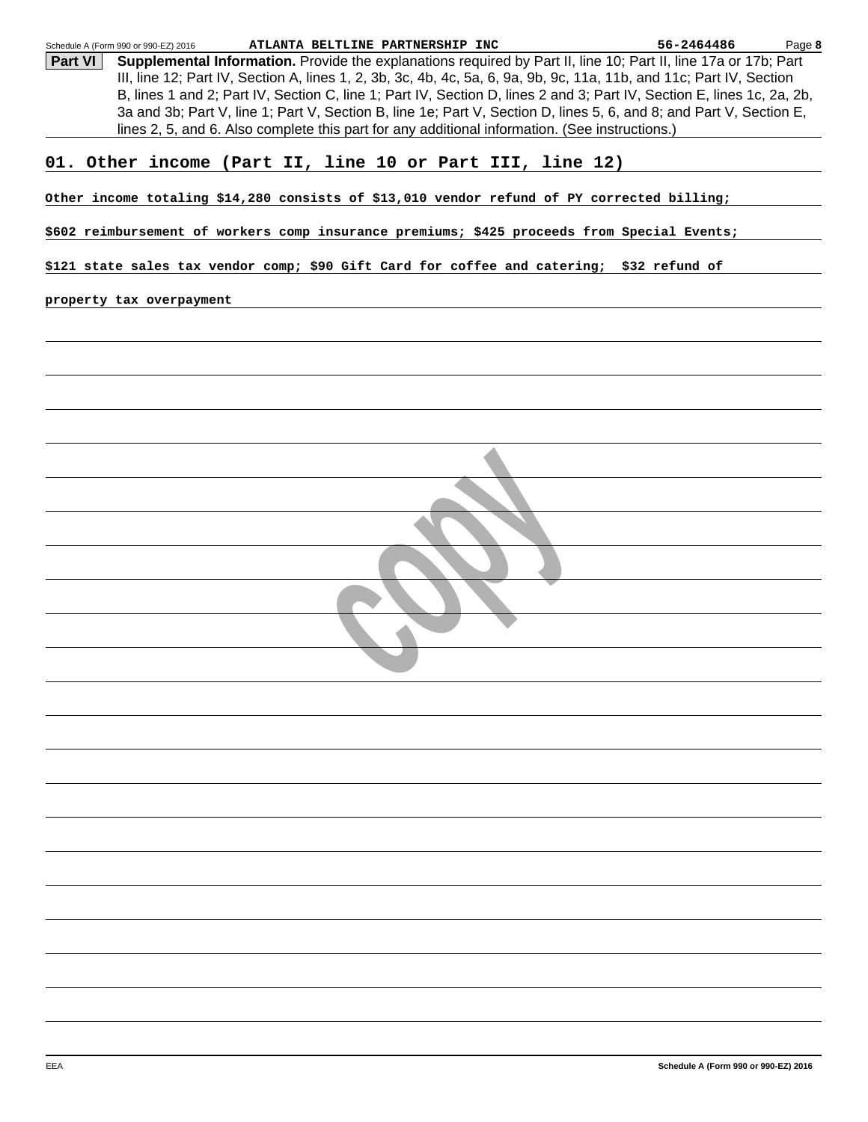| 56-2464486<br>Schedule A (Form 990 or 990-EZ) 2016<br>ATLANTA BELTLINE PARTNERSHIP INC                                                                                                                                                        | Page 8 |
|-----------------------------------------------------------------------------------------------------------------------------------------------------------------------------------------------------------------------------------------------|--------|
| Supplemental Information. Provide the explanations required by Part II, line 10; Part II, line 17a or 17b; Part<br><b>Part VI</b>                                                                                                             |        |
| III, line 12; Part IV, Section A, lines 1, 2, 3b, 3c, 4b, 4c, 5a, 6, 9a, 9b, 9c, 11a, 11b, and 11c; Part IV, Section                                                                                                                          |        |
| B, lines 1 and 2; Part IV, Section C, line 1; Part IV, Section D, lines 2 and 3; Part IV, Section E, lines 1c, 2a, 2b,<br>3a and 3b; Part V, line 1; Part V, Section B, line 1e; Part V, Section D, lines 5, 6, and 8; and Part V, Section E, |        |
| lines 2, 5, and 6. Also complete this part for any additional information. (See instructions.)                                                                                                                                                |        |
|                                                                                                                                                                                                                                               |        |
| 01. Other income (Part II, line 10 or Part III, line 12)                                                                                                                                                                                      |        |
|                                                                                                                                                                                                                                               |        |
| Other income totaling \$14,280 consists of \$13,010 vendor refund of PY corrected billing;                                                                                                                                                    |        |
| \$602 reimbursement of workers comp insurance premiums; \$425 proceeds from Special Events;                                                                                                                                                   |        |
| \$121 state sales tax vendor comp; \$90 Gift Card for coffee and catering; \$32 refund of                                                                                                                                                     |        |
| property tax overpayment                                                                                                                                                                                                                      |        |
|                                                                                                                                                                                                                                               |        |
|                                                                                                                                                                                                                                               |        |
|                                                                                                                                                                                                                                               |        |
|                                                                                                                                                                                                                                               |        |
|                                                                                                                                                                                                                                               |        |
|                                                                                                                                                                                                                                               |        |
|                                                                                                                                                                                                                                               |        |
|                                                                                                                                                                                                                                               |        |
|                                                                                                                                                                                                                                               |        |
|                                                                                                                                                                                                                                               |        |
|                                                                                                                                                                                                                                               |        |
|                                                                                                                                                                                                                                               |        |
|                                                                                                                                                                                                                                               |        |
|                                                                                                                                                                                                                                               |        |
|                                                                                                                                                                                                                                               |        |
|                                                                                                                                                                                                                                               |        |
|                                                                                                                                                                                                                                               |        |
|                                                                                                                                                                                                                                               |        |
|                                                                                                                                                                                                                                               |        |
|                                                                                                                                                                                                                                               |        |
|                                                                                                                                                                                                                                               |        |
|                                                                                                                                                                                                                                               |        |
|                                                                                                                                                                                                                                               |        |
|                                                                                                                                                                                                                                               |        |
|                                                                                                                                                                                                                                               |        |
|                                                                                                                                                                                                                                               |        |
|                                                                                                                                                                                                                                               |        |
|                                                                                                                                                                                                                                               |        |
|                                                                                                                                                                                                                                               |        |
|                                                                                                                                                                                                                                               |        |
|                                                                                                                                                                                                                                               |        |
|                                                                                                                                                                                                                                               |        |
|                                                                                                                                                                                                                                               |        |
|                                                                                                                                                                                                                                               |        |
|                                                                                                                                                                                                                                               |        |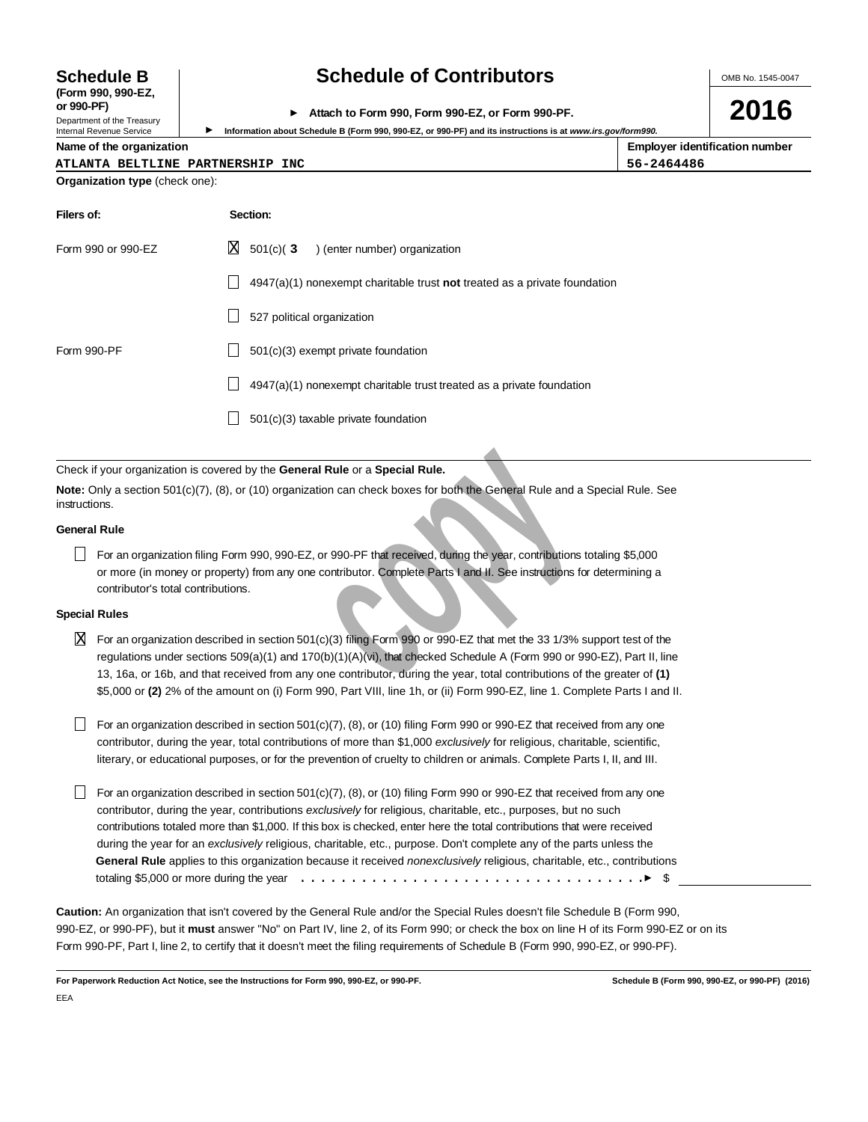# **(Form 990, 990-EZ,**

Department of the Treasury<br>Internal Revenue Service

# **Schedule B Schedule of Contributors**

OMB No. 1545-0047

**2016**

**or 990-PF) Attach to Form 990, Form 990-EZ, or Form 990-PF.**

Information about Schedule B (Form 990, 990-EZ, or 990-PF) and its instructions is at *www.irs.gov/form990.* 

| Name of the organization         | <b>Employer identification number</b> |
|----------------------------------|---------------------------------------|
| ATLANTA BELTLINE PARTNERSHIP INC | 56-2464486                            |

|                                | AILANIA DELILINE PARINERSAIP |  |
|--------------------------------|------------------------------|--|
| Organization type (check one): |                              |  |

| Filers of:         | Section:                                                                           |  |  |  |  |
|--------------------|------------------------------------------------------------------------------------|--|--|--|--|
| Form 990 or 990-EZ | $X = 501(c)$ (3) (enter number) organization                                       |  |  |  |  |
|                    | $4947(a)(1)$ nonexempt charitable trust <b>not</b> treated as a private foundation |  |  |  |  |
|                    | 527 political organization                                                         |  |  |  |  |
| Form 990-PF        | $501(c)(3)$ exempt private foundation                                              |  |  |  |  |
|                    | 4947(a)(1) nonexempt charitable trust treated as a private foundation              |  |  |  |  |
|                    | 501(c)(3) taxable private foundation                                               |  |  |  |  |

Check if your organization is covered by the **General Rule** or a **Special Rule.**

**Note:** Only a section 501(c)(7), (8), or (10) organization can check boxes for both the General Rule and a Special Rule. See instructions.

#### **General Rule**

For an organization filing Form 990, 990-EZ, or 990-PF that received, during the year, contributions totaling \$5,000 or more (in money or property) from any one contributor. Complete Parts I and II. See instructions for determining a contributor's total contributions.

### **Special Rules**

 $\overline{X}$  For an organization described in section 501(c)(3) filing Form 990 or 990-EZ that met the 33 1/3% support test of the regulations under sections 509(a)(1) and 170(b)(1)(A)(vi), that checked Schedule A (Form 990 or 990-EZ), Part II, line 13, 16a, or 16b, and that received from any one contributor, during the year, total contributions of the greater of **(1)** \$5,000 or **(2)** 2% of the amount on (i) Form 990, Part VIII, line 1h, or (ii) Form 990-EZ, line 1. Complete Parts I and II.

For an organization described in section 501(c)(7), (8), or (10) filing Form 990 or 990-EZ that received from any one contributor, during the year, total contributions of more than \$1,000 exclusively for religious, charitable, scientific, literary, or educational purposes, or for the prevention of cruelty to children or animals. Complete Parts I, II, and III.

anization is covered by the **General Rule or a Special Rule.**<br>
ion 501(c)(7), (8), or (10) organization can check boxes for both the General Rule and a is<br>
ganzation filing Form 990, 990-EZ, or 990-PF that received, during For an organization described in section 501(c)(7), (8), or (10) filing Form 990 or 990-EZ that received from any one contributor, during the year, contributions exclusively for religious, charitable, etc., purposes, but no such contributions totaled more than \$1,000. If this box is checked, enter here the total contributions that were received during the year for an exclusively religious, charitable, etc., purpose. Don't complete any of the parts unless the **General Rule** applies to this organization because it received nonexclusively religious, charitable, etc., contributions totaling \$5,000 or more during the year  $\dots\dots\dots\dots\dots\dots\dots\dots\dots\dots\dots\dots\dots\dots\dots\dots$ 

**Caution:** An organization that isn't covered by the General Rule and/or the Special Rules doesn't file Schedule B (Form 990, 990-EZ, or 990-PF), but it **must** answer "No" on Part IV, line 2, of its Form 990; or check the box on line H of its Form 990-EZ or on its Form 990-PF, Part I, line 2, to certify that it doesn't meet the filing requirements of Schedule B (Form 990, 990-EZ, or 990-PF).

**For Paperwork Reduction Act Notice, see the Instructions for Form 990, 990-EZ, or 990-PF. Schedule B (Form 990, 990-EZ, or 990-PF) (2016)** EEA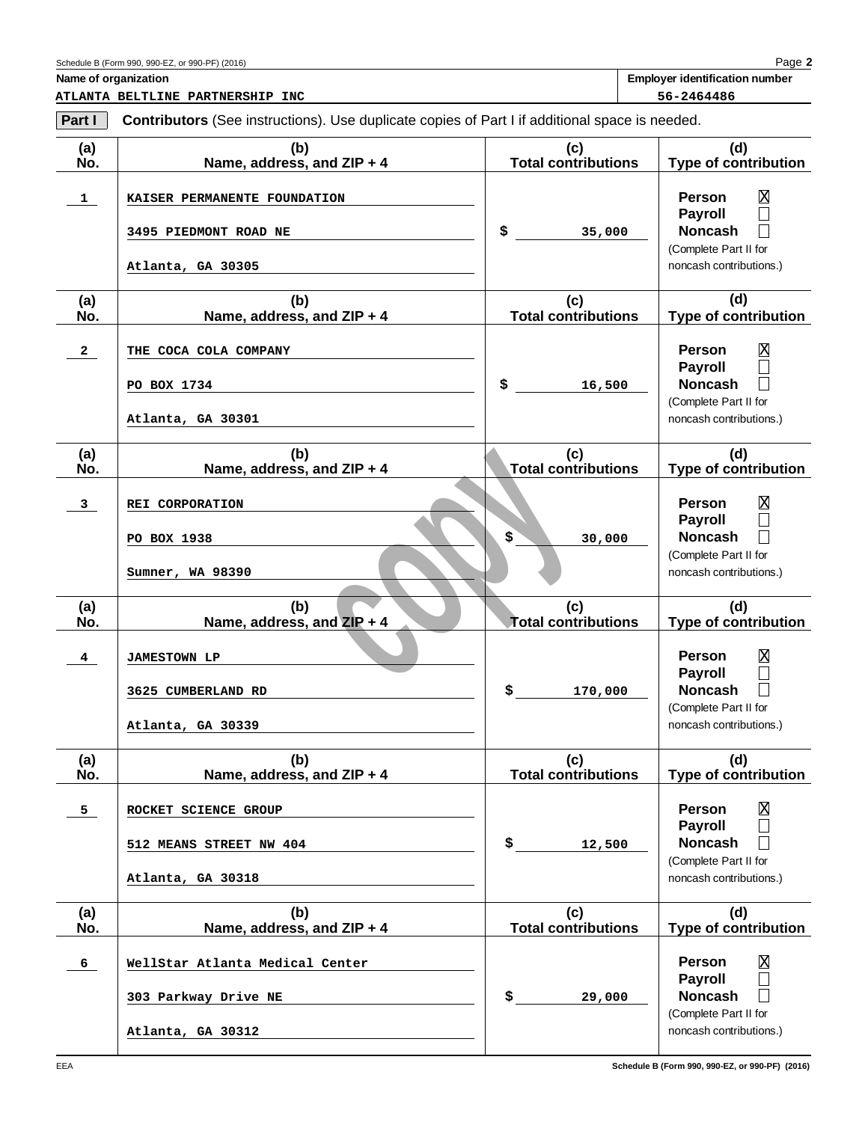**2** Page **Name of organization Employer identification number**

**ATLANTA BELTLINE PARTNERSHIP INC 56-2464486**

| Part I                  | <b>Contributors</b> (See instructions). Use duplicate copies of Part I if additional space is needed. |                                   |                                                                                                                                                    |  |  |  |
|-------------------------|-------------------------------------------------------------------------------------------------------|-----------------------------------|----------------------------------------------------------------------------------------------------------------------------------------------------|--|--|--|
| (a)<br>No.              | (b)<br>Name, address, and ZIP + 4                                                                     | (c)<br><b>Total contributions</b> | (d)<br><b>Type of contribution</b>                                                                                                                 |  |  |  |
| $\mathbf{1}$            | KAISER PERMANENTE FOUNDATION<br><b>3495 PIEDMONT ROAD NE</b><br>Atlanta, GA 30305                     | \$<br>35,000                      | Χ<br><b>Person</b><br>$\Box$<br>Payroll<br><b>Noncash</b><br>$\Box$<br>(Complete Part II for<br>noncash contributions.)                            |  |  |  |
| (a)<br>No.              | (b)<br>Name, address, and ZIP + 4                                                                     | (c)<br><b>Total contributions</b> | (d)<br><b>Type of contribution</b>                                                                                                                 |  |  |  |
| $\mathbf{2}$            | THE COCA COLA COMPANY<br>PO BOX 1734<br>Atlanta, GA 30301                                             | \$<br>16,500                      | $\overline{\text{X}}$<br>Person<br>$\Box$<br><b>Payroll</b><br><b>Noncash</b><br>$\Box$<br>(Complete Part II for<br>noncash contributions.)        |  |  |  |
| (a)<br>No.              | (b)<br>Name, address, and ZIP + 4                                                                     | (c)<br><b>Total contributions</b> | (d)<br>Type of contribution                                                                                                                        |  |  |  |
| $\mathbf{3}$            | REI CORPORATION<br>PO BOX 1938<br>Sumner, WA 98390                                                    | \$<br>30,000                      | $\overline{\text{X}}$<br>Person<br>$\Box$<br><b>Payroll</b><br><b>Noncash</b><br>$\Box$<br>(Complete Part II for<br>noncash contributions.)        |  |  |  |
| (a)<br>No.              | (b)<br>Name, address, and ZIP + 4                                                                     | (c)<br><b>Total contributions</b> | (d)<br>Type of contribution                                                                                                                        |  |  |  |
| $\overline{\mathbf{4}}$ | <b>JAMESTOWN LP</b><br>3625 CUMBERLAND RD<br>Atlanta, GA 30339                                        | \$<br>170,000                     | $\overline{\text{X}}$<br><b>Person</b><br>$\Box$<br><b>Payroll</b><br><b>Noncash</b><br>$\Box$<br>(Complete Part II for<br>noncash contributions.) |  |  |  |
| (a)<br>No.              | (b)<br>Name, address, and ZIP + 4                                                                     | (c)<br><b>Total contributions</b> | (d)<br><b>Type of contribution</b>                                                                                                                 |  |  |  |
| 5 <sub>1</sub>          | ROCKET SCIENCE GROUP<br>512 MEANS STREET NW 404<br>Atlanta, GA 30318                                  | \$<br>12,500                      | $\overline{\text{X}}$<br><b>Person</b><br>$\Box$<br><b>Payroll</b><br><b>Noncash</b><br>(Complete Part II for<br>noncash contributions.)           |  |  |  |
| (a)<br>No.              | (b)<br>Name, address, and ZIP + 4                                                                     | (c)<br><b>Total contributions</b> | (d)<br><b>Type of contribution</b>                                                                                                                 |  |  |  |
| 6 <sub>1</sub>          | WellStar Atlanta Medical Center<br>303 Parkway Drive NE<br>Atlanta, GA 30312                          | \$<br>29,000                      | $\overline{\text{X}}$<br><b>Person</b><br><b>Payroll</b><br>$\Box$<br><b>Noncash</b><br>$\Box$<br>(Complete Part II for<br>noncash contributions.) |  |  |  |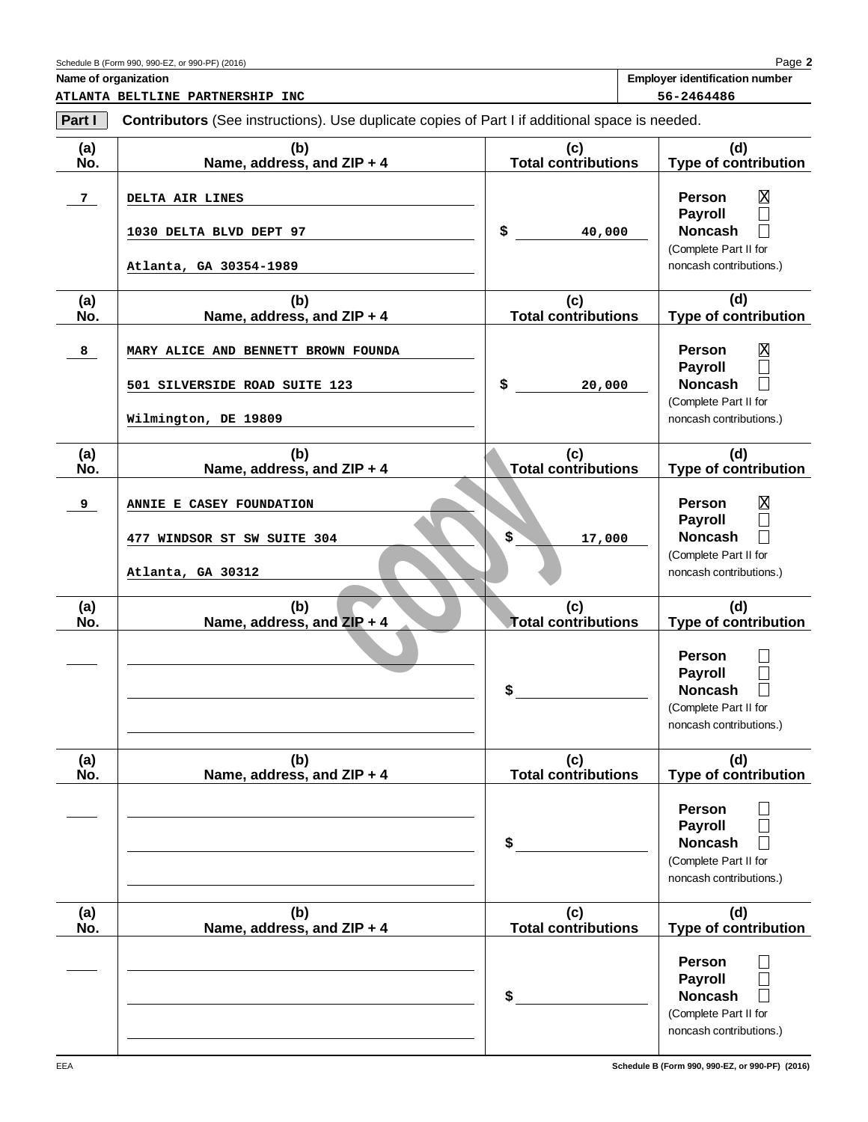# Schedule B (Form 990, 990-EZ, or 990-PF) (2016)

**ATLANTA BELTLINE PARTNERSHIP INC 56-2464486**

**Part I** Contributors (See instructions). Use duplicate copies of Part I if additional space is needed.

| (a)<br>No. | (b)<br>Name, address, and ZIP + 4                                                            | (c)<br><b>Total contributions</b>       | (d)<br><b>Type of contribution</b>                                                                                                   |
|------------|----------------------------------------------------------------------------------------------|-----------------------------------------|--------------------------------------------------------------------------------------------------------------------------------------|
| 7          | DELTA AIR LINES<br>1030 DELTA BLVD DEPT 97<br>Atlanta, GA 30354-1989                         | \$<br>40,000                            | $\overline{\text{X}}$<br><b>Person</b><br><b>Payroll</b><br><b>Noncash</b><br>(Complete Part II for<br>noncash contributions.)       |
| (a)<br>No. | (b)<br>Name, address, and ZIP + 4                                                            | (c)<br><b>Total contributions</b>       | (d)<br><b>Type of contribution</b>                                                                                                   |
| 8          | MARY ALICE AND BENNETT BROWN FOUNDA<br>501 SILVERSIDE ROAD SUITE 123<br>Wilmington, DE 19809 | \$<br>20,000                            | X<br><b>Person</b><br><b>Payroll</b><br><b>Noncash</b><br>(Complete Part II for<br>noncash contributions.)                           |
| (a)<br>No. | (b)<br>Name, address, and ZIP + 4                                                            | (c)<br><b>Total contributions</b>       | (d)<br><b>Type of contribution</b>                                                                                                   |
| 9          | ANNIE E CASEY FOUNDATION<br>477 WINDSOR ST SW SUITE 304<br>Atlanta, GA 30312                 | $$^{\circ}$<br>17,000                   | X<br><b>Person</b><br><b>Payroll</b><br><b>Noncash</b><br>(Complete Part II for<br>noncash contributions.)                           |
| (a)<br>No. | (b)<br>Name, address, and ZIP + 4                                                            | (c)<br><b>Total contributions</b><br>\$ | (d)<br>Type of contribution<br><b>Person</b><br><b>Payroll</b><br><b>Noncash</b><br>(Complete Part II for<br>noncash contributions.) |
| (a)<br>No. | (b)<br>Name, address, and ZIP + 4                                                            | (c)<br><b>Total contributions</b>       | (d)<br><b>Type of contribution</b>                                                                                                   |
|            |                                                                                              | \$                                      | <b>Person</b><br><b>Payroll</b><br><b>Noncash</b><br>(Complete Part II for<br>noncash contributions.)                                |
| (a)<br>No. | (b)<br>Name, address, and ZIP + 4                                                            | (c)<br><b>Total contributions</b>       | (d)<br><b>Type of contribution</b>                                                                                                   |
|            |                                                                                              | \$                                      | <b>Person</b><br><b>Payroll</b><br><b>Noncash</b><br>(Complete Part II for<br>noncash contributions.)                                |
| EEA        |                                                                                              |                                         | Schedule B (Form 990, 990-EZ, or 990-PF) (2016)                                                                                      |

**Name of organization**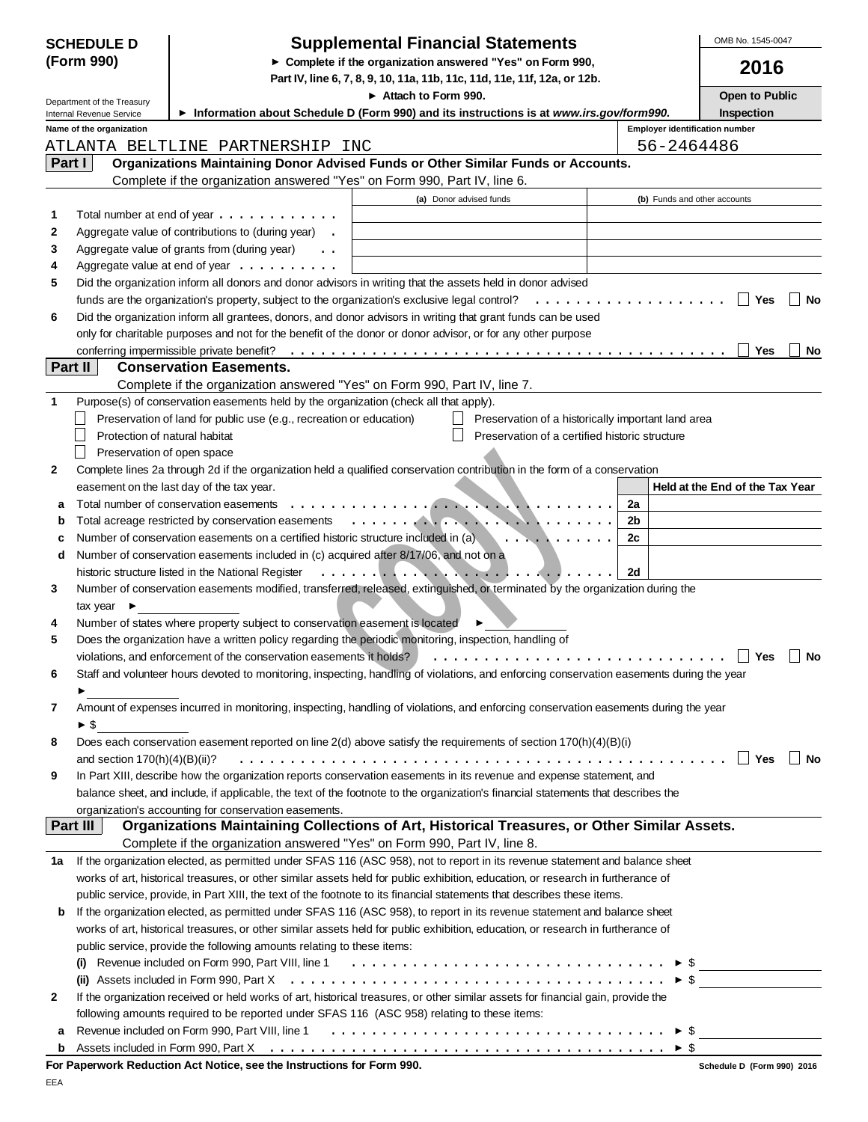| <b>SCHEDULE D</b> |                                 | <b>Supplemental Financial Statements</b>                                                                                                 | OMB No. 1545-0047                                                                                                                                                                                                                                                                                                                   |                                                     |                                 |
|-------------------|---------------------------------|------------------------------------------------------------------------------------------------------------------------------------------|-------------------------------------------------------------------------------------------------------------------------------------------------------------------------------------------------------------------------------------------------------------------------------------------------------------------------------------|-----------------------------------------------------|---------------------------------|
| (Form 990)        |                                 | Complete if the organization answered "Yes" on Form 990,                                                                                 | 2016                                                                                                                                                                                                                                                                                                                                |                                                     |                                 |
|                   |                                 | Part IV, line 6, 7, 8, 9, 10, 11a, 11b, 11c, 11d, 11e, 11f, 12a, or 12b.                                                                 |                                                                                                                                                                                                                                                                                                                                     |                                                     |                                 |
|                   | Department of the Treasury      |                                                                                                                                          | Attach to Form 990.                                                                                                                                                                                                                                                                                                                 |                                                     | Open to Public                  |
|                   | Internal Revenue Service        |                                                                                                                                          | Information about Schedule D (Form 990) and its instructions is at www.irs.gov/form990.                                                                                                                                                                                                                                             |                                                     | <b>Inspection</b>               |
|                   | Name of the organization        | ATLANTA BELTLINE PARTNERSHIP INC                                                                                                         |                                                                                                                                                                                                                                                                                                                                     | <b>Employer identification number</b><br>56-2464486 |                                 |
| Part I            |                                 |                                                                                                                                          | Organizations Maintaining Donor Advised Funds or Other Similar Funds or Accounts.                                                                                                                                                                                                                                                   |                                                     |                                 |
|                   |                                 | Complete if the organization answered "Yes" on Form 990, Part IV, line 6.                                                                |                                                                                                                                                                                                                                                                                                                                     |                                                     |                                 |
|                   |                                 |                                                                                                                                          | (a) Donor advised funds                                                                                                                                                                                                                                                                                                             | (b) Funds and other accounts                        |                                 |
| 1.                |                                 | Total number at end of year $\dots \dots \dots \dots$                                                                                    |                                                                                                                                                                                                                                                                                                                                     |                                                     |                                 |
| 2                 |                                 | Aggregate value of contributions to (during year).                                                                                       |                                                                                                                                                                                                                                                                                                                                     |                                                     |                                 |
| 3                 |                                 | Aggregate value of grants from (during year)<br>$\ddot{\phantom{0}}$                                                                     |                                                                                                                                                                                                                                                                                                                                     |                                                     |                                 |
| 4                 |                                 | Aggregate value at end of year $\dots \dots \dots$                                                                                       |                                                                                                                                                                                                                                                                                                                                     |                                                     |                                 |
| 5                 |                                 |                                                                                                                                          | Did the organization inform all donors and donor advisors in writing that the assets held in donor advised                                                                                                                                                                                                                          |                                                     |                                 |
|                   |                                 |                                                                                                                                          | funds are the organization's property, subject to the organization's exclusive legal control? $\ldots \ldots \ldots \ldots \ldots$                                                                                                                                                                                                  |                                                     | $\Box$ Yes<br><b>No</b>         |
| 6                 |                                 |                                                                                                                                          | Did the organization inform all grantees, donors, and donor advisors in writing that grant funds can be used                                                                                                                                                                                                                        |                                                     |                                 |
|                   |                                 |                                                                                                                                          | only for charitable purposes and not for the benefit of the donor or donor advisor, or for any other purpose                                                                                                                                                                                                                        |                                                     | Yes<br>No                       |
|                   | Part II                         | <b>Conservation Easements.</b>                                                                                                           |                                                                                                                                                                                                                                                                                                                                     |                                                     |                                 |
|                   |                                 | Complete if the organization answered "Yes" on Form 990, Part IV, line 7.                                                                |                                                                                                                                                                                                                                                                                                                                     |                                                     |                                 |
| 1                 |                                 | Purpose(s) of conservation easements held by the organization (check all that apply).                                                    |                                                                                                                                                                                                                                                                                                                                     |                                                     |                                 |
|                   |                                 | Preservation of land for public use (e.g., recreation or education)                                                                      | Preservation of a historically important land area                                                                                                                                                                                                                                                                                  |                                                     |                                 |
|                   | Protection of natural habitat   |                                                                                                                                          | Preservation of a certified historic structure                                                                                                                                                                                                                                                                                      |                                                     |                                 |
|                   | Preservation of open space      |                                                                                                                                          |                                                                                                                                                                                                                                                                                                                                     |                                                     |                                 |
| 2                 |                                 |                                                                                                                                          | Complete lines 2a through 2d if the organization held a qualified conservation contribution in the form of a conservation                                                                                                                                                                                                           |                                                     |                                 |
|                   |                                 | easement on the last day of the tax year.                                                                                                |                                                                                                                                                                                                                                                                                                                                     |                                                     | Held at the End of the Tax Year |
| a                 |                                 | Total number of conservation easements                                                                                                   | . <b>.</b><br>m.<br><del>.</del>                                                                                                                                                                                                                                                                                                    | 2a                                                  |                                 |
| b<br>c            |                                 | Total acreage restricted by conservation easements<br>Number of conservation easements on a certified historic structure included in (a) | <del>.</del><br>.                                                                                                                                                                                                                                                                                                                   | 2b<br>2c                                            |                                 |
| d                 |                                 | Number of conservation easements included in (c) acquired after 8/17/06, and not on a                                                    |                                                                                                                                                                                                                                                                                                                                     |                                                     |                                 |
|                   |                                 | historic structure listed in the National Register                                                                                       | $\mathcal{L}^{\mathcal{A}}(\mathcal{A}^{\mathcal{A}},\mathcal{A}^{\mathcal{A}}) = \mathcal{L}^{\mathcal{A}}(\mathcal{A}^{\mathcal{A}},\mathcal{A}^{\mathcal{A}}) = \mathcal{L}^{\mathcal{A}}(\mathcal{A}^{\mathcal{A}},\mathcal{A}^{\mathcal{A}}) = \mathcal{L}^{\mathcal{A}}(\mathcal{A}^{\mathcal{A}},\mathcal{A}^{\mathcal{A}})$ | 2d                                                  |                                 |
| 3                 |                                 |                                                                                                                                          | Number of conservation easements modified, transferred, released, extinguished, or terminated by the organization during the                                                                                                                                                                                                        |                                                     |                                 |
|                   | tax year $\blacktriangleright$  |                                                                                                                                          |                                                                                                                                                                                                                                                                                                                                     |                                                     |                                 |
| 4                 |                                 | Number of states where property subject to conservation easement is located                                                              |                                                                                                                                                                                                                                                                                                                                     |                                                     |                                 |
| 5                 |                                 |                                                                                                                                          | Does the organization have a written policy regarding the periodic monitoring, inspection, handling of                                                                                                                                                                                                                              |                                                     |                                 |
|                   |                                 | violations, and enforcement of the conservation easements it holds?                                                                      |                                                                                                                                                                                                                                                                                                                                     |                                                     | $\Box$<br>Yes<br>No             |
| 6                 |                                 |                                                                                                                                          | Staff and volunteer hours devoted to monitoring, inspecting, handling of violations, and enforcing conservation easements during the year                                                                                                                                                                                           |                                                     |                                 |
|                   |                                 |                                                                                                                                          |                                                                                                                                                                                                                                                                                                                                     |                                                     |                                 |
| 7                 | $\blacktriangleright$ \$        |                                                                                                                                          | Amount of expenses incurred in monitoring, inspecting, handling of violations, and enforcing conservation easements during the year                                                                                                                                                                                                 |                                                     |                                 |
| 8                 |                                 |                                                                                                                                          | Does each conservation easement reported on line 2(d) above satisfy the requirements of section 170(h)(4)(B)(i)                                                                                                                                                                                                                     |                                                     |                                 |
|                   | and section $170(h)(4)(B)(ii)?$ |                                                                                                                                          |                                                                                                                                                                                                                                                                                                                                     |                                                     | $\Box$ Yes<br>∣ ∣ No            |
| 9                 |                                 |                                                                                                                                          | In Part XIII, describe how the organization reports conservation easements in its revenue and expense statement, and                                                                                                                                                                                                                |                                                     |                                 |
|                   |                                 |                                                                                                                                          | balance sheet, and include, if applicable, the text of the footnote to the organization's financial statements that describes the                                                                                                                                                                                                   |                                                     |                                 |
|                   |                                 | organization's accounting for conservation easements.                                                                                    |                                                                                                                                                                                                                                                                                                                                     |                                                     |                                 |
|                   | Part III                        |                                                                                                                                          | Organizations Maintaining Collections of Art, Historical Treasures, or Other Similar Assets.                                                                                                                                                                                                                                        |                                                     |                                 |
|                   |                                 | Complete if the organization answered "Yes" on Form 990, Part IV, line 8.                                                                |                                                                                                                                                                                                                                                                                                                                     |                                                     |                                 |
| 1a                |                                 |                                                                                                                                          | If the organization elected, as permitted under SFAS 116 (ASC 958), not to report in its revenue statement and balance sheet                                                                                                                                                                                                        |                                                     |                                 |
|                   |                                 |                                                                                                                                          | works of art, historical treasures, or other similar assets held for public exhibition, education, or research in furtherance of<br>public service, provide, in Part XIII, the text of the footnote to its financial statements that describes these items.                                                                         |                                                     |                                 |
| b                 |                                 |                                                                                                                                          | If the organization elected, as permitted under SFAS 116 (ASC 958), to report in its revenue statement and balance sheet                                                                                                                                                                                                            |                                                     |                                 |
|                   |                                 |                                                                                                                                          | works of art, historical treasures, or other similar assets held for public exhibition, education, or research in furtherance of                                                                                                                                                                                                    |                                                     |                                 |
|                   |                                 | public service, provide the following amounts relating to these items:                                                                   |                                                                                                                                                                                                                                                                                                                                     |                                                     |                                 |
|                   |                                 |                                                                                                                                          | (i) Revenue included on Form 990, Part VIII, line 1 $\ldots \ldots \ldots \ldots \ldots \ldots \ldots \ldots \ldots \ldots \ldots$                                                                                                                                                                                                  |                                                     |                                 |
|                   |                                 |                                                                                                                                          | (ii) Assets included in Form 990, Part X $\ldots \ldots \ldots \ldots \ldots \ldots \ldots \ldots \ldots \ldots \ldots \ldots \ldots \vdash$ \$                                                                                                                                                                                     |                                                     |                                 |
| 2                 |                                 |                                                                                                                                          | If the organization received or held works of art, historical treasures, or other similar assets for financial gain, provide the                                                                                                                                                                                                    |                                                     |                                 |
|                   |                                 |                                                                                                                                          | following amounts required to be reported under SFAS 116 (ASC 958) relating to these items:                                                                                                                                                                                                                                         |                                                     |                                 |
| a                 |                                 |                                                                                                                                          | Revenue included on Form 990, Part VIII, line 1 $\ldots \ldots \ldots \ldots \ldots \ldots \ldots \ldots \ldots \ldots \ldots \ldots \vdash \$$                                                                                                                                                                                     |                                                     |                                 |
| b                 |                                 |                                                                                                                                          |                                                                                                                                                                                                                                                                                                                                     |                                                     |                                 |
|                   |                                 | For Paperwork Reduction Act Notice, see the Instructions for Form 990.                                                                   |                                                                                                                                                                                                                                                                                                                                     |                                                     | Schedule D (Form 990) 2016      |

**F**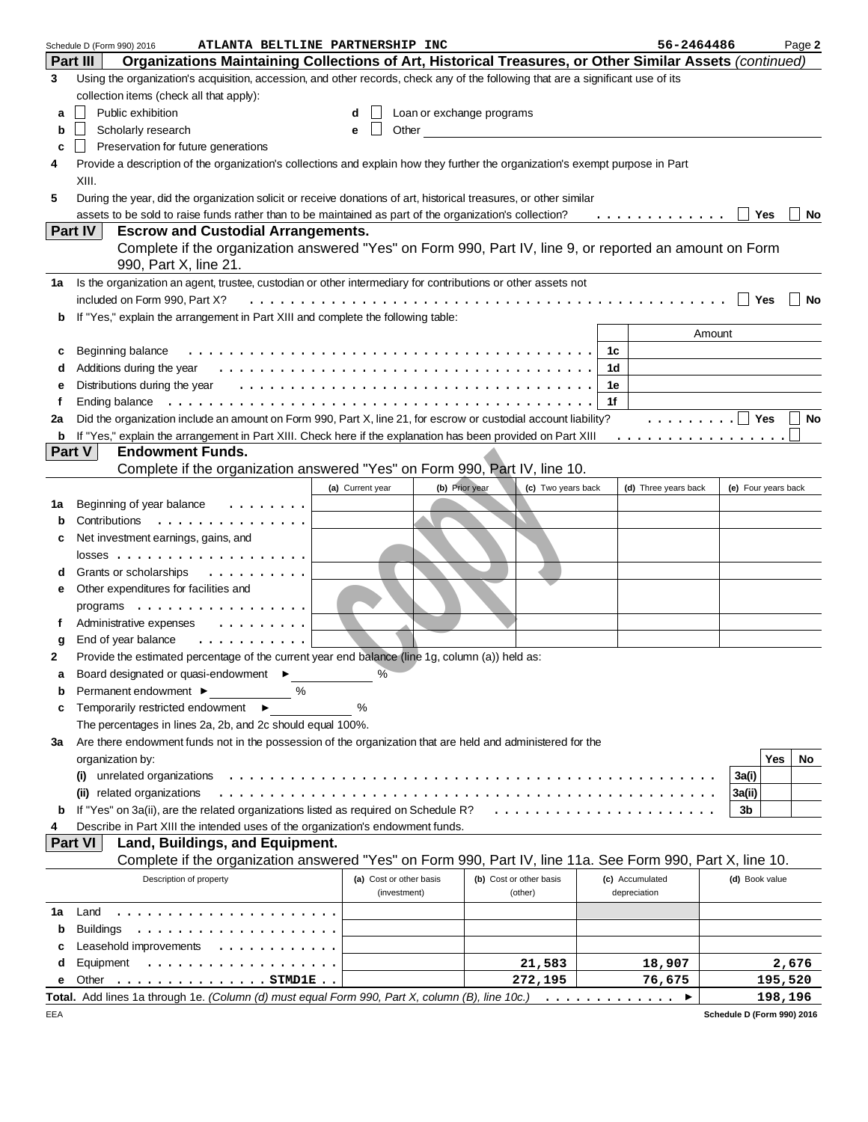|    | ATLANTA BELTLINE PARTNERSHIP INC<br>Schedule D (Form 990) 2016                                                                   |                         |                           |                         |    | 56-2464486           |                     | Page 2    |
|----|----------------------------------------------------------------------------------------------------------------------------------|-------------------------|---------------------------|-------------------------|----|----------------------|---------------------|-----------|
|    | Organizations Maintaining Collections of Art, Historical Treasures, or Other Similar Assets (continued)<br>Part III              |                         |                           |                         |    |                      |                     |           |
| 3  | Using the organization's acquisition, accession, and other records, check any of the following that are a significant use of its |                         |                           |                         |    |                      |                     |           |
|    | collection items (check all that apply):                                                                                         |                         |                           |                         |    |                      |                     |           |
| a  | Public exhibition                                                                                                                | d                       | Loan or exchange programs |                         |    |                      |                     |           |
| b  | Scholarly research                                                                                                               | Other<br>e              |                           |                         |    |                      |                     |           |
| c  | Preservation for future generations                                                                                              |                         |                           |                         |    |                      |                     |           |
|    |                                                                                                                                  |                         |                           |                         |    |                      |                     |           |
| 4  | Provide a description of the organization's collections and explain how they further the organization's exempt purpose in Part   |                         |                           |                         |    |                      |                     |           |
|    | XIII.                                                                                                                            |                         |                           |                         |    |                      |                     |           |
| 5  | During the year, did the organization solicit or receive donations of art, historical treasures, or other similar                |                         |                           |                         |    |                      |                     |           |
|    | assets to be sold to raise funds rather than to be maintained as part of the organization's collection?                          |                         |                           |                         |    | .                    | Yes                 | No        |
|    | Part IV<br><b>Escrow and Custodial Arrangements.</b>                                                                             |                         |                           |                         |    |                      |                     |           |
|    | Complete if the organization answered "Yes" on Form 990, Part IV, line 9, or reported an amount on Form                          |                         |                           |                         |    |                      |                     |           |
|    | 990, Part X, line 21.                                                                                                            |                         |                           |                         |    |                      |                     |           |
| 1a | Is the organization an agent, trustee, custodian or other intermediary for contributions or other assets not                     |                         |                           |                         |    |                      |                     |           |
|    | included on Form 990, Part X?                                                                                                    |                         |                           |                         |    |                      | Yes                 | <b>No</b> |
| b  | If "Yes," explain the arrangement in Part XIII and complete the following table:                                                 |                         |                           |                         |    |                      |                     |           |
|    |                                                                                                                                  |                         |                           |                         |    |                      | Amount              |           |
| c  | Beginning balance                                                                                                                |                         |                           |                         | 1c |                      |                     |           |
| d  |                                                                                                                                  |                         |                           |                         | 1d |                      |                     |           |
| е  | Distributions during the year                                                                                                    |                         |                           |                         | 1е |                      |                     |           |
| f  | Ending balance                                                                                                                   |                         |                           |                         | 1f |                      |                     |           |
| 2a | Did the organization include an amount on Form 990, Part X, line 21, for escrow or custodial account liability?                  |                         |                           |                         |    | .   <b>Yes</b>       |                     | No        |
| b  | If "Yes," explain the arrangement in Part XIII. Check here if the explanation has been provided on Part XIII                     |                         |                           |                         |    | .                    |                     |           |
|    | Part V<br><b>Endowment Funds.</b>                                                                                                |                         |                           |                         |    |                      |                     |           |
|    | Complete if the organization answered "Yes" on Form 990, Part IV, line 10.                                                       |                         |                           |                         |    |                      |                     |           |
|    |                                                                                                                                  | (a) Current year        | (b) Prior year            | (c) Two years back      |    | (d) Three years back | (e) Four years back |           |
| 1а | Beginning of year balance<br>.                                                                                                   |                         |                           |                         |    |                      |                     |           |
| b  | Contributions<br>.                                                                                                               |                         |                           |                         |    |                      |                     |           |
|    | Net investment earnings, gains, and                                                                                              |                         |                           |                         |    |                      |                     |           |
| c  |                                                                                                                                  |                         |                           |                         |    |                      |                     |           |
|    |                                                                                                                                  |                         |                           |                         |    |                      |                     |           |
|    | Grants or scholarships<br>.                                                                                                      |                         |                           |                         |    |                      |                     |           |
| е  | Other expenditures for facilities and                                                                                            |                         |                           |                         |    |                      |                     |           |
|    | programs                                                                                                                         |                         |                           |                         |    |                      |                     |           |
| f  | Administrative expenses<br>$\cdots$                                                                                              |                         |                           |                         |    |                      |                     |           |
| g  | .<br>End of year balance                                                                                                         |                         |                           |                         |    |                      |                     |           |
| 2  | Provide the estimated percentage of the current year end balance (line 1g, column (a)) held as:                                  |                         |                           |                         |    |                      |                     |           |
|    | Board designated or quasi-endowment ▶                                                                                            | $\%$                    |                           |                         |    |                      |                     |           |
| b  | %<br>Permanent endowment ▶                                                                                                       |                         |                           |                         |    |                      |                     |           |
| c  | Temporarily restricted endowment                                                                                                 | %                       |                           |                         |    |                      |                     |           |
|    | The percentages in lines 2a, 2b, and 2c should equal 100%.                                                                       |                         |                           |                         |    |                      |                     |           |
| За | Are there endowment funds not in the possession of the organization that are held and administered for the                       |                         |                           |                         |    |                      |                     |           |
|    | organization by:                                                                                                                 |                         |                           |                         |    |                      |                     | Yes<br>No |
|    | unrelated organizations<br>$\bf{u}$                                                                                              |                         |                           |                         |    |                      | 3a(i)               |           |
|    | related organizations                                                                                                            |                         |                           |                         |    |                      | 3a(ii)              |           |
| b  | If "Yes" on 3a(ii), are the related organizations listed as required on Schedule R?                                              |                         |                           | .                       |    |                      | 3b                  |           |
| 4  | Describe in Part XIII the intended uses of the organization's endowment funds.                                                   |                         |                           |                         |    |                      |                     |           |
|    | Part VI<br>Land, Buildings, and Equipment.                                                                                       |                         |                           |                         |    |                      |                     |           |
|    | Complete if the organization answered "Yes" on Form 990, Part IV, line 11a. See Form 990, Part X, line 10.                       |                         |                           |                         |    |                      |                     |           |
|    | Description of property                                                                                                          | (a) Cost or other basis |                           | (b) Cost or other basis |    | (c) Accumulated      | (d) Book value      |           |
|    |                                                                                                                                  | (investment)            |                           | (other)                 |    | depreciation         |                     |           |
| 1a | Land<br>.                                                                                                                        |                         |                           |                         |    |                      |                     |           |
|    | <b>Buildings</b>                                                                                                                 |                         |                           |                         |    |                      |                     |           |
| b  | .                                                                                                                                |                         |                           |                         |    |                      |                     |           |
| c  | Leasehold improvements                                                                                                           |                         |                           |                         |    |                      |                     |           |
| d  | Equipment<br>.                                                                                                                   |                         |                           | 21,583                  |    | 18,907               |                     | 2,676     |
| е  | Other<br>. STMD1E                                                                                                                |                         |                           | 272,195                 |    | 76,675               |                     | 195,520   |
|    | <b>Total.</b> Add lines 1a through 1e. (Column (d) must equal Form 990, Part X, column (B), line 10c.) $\dots \dots \dots \dots$ |                         |                           |                         |    |                      |                     | 198,196   |

| Schedule D (Form 990) 2016 |  |
|----------------------------|--|

EEA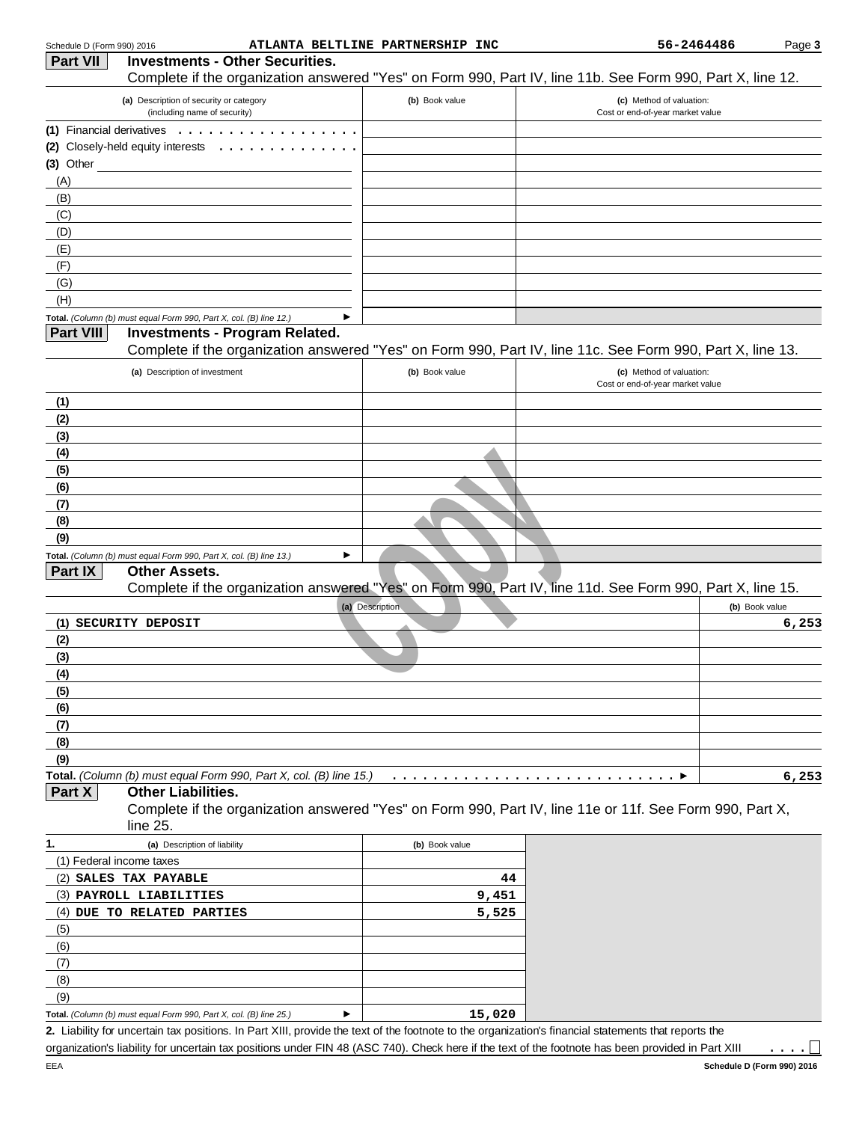| Part VII                  | <b>Investments - Other Securities.</b>                                                                         |                      | Complete if the organization answered "Yes" on Form 990, Part IV, line 11b. See Form 990, Part X, line 12.                   |
|---------------------------|----------------------------------------------------------------------------------------------------------------|----------------------|------------------------------------------------------------------------------------------------------------------------------|
|                           | (a) Description of security or category<br>(including name of security)                                        | (b) Book value       | (c) Method of valuation:<br>Cost or end-of-year market value                                                                 |
| (1) Financial derivatives |                                                                                                                |                      |                                                                                                                              |
|                           | (2) Closely-held equity interests<br>$\cdots$                                                                  |                      |                                                                                                                              |
| (3) Other                 |                                                                                                                |                      |                                                                                                                              |
| (A)                       |                                                                                                                |                      |                                                                                                                              |
| (B)                       |                                                                                                                |                      |                                                                                                                              |
| (C)                       |                                                                                                                |                      |                                                                                                                              |
| (D)                       |                                                                                                                |                      |                                                                                                                              |
| (E)                       |                                                                                                                |                      |                                                                                                                              |
| (F)                       |                                                                                                                |                      |                                                                                                                              |
| (G)                       |                                                                                                                |                      |                                                                                                                              |
| (H)                       |                                                                                                                |                      |                                                                                                                              |
|                           | Total. (Column (b) must equal Form 990, Part X, col. (B) line 12.)                                             | ▶                    |                                                                                                                              |
| <b>Part VIII</b>          | <b>Investments - Program Related.</b>                                                                          |                      | Complete if the organization answered "Yes" on Form 990, Part IV, line 11c. See Form 990, Part X, line 13.                   |
|                           | (a) Description of investment                                                                                  | (b) Book value       | (c) Method of valuation:<br>Cost or end-of-year market value                                                                 |
| (1)                       |                                                                                                                |                      |                                                                                                                              |
| (2)                       |                                                                                                                |                      |                                                                                                                              |
| (3)                       |                                                                                                                |                      |                                                                                                                              |
| (4)                       |                                                                                                                |                      |                                                                                                                              |
| (5)                       |                                                                                                                |                      |                                                                                                                              |
| (6)                       |                                                                                                                |                      |                                                                                                                              |
| (7)                       |                                                                                                                |                      |                                                                                                                              |
| (8)                       |                                                                                                                |                      |                                                                                                                              |
| (9)                       |                                                                                                                |                      |                                                                                                                              |
| Part IX                   | Total. (Column (b) must equal Form 990, Part X, col. (B) line 13.)<br><b>Other Assets.</b>                     | ▶<br>(a) Description | Complete if the organization answered "Yes" on Form 990, Part IV, line 11d. See Form 990, Part X, line 15.<br>(b) Book value |
|                           | (1) SECURITY DEPOSIT                                                                                           |                      | 6,253                                                                                                                        |
| (2)                       |                                                                                                                |                      |                                                                                                                              |
| (3)                       |                                                                                                                |                      |                                                                                                                              |
| (4)                       |                                                                                                                |                      |                                                                                                                              |
| (5)                       |                                                                                                                |                      |                                                                                                                              |
| (6)                       |                                                                                                                |                      |                                                                                                                              |
| (7)                       |                                                                                                                |                      |                                                                                                                              |
| (8)                       |                                                                                                                |                      |                                                                                                                              |
| (9)                       |                                                                                                                |                      |                                                                                                                              |
| Part X                    | Total. (Column (b) must equal Form 990, Part X, col. (B) line 15.)<br><b>Other Liabilities.</b><br>$line 25$ . | $\cdots$             | 6, 253<br>Complete if the organization answered "Yes" on Form 990, Part IV, line 11e or 11f. See Form 990, Part X,           |
| 1.                        | (a) Description of liability                                                                                   | (b) Book value       |                                                                                                                              |
| (1) Federal income taxes  |                                                                                                                |                      |                                                                                                                              |
|                           | (2) SALES TAX PAYABLE                                                                                          | 44                   |                                                                                                                              |
|                           | (3) PAYROLL LIABILITIES                                                                                        | 9,451                |                                                                                                                              |
|                           | (4) DUE TO RELATED PARTIES                                                                                     | 5,525                |                                                                                                                              |
| (5)                       |                                                                                                                |                      |                                                                                                                              |
| (6)                       |                                                                                                                |                      |                                                                                                                              |
| (7)                       |                                                                                                                |                      |                                                                                                                              |
| (8)                       |                                                                                                                |                      |                                                                                                                              |
| (9)                       |                                                                                                                |                      |                                                                                                                              |
|                           | Total. (Column (b) must equal Form 990, Part X, col. (B) line 25.)                                             | 15,020<br>▶          |                                                                                                                              |

2. Liability for uncertain tax positions. In Part XIII, provide the text of the footnote to the organization's financial statements that reports the organization's liability for uncertain tax positions under FIN 48 (ASC 740). Check here if the text of the footnote has been provided in Part XIII

 $\ldots \square$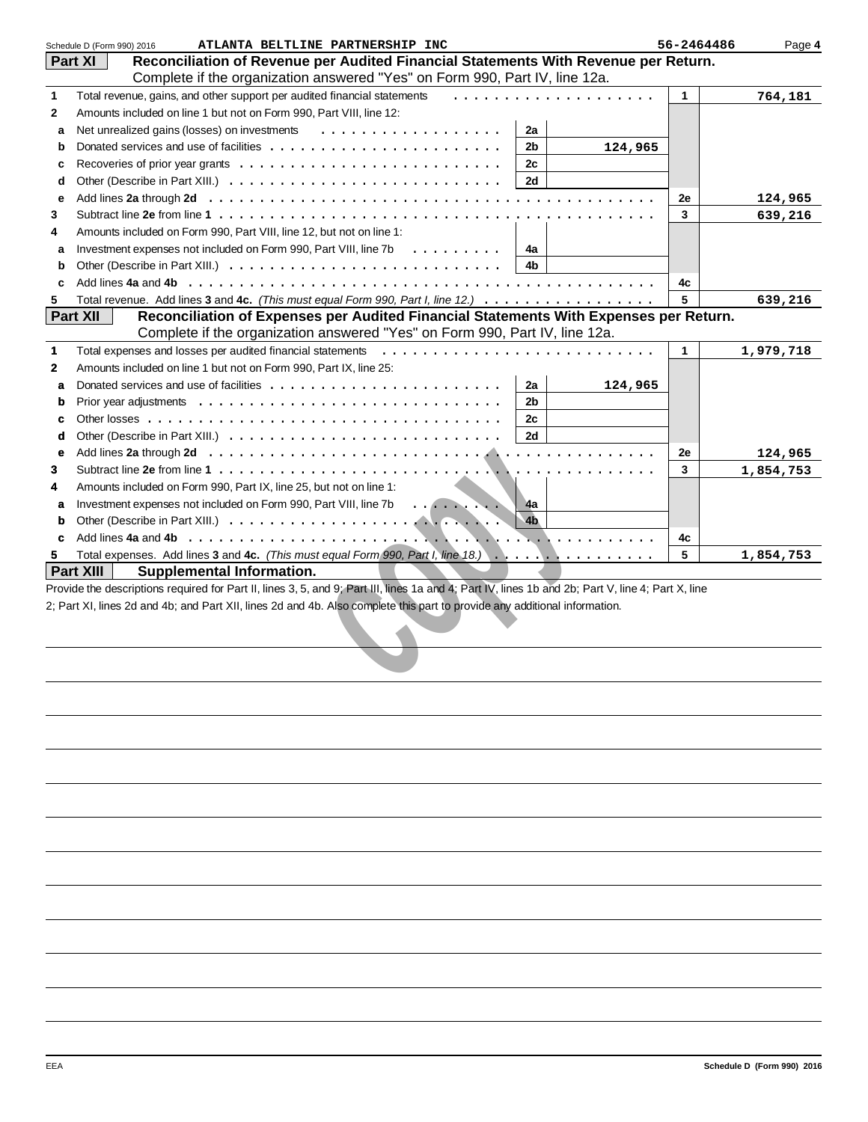|              | ATLANTA BELTLINE PARTNERSHIP INC<br>Schedule D (Form 990) 2016                                                                                                                                                                                                                   | 56-2464486  | Page 4    |
|--------------|----------------------------------------------------------------------------------------------------------------------------------------------------------------------------------------------------------------------------------------------------------------------------------|-------------|-----------|
|              | Reconciliation of Revenue per Audited Financial Statements With Revenue per Return.<br><b>Part XI</b>                                                                                                                                                                            |             |           |
|              | Complete if the organization answered "Yes" on Form 990, Part IV, line 12a.                                                                                                                                                                                                      |             |           |
| $\mathbf{1}$ | Total revenue, gains, and other support per audited financial statements                                                                                                                                                                                                         | 1           | 764,181   |
| $\mathbf{2}$ | Amounts included on line 1 but not on Form 990, Part VIII, line 12:                                                                                                                                                                                                              |             |           |
| a            | 2a                                                                                                                                                                                                                                                                               |             |           |
| b            | 2b<br>124,965                                                                                                                                                                                                                                                                    |             |           |
| c            | 2c                                                                                                                                                                                                                                                                               |             |           |
| d            | Other (Describe in Part XIII.) $\ldots \ldots \ldots \ldots \ldots \ldots \ldots \ldots \ldots$<br>2d                                                                                                                                                                            |             |           |
|              |                                                                                                                                                                                                                                                                                  |             |           |
| е            |                                                                                                                                                                                                                                                                                  | 2e          | 124,965   |
| 3            |                                                                                                                                                                                                                                                                                  | 3           | 639,216   |
| 4            | Amounts included on Form 990, Part VIII, line 12, but not on line 1:                                                                                                                                                                                                             |             |           |
| a            | Investment expenses not included on Form 990, Part VIII, line 7b $\ldots \ldots \ldots$<br>4a                                                                                                                                                                                    |             |           |
| b            | 4b                                                                                                                                                                                                                                                                               |             |           |
| C            |                                                                                                                                                                                                                                                                                  | 4с          |           |
| 5            | Total revenue. Add lines 3 and 4c. (This must equal Form 990, Part I, line 12.)                                                                                                                                                                                                  | 5           | 639,216   |
|              | Part XII<br>Reconciliation of Expenses per Audited Financial Statements With Expenses per Return.                                                                                                                                                                                |             |           |
|              | Complete if the organization answered "Yes" on Form 990, Part IV, line 12a.                                                                                                                                                                                                      |             |           |
| $\mathbf 1$  | Total expenses and losses per audited financial statements                                                                                                                                                                                                                       | $\mathbf 1$ | 1,979,718 |
| $\mathbf{2}$ | Amounts included on line 1 but not on Form 990, Part IX, line 25:                                                                                                                                                                                                                |             |           |
| a            | 2a<br>124,965                                                                                                                                                                                                                                                                    |             |           |
| b            | 2 <sub>b</sub>                                                                                                                                                                                                                                                                   |             |           |
| c            | 2c                                                                                                                                                                                                                                                                               |             |           |
| d            | 2d                                                                                                                                                                                                                                                                               |             |           |
| e            |                                                                                                                                                                                                                                                                                  | 2e          |           |
|              |                                                                                                                                                                                                                                                                                  |             | 124,965   |
| 3            |                                                                                                                                                                                                                                                                                  | 3           | 1,854,753 |
| 4            | Amounts included on Form 990, Part IX, line 25, but not on line 1:                                                                                                                                                                                                               |             |           |
| a            | Investment expenses not included on Form 990, Part VIII, line 7b<br>4a                                                                                                                                                                                                           |             |           |
| b            | 4 <sub>b</sub>                                                                                                                                                                                                                                                                   |             |           |
| c            |                                                                                                                                                                                                                                                                                  | 4c          |           |
| 5            | Total expenses. Add lines 3 and 4c. (This must equal Form 990, Part I, line 18.)                                                                                                                                                                                                 | 5           | 1,854,753 |
|              | Part XIII<br><b>Supplemental Information.</b>                                                                                                                                                                                                                                    |             |           |
|              | Provide the descriptions required for Part II, lines 3, 5, and 9; Part III, lines 1a and 4; Part IV, lines 1b and 2b; Part V, line 4; Part X, line<br>2; Part XI, lines 2d and 4b; and Part XII, lines 2d and 4b. Also complete this part to provide any additional information. |             |           |
|              |                                                                                                                                                                                                                                                                                  |             |           |
|              |                                                                                                                                                                                                                                                                                  |             |           |
|              |                                                                                                                                                                                                                                                                                  |             |           |
|              |                                                                                                                                                                                                                                                                                  |             |           |
|              |                                                                                                                                                                                                                                                                                  |             |           |
|              |                                                                                                                                                                                                                                                                                  |             |           |
|              |                                                                                                                                                                                                                                                                                  |             |           |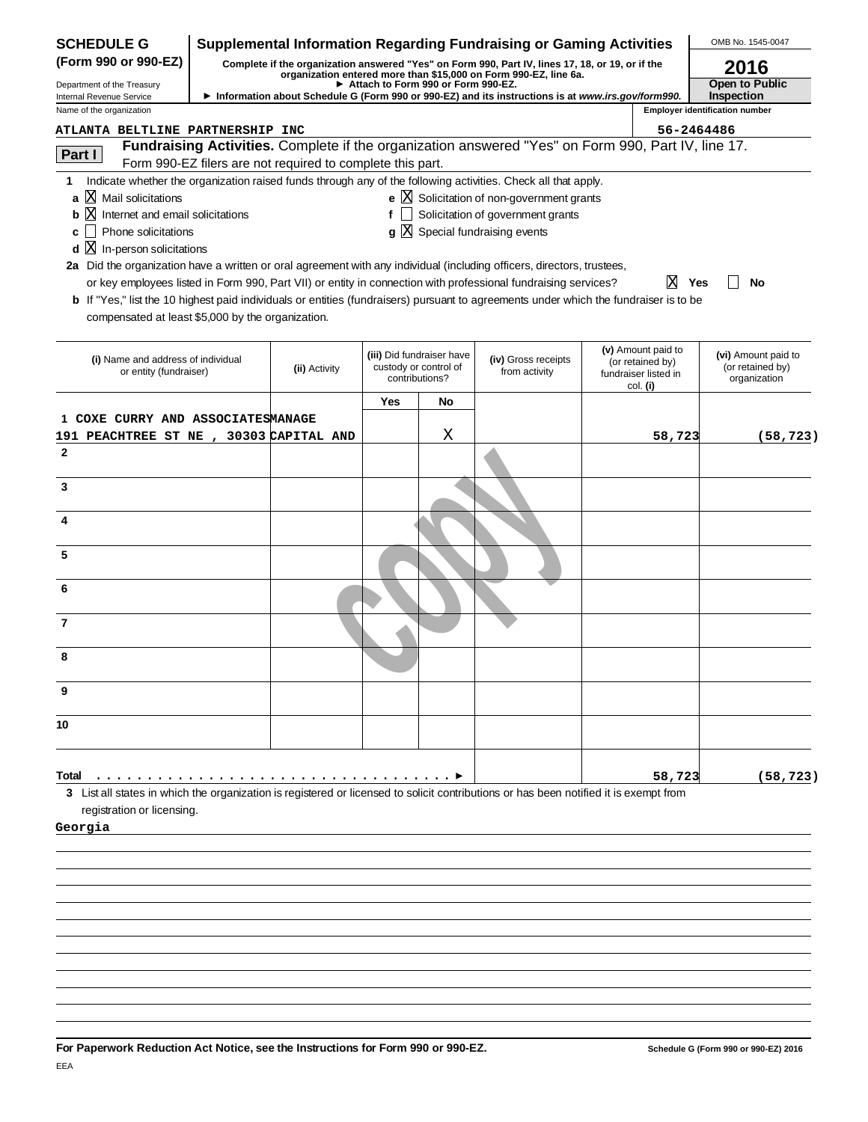| <b>SCHEDULE G</b>                                                                                                                                           | <b>Supplemental Information Regarding Fundraising or Gaming Activities</b> |                                                                                                                                                                                                             |     |                                                                      |                                                                                                                |                                                                            |            | OMB No. 1545-0047                                          |  |
|-------------------------------------------------------------------------------------------------------------------------------------------------------------|----------------------------------------------------------------------------|-------------------------------------------------------------------------------------------------------------------------------------------------------------------------------------------------------------|-----|----------------------------------------------------------------------|----------------------------------------------------------------------------------------------------------------|----------------------------------------------------------------------------|------------|------------------------------------------------------------|--|
| (Form 990 or 990-EZ)                                                                                                                                        |                                                                            |                                                                                                                                                                                                             |     |                                                                      | Complete if the organization answered "Yes" on Form 990, Part IV, lines 17, 18, or 19, or if the               |                                                                            |            | 2016                                                       |  |
| Department of the Treasury                                                                                                                                  |                                                                            | organization entered more than \$15,000 on Form 990-EZ, line 6a.<br>Attach to Form 990 or Form 990-EZ.<br>Information about Schedule G (Form 990 or 990-EZ) and its instructions is at www.irs.gov/form990. |     |                                                                      |                                                                                                                |                                                                            |            | Open to Public                                             |  |
| Internal Revenue Service<br>Name of the organization                                                                                                        |                                                                            |                                                                                                                                                                                                             |     |                                                                      |                                                                                                                |                                                                            |            | <b>Inspection</b><br><b>Employer identification number</b> |  |
| <b>ATLANTA BELTLINE PARTNERSHIP INC</b>                                                                                                                     |                                                                            |                                                                                                                                                                                                             |     |                                                                      |                                                                                                                |                                                                            | 56-2464486 |                                                            |  |
|                                                                                                                                                             |                                                                            |                                                                                                                                                                                                             |     |                                                                      | Fundraising Activities. Complete if the organization answered "Yes" on Form 990, Part IV, line 17.             |                                                                            |            |                                                            |  |
| Part I                                                                                                                                                      |                                                                            | Form 990-EZ filers are not required to complete this part.                                                                                                                                                  |     |                                                                      |                                                                                                                |                                                                            |            |                                                            |  |
| 1                                                                                                                                                           |                                                                            |                                                                                                                                                                                                             |     |                                                                      | Indicate whether the organization raised funds through any of the following activities. Check all that apply.  |                                                                            |            |                                                            |  |
| ΙX<br>Mail solicitations<br>a                                                                                                                               |                                                                            |                                                                                                                                                                                                             |     |                                                                      | e $X$ Solicitation of non-government grants                                                                    |                                                                            |            |                                                            |  |
| X<br>Internet and email solicitations<br>b                                                                                                                  |                                                                            |                                                                                                                                                                                                             |     |                                                                      | $f$ Solicitation of government grants                                                                          |                                                                            |            |                                                            |  |
| Phone solicitations<br>c                                                                                                                                    |                                                                            |                                                                                                                                                                                                             |     |                                                                      | $g\bar{X}$ Special fundraising events                                                                          |                                                                            |            |                                                            |  |
| X<br>In-person solicitations<br>d<br>2a Did the organization have a written or oral agreement with any individual (including officers, directors, trustees, |                                                                            |                                                                                                                                                                                                             |     |                                                                      |                                                                                                                |                                                                            |            |                                                            |  |
|                                                                                                                                                             |                                                                            |                                                                                                                                                                                                             |     |                                                                      | or key employees listed in Form 990, Part VII) or entity in connection with professional fundraising services? |                                                                            | ΙXΙ<br>Yes | No                                                         |  |
| b If "Yes," list the 10 highest paid individuals or entities (fundraisers) pursuant to agreements under which the fundraiser is to be                       |                                                                            |                                                                                                                                                                                                             |     |                                                                      |                                                                                                                |                                                                            |            |                                                            |  |
| compensated at least \$5,000 by the organization.                                                                                                           |                                                                            |                                                                                                                                                                                                             |     |                                                                      |                                                                                                                |                                                                            |            |                                                            |  |
|                                                                                                                                                             |                                                                            |                                                                                                                                                                                                             |     |                                                                      |                                                                                                                |                                                                            |            |                                                            |  |
| (i) Name and address of individual<br>or entity (fundraiser)                                                                                                |                                                                            | (ii) Activity                                                                                                                                                                                               |     | (iii) Did fundraiser have<br>custody or control of<br>contributions? | (iv) Gross receipts<br>from activity                                                                           | (v) Amount paid to<br>(or retained by)<br>fundraiser listed in<br>col. (i) |            | (vi) Amount paid to<br>(or retained by)<br>organization    |  |
|                                                                                                                                                             |                                                                            |                                                                                                                                                                                                             | Yes | No                                                                   |                                                                                                                |                                                                            |            |                                                            |  |
| COXE CURRY AND ASSOCIATESMANAGE                                                                                                                             |                                                                            |                                                                                                                                                                                                             |     |                                                                      |                                                                                                                |                                                                            |            |                                                            |  |
| 191 PEACHTREE ST NE , 30303 CAPITAL AND                                                                                                                     |                                                                            |                                                                                                                                                                                                             |     | Χ                                                                    |                                                                                                                |                                                                            | 58,723     | (58, 723)                                                  |  |
| $\mathbf{2}$                                                                                                                                                |                                                                            |                                                                                                                                                                                                             |     |                                                                      |                                                                                                                |                                                                            |            |                                                            |  |
|                                                                                                                                                             |                                                                            |                                                                                                                                                                                                             |     |                                                                      |                                                                                                                |                                                                            |            |                                                            |  |
| 3                                                                                                                                                           |                                                                            |                                                                                                                                                                                                             |     |                                                                      |                                                                                                                |                                                                            |            |                                                            |  |
| 4                                                                                                                                                           |                                                                            |                                                                                                                                                                                                             |     |                                                                      |                                                                                                                |                                                                            |            |                                                            |  |
|                                                                                                                                                             |                                                                            |                                                                                                                                                                                                             |     |                                                                      |                                                                                                                |                                                                            |            |                                                            |  |
| 5                                                                                                                                                           |                                                                            |                                                                                                                                                                                                             |     |                                                                      |                                                                                                                |                                                                            |            |                                                            |  |
|                                                                                                                                                             |                                                                            |                                                                                                                                                                                                             |     |                                                                      |                                                                                                                |                                                                            |            |                                                            |  |
| 6                                                                                                                                                           |                                                                            |                                                                                                                                                                                                             |     |                                                                      |                                                                                                                |                                                                            |            |                                                            |  |
| 7                                                                                                                                                           |                                                                            |                                                                                                                                                                                                             |     |                                                                      |                                                                                                                |                                                                            |            |                                                            |  |
|                                                                                                                                                             |                                                                            |                                                                                                                                                                                                             |     |                                                                      |                                                                                                                |                                                                            |            |                                                            |  |
| 8                                                                                                                                                           |                                                                            |                                                                                                                                                                                                             |     |                                                                      |                                                                                                                |                                                                            |            |                                                            |  |
|                                                                                                                                                             |                                                                            |                                                                                                                                                                                                             |     |                                                                      |                                                                                                                |                                                                            |            |                                                            |  |
| 9                                                                                                                                                           |                                                                            |                                                                                                                                                                                                             |     |                                                                      |                                                                                                                |                                                                            |            |                                                            |  |
|                                                                                                                                                             |                                                                            |                                                                                                                                                                                                             |     |                                                                      |                                                                                                                |                                                                            |            |                                                            |  |
| 10                                                                                                                                                          |                                                                            |                                                                                                                                                                                                             |     |                                                                      |                                                                                                                |                                                                            |            |                                                            |  |
|                                                                                                                                                             |                                                                            |                                                                                                                                                                                                             |     |                                                                      |                                                                                                                |                                                                            |            |                                                            |  |
| Total                                                                                                                                                       |                                                                            |                                                                                                                                                                                                             |     |                                                                      |                                                                                                                |                                                                            | 58,723     | (58, 723)                                                  |  |
| 3 List all states in which the organization is registered or licensed to solicit contributions or has been notified it is exempt from                       |                                                                            |                                                                                                                                                                                                             |     |                                                                      |                                                                                                                |                                                                            |            |                                                            |  |
| registration or licensing.                                                                                                                                  |                                                                            |                                                                                                                                                                                                             |     |                                                                      |                                                                                                                |                                                                            |            |                                                            |  |
| Georgia                                                                                                                                                     |                                                                            |                                                                                                                                                                                                             |     |                                                                      |                                                                                                                |                                                                            |            |                                                            |  |
|                                                                                                                                                             |                                                                            |                                                                                                                                                                                                             |     |                                                                      |                                                                                                                |                                                                            |            |                                                            |  |
|                                                                                                                                                             |                                                                            |                                                                                                                                                                                                             |     |                                                                      |                                                                                                                |                                                                            |            |                                                            |  |
|                                                                                                                                                             |                                                                            |                                                                                                                                                                                                             |     |                                                                      |                                                                                                                |                                                                            |            |                                                            |  |
|                                                                                                                                                             |                                                                            |                                                                                                                                                                                                             |     |                                                                      |                                                                                                                |                                                                            |            |                                                            |  |
|                                                                                                                                                             |                                                                            |                                                                                                                                                                                                             |     |                                                                      |                                                                                                                |                                                                            |            |                                                            |  |
|                                                                                                                                                             |                                                                            |                                                                                                                                                                                                             |     |                                                                      |                                                                                                                |                                                                            |            |                                                            |  |
|                                                                                                                                                             |                                                                            |                                                                                                                                                                                                             |     |                                                                      |                                                                                                                |                                                                            |            |                                                            |  |
|                                                                                                                                                             |                                                                            |                                                                                                                                                                                                             |     |                                                                      |                                                                                                                |                                                                            |            |                                                            |  |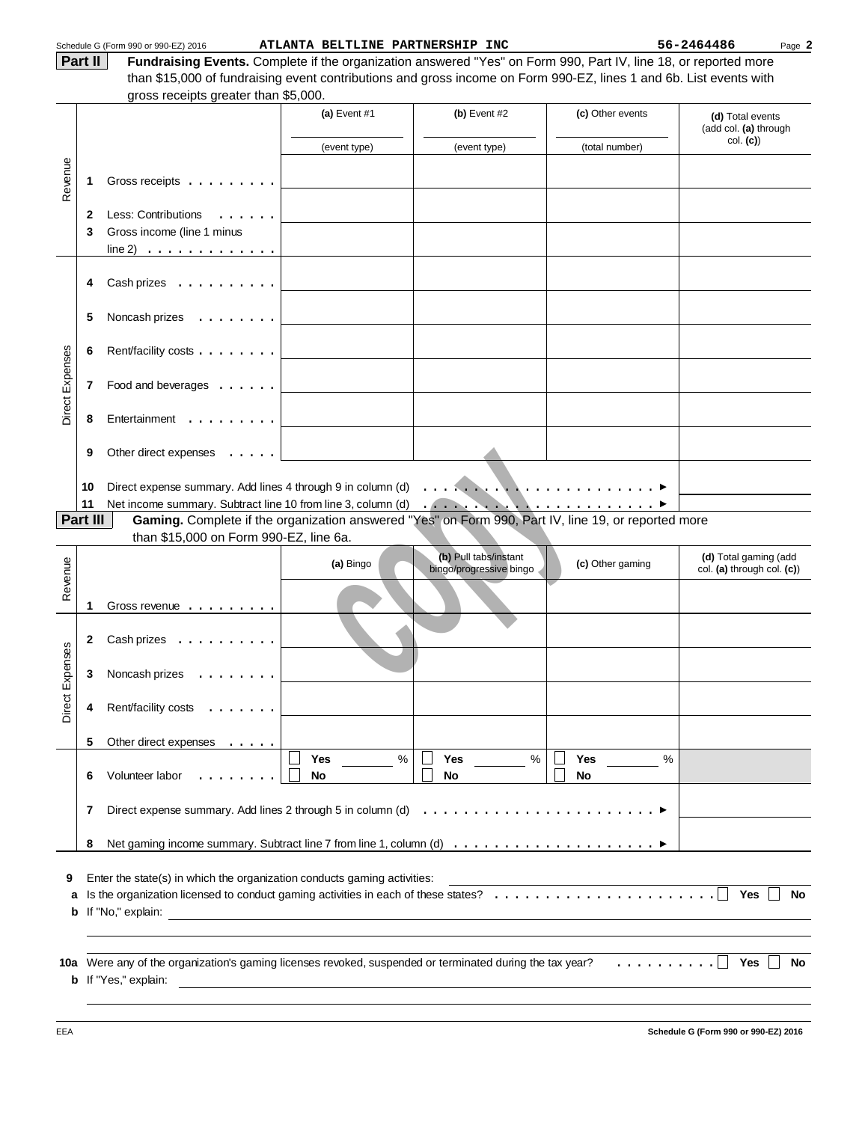|                 |          | Schedule G (Form 990 or 990-EZ) 2016                                                                                                    | ATLANTA BELTLINE PARTNERSHIP INC |                                                  |                      | 56-2464486<br>Page 2                                |
|-----------------|----------|-----------------------------------------------------------------------------------------------------------------------------------------|----------------------------------|--------------------------------------------------|----------------------|-----------------------------------------------------|
|                 | Part II  | Fundraising Events. Complete if the organization answered "Yes" on Form 990, Part IV, line 18, or reported more                         |                                  |                                                  |                      |                                                     |
|                 |          | than \$15,000 of fundraising event contributions and gross income on Form 990-EZ, lines 1 and 6b. List events with                      |                                  |                                                  |                      |                                                     |
|                 |          | gross receipts greater than \$5,000.                                                                                                    |                                  |                                                  |                      |                                                     |
|                 |          |                                                                                                                                         | (a) Event $#1$                   | (b) Event $#2$                                   | (c) Other events     | (d) Total events<br>(add col. (a) through           |
|                 |          |                                                                                                                                         | (event type)                     | (event type)                                     | (total number)       | col. (c)                                            |
|                 |          |                                                                                                                                         |                                  |                                                  |                      |                                                     |
| Revenue         | 1        | Gross receipts $\ldots$                                                                                                                 |                                  |                                                  |                      |                                                     |
|                 | 2        | Less: Contributions<br>$\mathbf{r}$                                                                                                     |                                  |                                                  |                      |                                                     |
|                 | 3        | Gross income (line 1 minus                                                                                                              |                                  |                                                  |                      |                                                     |
|                 |          | $line 2)$                                                                                                                               |                                  |                                                  |                      |                                                     |
|                 |          |                                                                                                                                         |                                  |                                                  |                      |                                                     |
|                 | 4        | Cash prizes                                                                                                                             |                                  |                                                  |                      |                                                     |
|                 |          |                                                                                                                                         |                                  |                                                  |                      |                                                     |
|                 | 5        | Noncash prizes                                                                                                                          |                                  |                                                  |                      |                                                     |
|                 | 6        | Rent/facility costs                                                                                                                     |                                  |                                                  |                      |                                                     |
|                 |          |                                                                                                                                         |                                  |                                                  |                      |                                                     |
| Direct Expenses | 7        | Food and beverages                                                                                                                      |                                  |                                                  |                      |                                                     |
|                 |          |                                                                                                                                         |                                  |                                                  |                      |                                                     |
|                 | 8        | Entertainment                                                                                                                           |                                  |                                                  |                      |                                                     |
|                 |          |                                                                                                                                         |                                  |                                                  |                      |                                                     |
|                 | 9        | Other direct expenses $\dots$ .                                                                                                         |                                  |                                                  |                      |                                                     |
|                 |          |                                                                                                                                         |                                  |                                                  |                      |                                                     |
|                 | 10       |                                                                                                                                         |                                  |                                                  |                      |                                                     |
|                 | 11       |                                                                                                                                         |                                  |                                                  |                      |                                                     |
|                 | Part III | Gaming. Complete if the organization answered "Yes" on Form 990, Part IV, line 19, or reported more                                     |                                  |                                                  |                      |                                                     |
|                 |          | than \$15,000 on Form 990-EZ, line 6a.                                                                                                  |                                  |                                                  |                      |                                                     |
|                 |          |                                                                                                                                         | (a) Bingo                        | (b) Pull tabs/instant<br>bingo/progressive bingo | (c) Other gaming     | (d) Total gaming (add<br>col. (a) through col. (c)) |
| Revenue         |          |                                                                                                                                         |                                  |                                                  |                      |                                                     |
|                 | 1        | Gross revenue <u>.</u>                                                                                                                  |                                  |                                                  |                      |                                                     |
|                 |          |                                                                                                                                         |                                  |                                                  |                      |                                                     |
|                 | 2        | Cash prizes                                                                                                                             |                                  |                                                  |                      |                                                     |
| penses          |          |                                                                                                                                         |                                  |                                                  |                      |                                                     |
|                 | 3        | Noncash prizes                                                                                                                          |                                  |                                                  |                      |                                                     |
| ЕĂ              |          |                                                                                                                                         |                                  |                                                  |                      |                                                     |
| Direct          | 4        | Rent/facility costs<br>$\cdots$                                                                                                         |                                  |                                                  |                      |                                                     |
|                 |          |                                                                                                                                         |                                  |                                                  |                      |                                                     |
|                 | 5        | Other direct expenses                                                                                                                   | $\%$<br><b>Yes</b>               | %<br>Yes                                         | $\frac{0}{0}$<br>Yes |                                                     |
|                 | 6        | Volunteer labor                                                                                                                         | No                               | No                                               | No                   |                                                     |
|                 |          |                                                                                                                                         |                                  |                                                  |                      |                                                     |
|                 | 7        | Direct expense summary. Add lines 2 through 5 in column (d) $\dots \dots \dots \dots \dots \dots \dots \dots \dots$                     |                                  |                                                  |                      |                                                     |
|                 |          |                                                                                                                                         |                                  |                                                  |                      |                                                     |
|                 | 8        |                                                                                                                                         |                                  |                                                  |                      |                                                     |
|                 |          |                                                                                                                                         |                                  |                                                  |                      |                                                     |
| 9               |          | Enter the state(s) in which the organization conducts gaming activities:                                                                |                                  |                                                  |                      |                                                     |
| a               |          |                                                                                                                                         |                                  |                                                  |                      | Yes<br>No                                           |
|                 |          |                                                                                                                                         |                                  |                                                  |                      |                                                     |
|                 |          |                                                                                                                                         |                                  |                                                  |                      |                                                     |
|                 |          |                                                                                                                                         |                                  |                                                  |                      | Yes                                                 |
|                 |          | 10a Were any of the organization's gaming licenses revoked, suspended or terminated during the tax year?<br><b>b</b> If "Yes," explain: |                                  |                                                  |                      | No                                                  |
|                 |          |                                                                                                                                         |                                  |                                                  |                      |                                                     |
|                 |          |                                                                                                                                         |                                  |                                                  |                      |                                                     |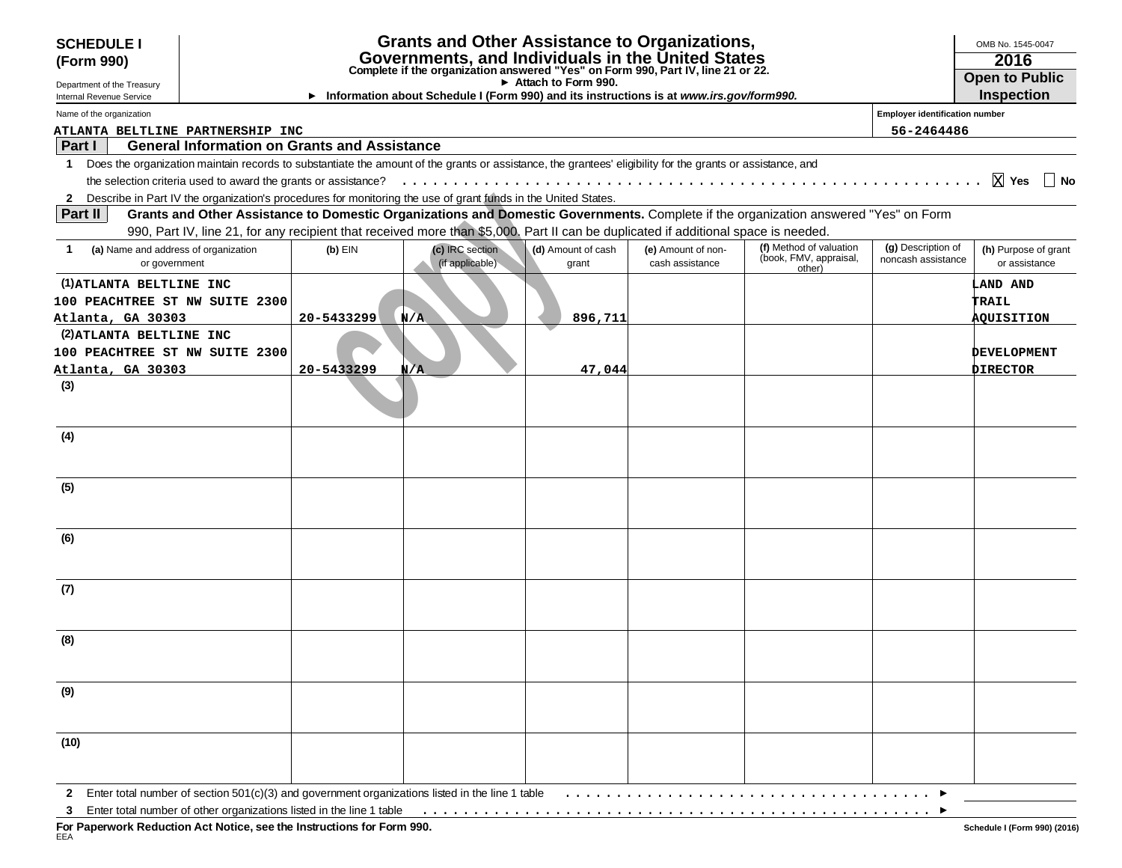| <b>SCHEDULE I</b>                                          |                                                                |            | <b>Grants and Other Assistance to Organizations,</b>                                                                                                       |                             |                                       |                                                                                                                                     |                                          | OMB No. 1545-0047                     |
|------------------------------------------------------------|----------------------------------------------------------------|------------|------------------------------------------------------------------------------------------------------------------------------------------------------------|-----------------------------|---------------------------------------|-------------------------------------------------------------------------------------------------------------------------------------|------------------------------------------|---------------------------------------|
| (Form 990)                                                 |                                                                |            | 2016                                                                                                                                                       |                             |                                       |                                                                                                                                     |                                          |                                       |
| Department of the Treasury                                 |                                                                |            | Governments, and Individuals in the United States Complete if the organization answered "Yes" on Form 990, Part IV, line 21 or 22.                         | Attach to Form 990.         |                                       |                                                                                                                                     |                                          | <b>Open to Public</b>                 |
| Internal Revenue Service                                   |                                                                |            | Information about Schedule I (Form 990) and its instructions is at www.irs.gov/form990.                                                                    |                             |                                       |                                                                                                                                     |                                          | <b>Inspection</b>                     |
| Name of the organization                                   |                                                                |            |                                                                                                                                                            |                             |                                       |                                                                                                                                     | <b>Employer identification number</b>    |                                       |
| ATLANTA BELTLINE PARTNERSHIP INC                           |                                                                |            |                                                                                                                                                            |                             |                                       |                                                                                                                                     | 56-2464486                               |                                       |
| Part I                                                     | <b>General Information on Grants and Assistance</b>            |            |                                                                                                                                                            |                             |                                       |                                                                                                                                     |                                          |                                       |
| $\mathbf 1$                                                |                                                                |            | Does the organization maintain records to substantiate the amount of the grants or assistance, the grantees' eligibility for the grants or assistance, and |                             |                                       |                                                                                                                                     |                                          |                                       |
|                                                            | the selection criteria used to award the grants or assistance? |            |                                                                                                                                                            |                             |                                       |                                                                                                                                     |                                          | ∣ No                                  |
|                                                            |                                                                |            | 2 Describe in Part IV the organization's procedures for monitoring the use of grant funds in the United States.                                            |                             |                                       |                                                                                                                                     |                                          |                                       |
| <b>Part II</b>                                             |                                                                |            |                                                                                                                                                            |                             |                                       | Grants and Other Assistance to Domestic Organizations and Domestic Governments. Complete if the organization answered "Yes" on Form |                                          |                                       |
|                                                            |                                                                |            | 990, Part IV, line 21, for any recipient that received more than \$5,000. Part II can be duplicated if additional space is needed.                         |                             |                                       |                                                                                                                                     |                                          |                                       |
| (a) Name and address of organization<br>1<br>or government |                                                                | $(b)$ EIN  | (c) IRC section<br>(if applicable)                                                                                                                         | (d) Amount of cash<br>grant | (e) Amount of non-<br>cash assistance | (f) Method of valuation<br>(book, FMV, appraisal,<br>other)                                                                         | (g) Description of<br>noncash assistance | (h) Purpose of grant<br>or assistance |
| (1) ATLANTA BELTLINE INC                                   |                                                                |            |                                                                                                                                                            |                             |                                       |                                                                                                                                     |                                          | <b>LAND AND</b>                       |
| 100 PEACHTREE ST NW SUITE 2300                             |                                                                |            |                                                                                                                                                            |                             |                                       |                                                                                                                                     |                                          | <b>TRAIL</b>                          |
| Atlanta, GA 30303                                          |                                                                | 20-5433299 | $N/\Lambda$                                                                                                                                                | 896,711                     |                                       |                                                                                                                                     |                                          | <b>AOUISITION</b>                     |
| (2) ATLANTA BELTLINE INC                                   |                                                                |            |                                                                                                                                                            |                             |                                       |                                                                                                                                     |                                          |                                       |
| 100 PEACHTREE ST NW SUITE 2300                             |                                                                |            |                                                                                                                                                            |                             |                                       |                                                                                                                                     |                                          | <b>DEVELOPMENT</b>                    |
| Atlanta, GA 30303                                          |                                                                | 20-5433299 | N/A                                                                                                                                                        | 47,044                      |                                       |                                                                                                                                     |                                          | <b>DIRECTOR</b>                       |
| (3)                                                        |                                                                |            |                                                                                                                                                            |                             |                                       |                                                                                                                                     |                                          |                                       |
| (4)                                                        |                                                                |            |                                                                                                                                                            |                             |                                       |                                                                                                                                     |                                          |                                       |
| (5)                                                        |                                                                |            |                                                                                                                                                            |                             |                                       |                                                                                                                                     |                                          |                                       |
| (6)                                                        |                                                                |            |                                                                                                                                                            |                             |                                       |                                                                                                                                     |                                          |                                       |
| (7)                                                        |                                                                |            |                                                                                                                                                            |                             |                                       |                                                                                                                                     |                                          |                                       |
| (8)                                                        |                                                                |            |                                                                                                                                                            |                             |                                       |                                                                                                                                     |                                          |                                       |
| (9)                                                        |                                                                |            |                                                                                                                                                            |                             |                                       |                                                                                                                                     |                                          |                                       |
|                                                            |                                                                |            |                                                                                                                                                            |                             |                                       |                                                                                                                                     |                                          |                                       |
| (10)                                                       |                                                                |            |                                                                                                                                                            |                             |                                       |                                                                                                                                     |                                          |                                       |
|                                                            |                                                                |            | 2 Enter total number of section 501(c)(3) and government organizations listed in the line 1 table                                                          |                             |                                       |                                                                                                                                     |                                          |                                       |

**3** Enter total number of other organizations listed in the line 1 table ..................................................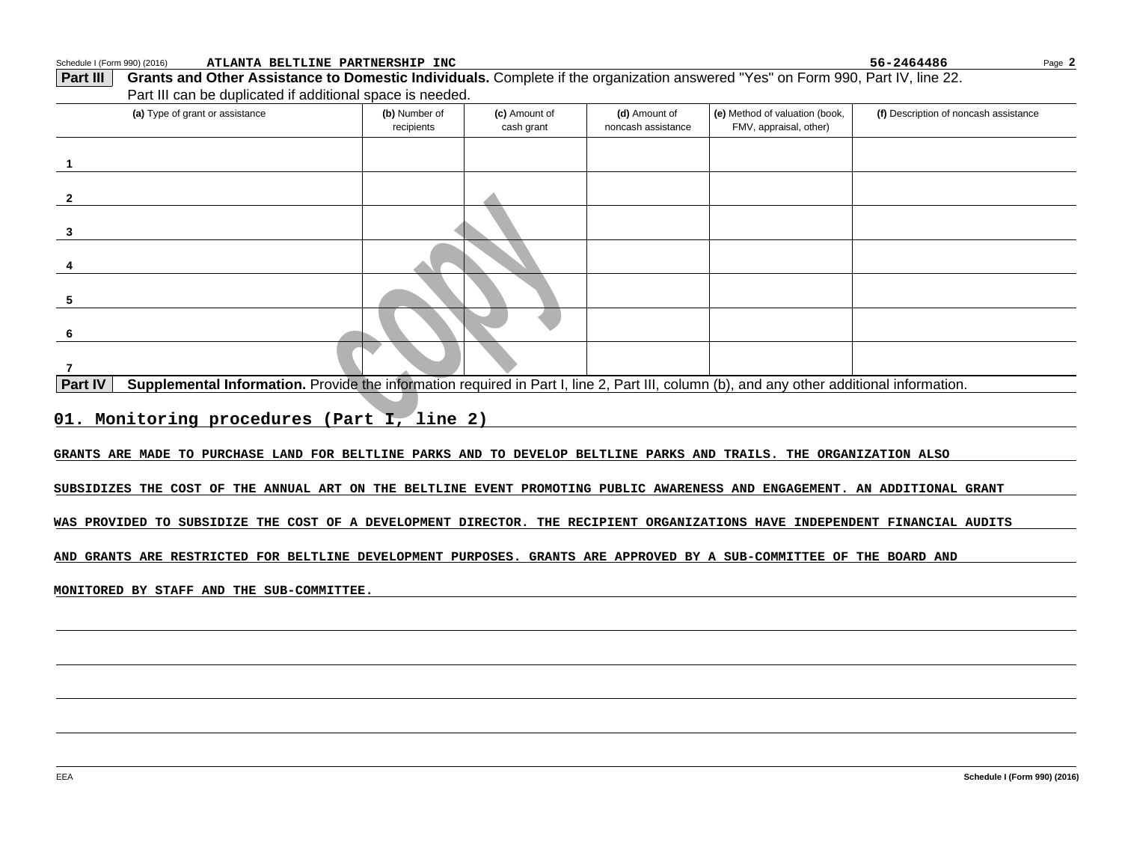| Schedule I (Form 990) (2016)<br>ATLANTA BELTLINE PARTNERSHIP INC                                                                                            |                             |                             |                                     |                                                          | 56-2464486<br>Page 2                  |
|-------------------------------------------------------------------------------------------------------------------------------------------------------------|-----------------------------|-----------------------------|-------------------------------------|----------------------------------------------------------|---------------------------------------|
| Grants and Other Assistance to Domestic Individuals. Complete if the organization answered "Yes" on Form 990, Part IV, line 22.<br><b>Part III</b>          |                             |                             |                                     |                                                          |                                       |
| Part III can be duplicated if additional space is needed.                                                                                                   |                             |                             |                                     |                                                          |                                       |
| (a) Type of grant or assistance                                                                                                                             | (b) Number of<br>recipients | (c) Amount of<br>cash grant | (d) Amount of<br>noncash assistance | (e) Method of valuation (book,<br>FMV, appraisal, other) | (f) Description of noncash assistance |
| $\mathbf 1$                                                                                                                                                 |                             |                             |                                     |                                                          |                                       |
| $\mathbf{2}$                                                                                                                                                |                             |                             |                                     |                                                          |                                       |
| 3                                                                                                                                                           |                             |                             |                                     |                                                          |                                       |
|                                                                                                                                                             |                             |                             |                                     |                                                          |                                       |
| 5                                                                                                                                                           |                             |                             |                                     |                                                          |                                       |
| 6                                                                                                                                                           |                             |                             |                                     |                                                          |                                       |
| $\overline{7}$                                                                                                                                              |                             |                             |                                     |                                                          |                                       |
| <b>Part IV</b><br>Supplemental Information. Provide the information required in Part I, line 2, Part III, column (b), and any other additional information. |                             |                             |                                     |                                                          |                                       |
| 01. Monitoring procedures (Part I, line 2)                                                                                                                  |                             |                             |                                     |                                                          |                                       |
| GRANTS ARE MADE TO PURCHASE LAND FOR BELTLINE PARKS AND TO DEVELOP BELTLINE PARKS AND TRAILS. THE ORGANIZATION ALSO                                         |                             |                             |                                     |                                                          |                                       |
| SUBSIDIZES THE COST OF THE ANNUAL ART ON THE BELTLINE EVENT PROMOTING PUBLIC AWARENESS AND ENGAGEMENT. AN ADDITIONAL GRANT                                  |                             |                             |                                     |                                                          |                                       |
| WAS PROVIDED TO SUBSIDIZE THE COST OF A DEVELOPMENT DIRECTOR. THE RECIPIENT ORGANIZATIONS HAVE INDEPENDENT FINANCIAL AUDITS                                 |                             |                             |                                     |                                                          |                                       |
| AND GRANTS ARE RESTRICTED FOR BELTLINE DEVELOPMENT PURPOSES. GRANTS ARE APPROVED BY A SUB-COMMITTEE OF THE BOARD AND                                        |                             |                             |                                     |                                                          |                                       |
| MONITORED BY STAFF AND THE SUB-COMMITTEE.                                                                                                                   |                             |                             |                                     |                                                          |                                       |
|                                                                                                                                                             |                             |                             |                                     |                                                          |                                       |
|                                                                                                                                                             |                             |                             |                                     |                                                          |                                       |
|                                                                                                                                                             |                             |                             |                                     |                                                          |                                       |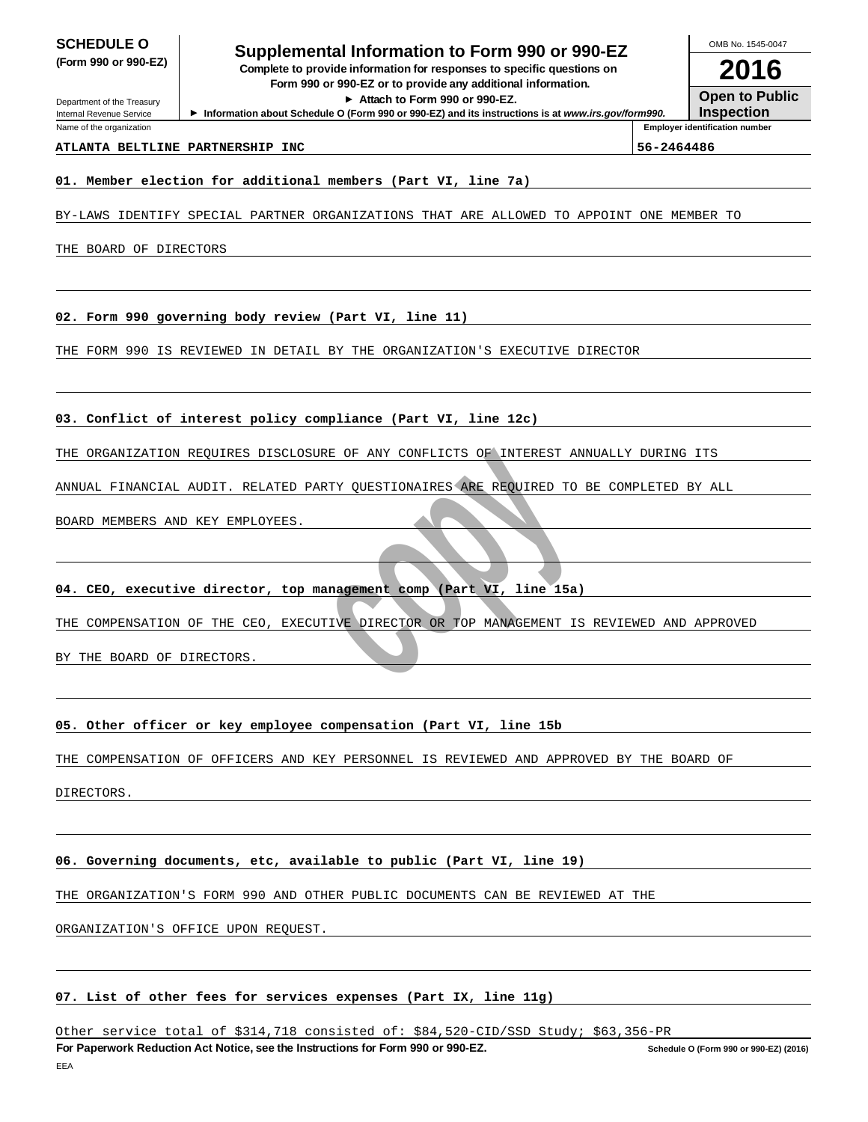Department of the Treasury Internal Revenue Service Name of the organization

# **Supplemental Information to Form 990 or 990-EZ SCHEDULE O**

**Complete to provide information for responses to specific questions on** Form 990 or 990-EZ or to provide any additional information.

**At tach to F orm 990 or 990-EZ.**

▶ Information about Schedule O (Form 990 or 990-EZ) and its instructions is at www.irs.gov/form990.

**2016 Open to Public Inspection**

OMB No. 1545-0047

**Employer identification number**

# **ATLANTA BELTLINE PARTNERSHIP INC 56-2464486**

#### **01. Member election for additional members (Part VI, line 7a)**

BY-LAWS IDENTIFY SPECIAL PARTNER ORGANIZATIONS THAT ARE ALLOWED TO APPOINT ONE MEMBER TO

THE BOARD OF DIRECTORS

**02. Form 990 governing body review (Part VI, line 11)**

THE FORM 990 IS REVIEWED IN DETAIL BY THE ORGANIZATION'S EXECUTIVE DIRECTOR

#### **03. Conflict of interest policy compliance (Part VI, line 12c)**

THE ORGANIZATION REQUIRES DISCLOSURE OF ANY CONFLICTS OF INTEREST ANNUALLY DURING ITS

ANNUAL FINANCIAL AUDIT. RELATED PARTY QUESTIONAIRES ARE REQUIRED TO BE COMPLETED BY ALL

BOARD MEMBERS AND KEY EMPLOYEES.

#### **04. CEO, executive director, top management comp (Part VI, line 15a)**

THE COMPENSATION OF THE CEO, EXECUTIVE DIRECTOR OR TOP MANAGEMENT IS REVIEWED AND APPROVED

BY THE BOARD OF DIRECTORS.

# MION REQUIRES DISCLOSURE OF ANY CONFLICTS OF INTEREST AND<br>
NCIAL AUDIT. RELATED PARTY QUESTIONAIRES ARE REQUIRED TO 1<br>
AND KEY EMPLOYEES.<br> **Examploy And AUDIT COPY CONFLICTS**<br>
ANTION OF THE CEO, EXECUTIVE DIRECTOR OR TOP M **05. Other officer or key employee compensation (Part VI, line 15b**

THE COMPENSATION OF OFFICERS AND KEY PERSONNEL IS REVIEWED AND APPROVED BY THE BOARD OF

DIRECTORS.

#### **06. Governing documents, etc, available to public (Part VI, line 19)**

THE ORGANIZATION'S FORM 990 AND OTHER PUBLIC DOCUMENTS CAN BE REVIEWED AT THE

ORGANIZATION'S OFFICE UPON REQUEST.

## **07. List of other fees for services expenses (Part IX, line 11g)**

Other service total of \$314,718 consisted of: \$84,520-CID/SSD Study; \$63,356-PR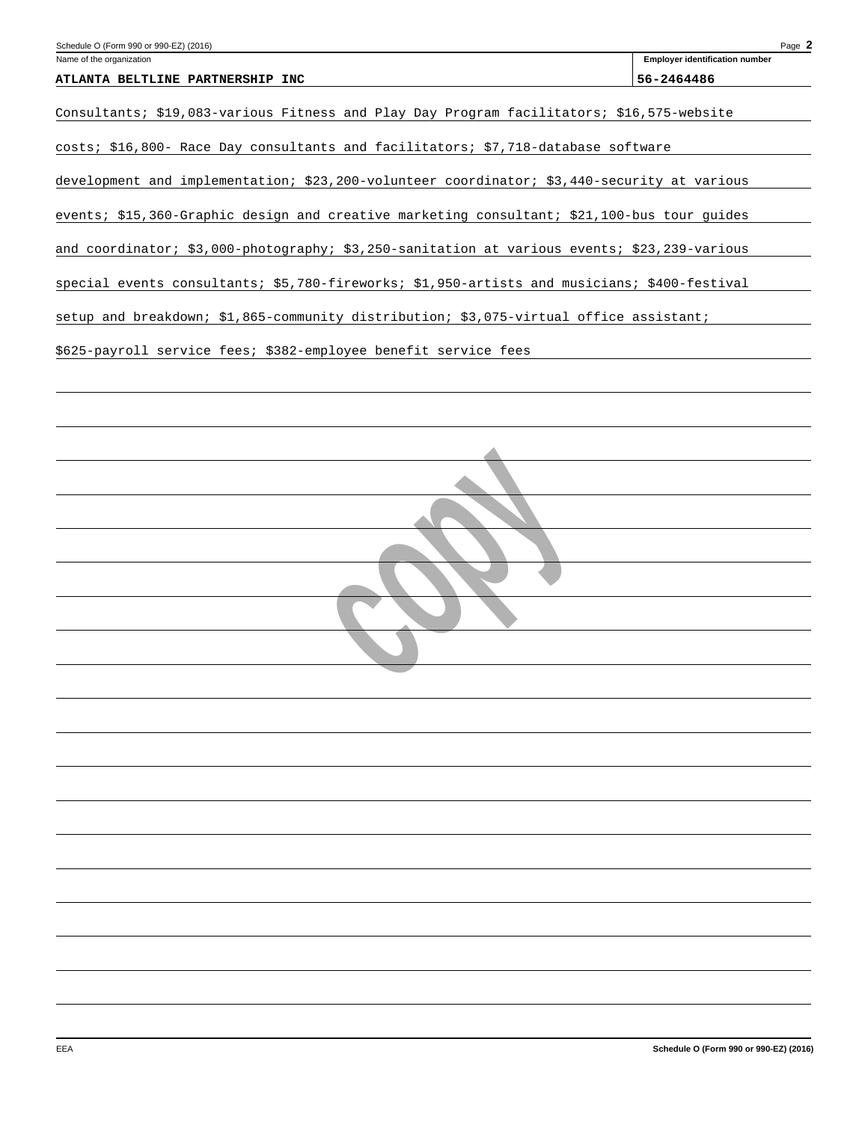| Schedule O (Form 990 or 990-EZ) (2016) | Page                           |
|----------------------------------------|--------------------------------|
| Name of the organization               | Emplover identification number |

|  | ATLANTA BELTLINE PARTNERSHIP INC | 56-2464486 |
|--|----------------------------------|------------|

Consultants; \$19,083-various Fitness and Play Day Program facilitators; \$16,575-website

costs; \$16,800- Race Day consultants and facilitators; \$7,718-database software

development and implementation; \$23,200-volunteer coordinator; \$3,440-security at various

events; \$15,360-Graphic design and creative marketing consultant; \$21,100-bus tour guides

and coordinator; \$3,000-photography; \$3,250-sanitation at various events; \$23,239-various

special events consultants; \$5,780-fireworks; \$1,950-artists and musicians; \$400-festival

setup and breakdown; \$1,865-community distribution; \$3,075-virtual office assistant;

 **copy**

\$625-payroll service fees; \$382-employee benefit service fees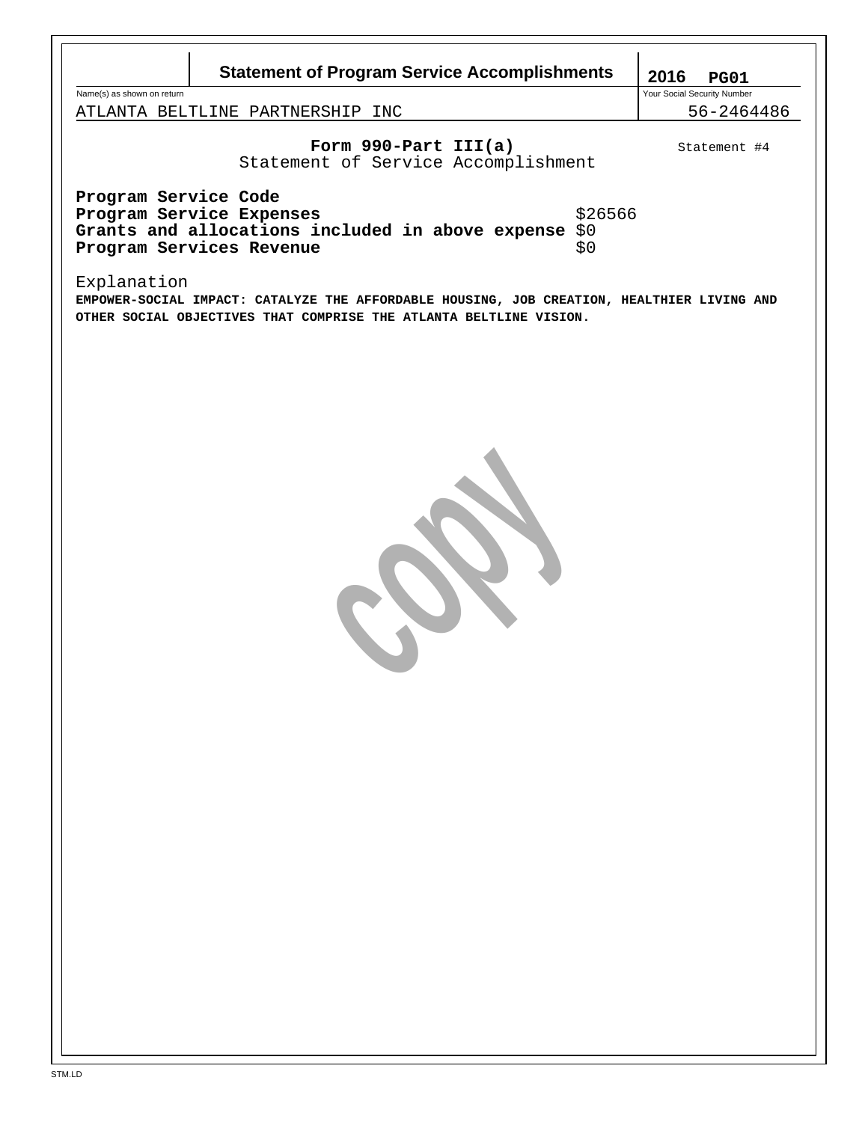| <b>Statement of Program Service Accomplishments</b>                                                                                                                             | 2016<br><b>PG01</b>                       |
|---------------------------------------------------------------------------------------------------------------------------------------------------------------------------------|-------------------------------------------|
| Name(s) as shown on return<br>ATLANTA BELTLINE PARTNERSHIP INC                                                                                                                  | Your Social Security Number<br>56-2464486 |
| Form 990-Part III(a)<br>Statement of Service Accomplishment                                                                                                                     | Statement #4                              |
| Program Service Code<br>Program Service Expenses<br>\$26566<br>Grants and allocations included in above expense \$0<br>Program Services Revenue<br>\$0                          |                                           |
| Explanation<br>EMPOWER-SOCIAL IMPACT: CATALYZE THE AFFORDABLE HOUSING, JOB CREATION, HEALTHIER LIVING AND<br>OTHER SOCIAL OBJECTIVES THAT COMPRISE THE ATLANTA BELTLINE VISION. |                                           |
|                                                                                                                                                                                 |                                           |

 $\Gamma$